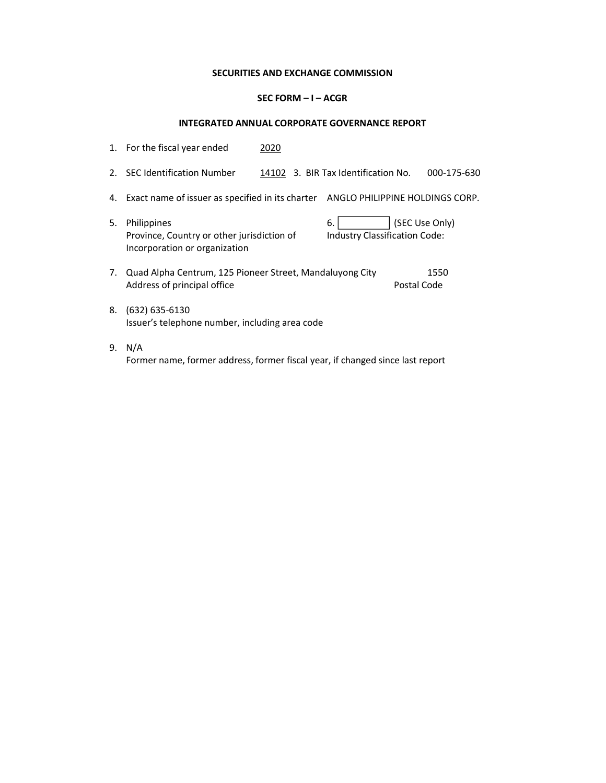## SECURITIES AND EXCHANGE COMMISSION

## SEC FORM – I – ACGR

## INTEGRATED ANNUAL CORPORATE GOVERNANCE REPORT

|    | 1. For the fiscal year ended                                                               | 2020 |                                     |             |                |
|----|--------------------------------------------------------------------------------------------|------|-------------------------------------|-------------|----------------|
|    | 2. SEC Identification Number                                                               |      | 14102 3. BIR Tax Identification No. |             | 000-175-630    |
| 4. | Exact name of issuer as specified in its charter ANGLO PHILIPPINE HOLDINGS CORP.           |      |                                     |             |                |
| 5. | Philippines<br>Province, Country or other jurisdiction of<br>Incorporation or organization |      | 6.<br>Industry Classification Code: |             | (SEC Use Only) |
|    | 7. Quad Alpha Centrum, 125 Pioneer Street, Mandaluyong City<br>Address of principal office |      |                                     | Postal Code | 1550           |
| 8. | $(632)$ 635-6130<br>Issuer's telephone number, including area code                         |      |                                     |             |                |
| 9. | N/A<br>Former name, former address, former fiscal year, if changed since last report       |      |                                     |             |                |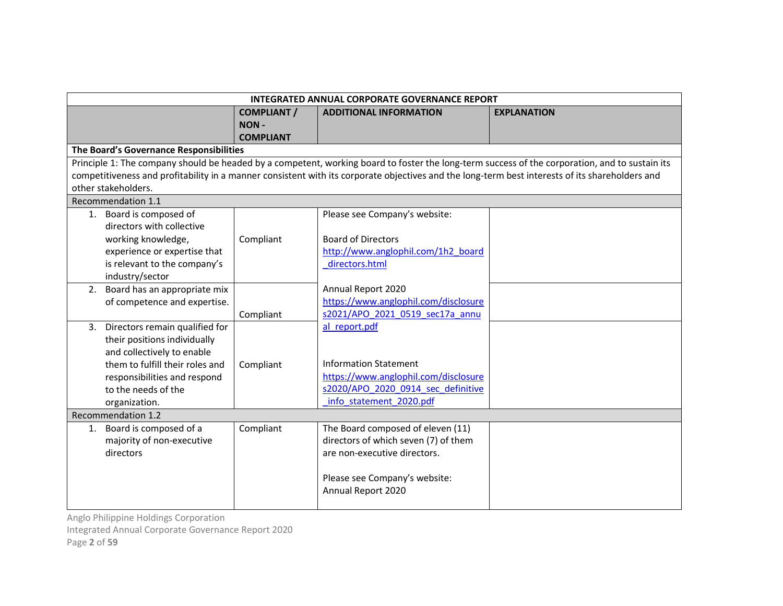|    | <b>INTEGRATED ANNUAL CORPORATE GOVERNANCE REPORT</b> |                    |                                      |                                                                                                                                                 |  |
|----|------------------------------------------------------|--------------------|--------------------------------------|-------------------------------------------------------------------------------------------------------------------------------------------------|--|
|    |                                                      | <b>COMPLIANT /</b> | <b>ADDITIONAL INFORMATION</b>        | <b>EXPLANATION</b>                                                                                                                              |  |
|    |                                                      | <b>NON-</b>        |                                      |                                                                                                                                                 |  |
|    |                                                      | <b>COMPLIANT</b>   |                                      |                                                                                                                                                 |  |
|    | The Board's Governance Responsibilities              |                    |                                      |                                                                                                                                                 |  |
|    |                                                      |                    |                                      | Principle 1: The company should be headed by a competent, working board to foster the long-term success of the corporation, and to sustain its  |  |
|    |                                                      |                    |                                      | competitiveness and profitability in a manner consistent with its corporate objectives and the long-term best interests of its shareholders and |  |
|    | other stakeholders.                                  |                    |                                      |                                                                                                                                                 |  |
|    | Recommendation 1.1                                   |                    |                                      |                                                                                                                                                 |  |
|    | 1. Board is composed of                              |                    | Please see Company's website:        |                                                                                                                                                 |  |
|    | directors with collective                            |                    |                                      |                                                                                                                                                 |  |
|    | working knowledge,                                   | Compliant          | <b>Board of Directors</b>            |                                                                                                                                                 |  |
|    | experience or expertise that                         |                    | http://www.anglophil.com/1h2 board   |                                                                                                                                                 |  |
|    | is relevant to the company's                         |                    | directors.html                       |                                                                                                                                                 |  |
|    | industry/sector                                      |                    |                                      |                                                                                                                                                 |  |
|    | 2. Board has an appropriate mix                      |                    | Annual Report 2020                   |                                                                                                                                                 |  |
|    | of competence and expertise.                         |                    | https://www.anglophil.com/disclosure |                                                                                                                                                 |  |
|    |                                                      | Compliant          | s2021/APO 2021 0519 sec17a annu      |                                                                                                                                                 |  |
| 3. | Directors remain qualified for                       |                    | al report.pdf                        |                                                                                                                                                 |  |
|    | their positions individually                         |                    |                                      |                                                                                                                                                 |  |
|    | and collectively to enable                           |                    |                                      |                                                                                                                                                 |  |
|    | them to fulfill their roles and                      | Compliant          | <b>Information Statement</b>         |                                                                                                                                                 |  |
|    | responsibilities and respond                         |                    | https://www.anglophil.com/disclosure |                                                                                                                                                 |  |
|    | to the needs of the                                  |                    | s2020/APO 2020 0914 sec_definitive   |                                                                                                                                                 |  |
|    | organization.                                        |                    | info statement 2020.pdf              |                                                                                                                                                 |  |
|    | Recommendation 1.2                                   |                    |                                      |                                                                                                                                                 |  |
| 1. | Board is composed of a                               | Compliant          | The Board composed of eleven (11)    |                                                                                                                                                 |  |
|    | majority of non-executive                            |                    | directors of which seven (7) of them |                                                                                                                                                 |  |
|    | directors                                            |                    | are non-executive directors.         |                                                                                                                                                 |  |
|    |                                                      |                    |                                      |                                                                                                                                                 |  |
|    |                                                      |                    | Please see Company's website:        |                                                                                                                                                 |  |
|    |                                                      |                    | Annual Report 2020                   |                                                                                                                                                 |  |
|    |                                                      |                    |                                      |                                                                                                                                                 |  |

Integrated Annual Corporate Governance Report 2020

Page 2 of 59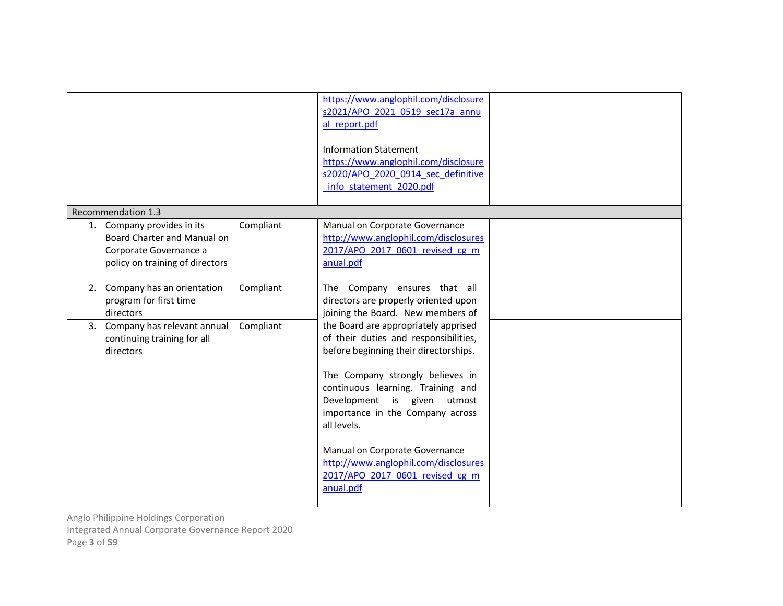|                                                                                                                           |           | https://www.anglophil.com/disclosure<br>s2021/APO 2021 0519 sec17a annu<br>al report.pdf<br><b>Information Statement</b><br>https://www.anglophil.com/disclosure<br>s2020/APO 2020 0914 sec definitive<br>info statement 2020.pdf                                                                                                                                                                           |  |
|---------------------------------------------------------------------------------------------------------------------------|-----------|-------------------------------------------------------------------------------------------------------------------------------------------------------------------------------------------------------------------------------------------------------------------------------------------------------------------------------------------------------------------------------------------------------------|--|
| Recommendation 1.3                                                                                                        |           |                                                                                                                                                                                                                                                                                                                                                                                                             |  |
| Company provides in its<br>1.<br>Board Charter and Manual on<br>Corporate Governance a<br>policy on training of directors | Compliant | Manual on Corporate Governance<br>http://www.anglophil.com/disclosures<br>2017/APO 2017 0601 revised cg m<br>anual.pdf                                                                                                                                                                                                                                                                                      |  |
| Company has an orientation<br>2.<br>program for first time<br>directors                                                   | Compliant | The Company ensures that all<br>directors are properly oriented upon<br>joining the Board. New members of                                                                                                                                                                                                                                                                                                   |  |
| Company has relevant annual<br>3.<br>continuing training for all<br>directors                                             | Compliant | the Board are appropriately apprised<br>of their duties and responsibilities,<br>before beginning their directorships.<br>The Company strongly believes in<br>continuous learning. Training and<br>Development is given utmost<br>importance in the Company across<br>all levels.<br>Manual on Corporate Governance<br>http://www.anglophil.com/disclosures<br>2017/APO 2017 0601 revised cg m<br>anual.pdf |  |

Integrated Annual Corporate Governance Report 2020

Page 3 of 59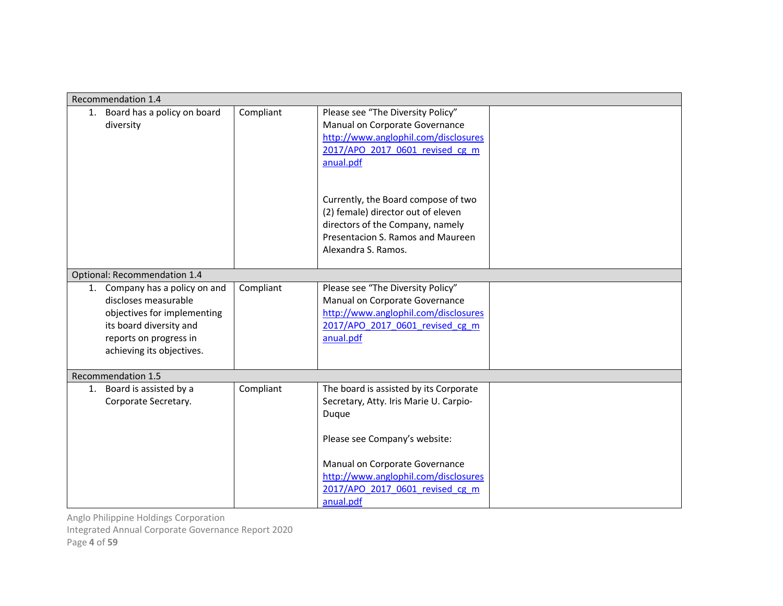| Recommendation 1.4                                                                                                                                                         |           |                                                                                                                                                                           |  |
|----------------------------------------------------------------------------------------------------------------------------------------------------------------------------|-----------|---------------------------------------------------------------------------------------------------------------------------------------------------------------------------|--|
| 1. Board has a policy on board<br>diversity                                                                                                                                | Compliant | Please see "The Diversity Policy"<br>Manual on Corporate Governance<br>http://www.anglophil.com/disclosures<br>2017/APO 2017 0601 revised cg m<br>anual.pdf               |  |
|                                                                                                                                                                            |           | Currently, the Board compose of two<br>(2) female) director out of eleven<br>directors of the Company, namely<br>Presentacion S. Ramos and Maureen<br>Alexandra S. Ramos. |  |
| Optional: Recommendation 1.4                                                                                                                                               |           |                                                                                                                                                                           |  |
| Company has a policy on and<br>1.<br>discloses measurable<br>objectives for implementing<br>its board diversity and<br>reports on progress in<br>achieving its objectives. | Compliant | Please see "The Diversity Policy"<br>Manual on Corporate Governance<br>http://www.anglophil.com/disclosures<br>2017/APO 2017 0601 revised cg m<br>anual.pdf               |  |
| Recommendation 1.5                                                                                                                                                         |           |                                                                                                                                                                           |  |
| 1. Board is assisted by a<br>Corporate Secretary.                                                                                                                          | Compliant | The board is assisted by its Corporate<br>Secretary, Atty. Iris Marie U. Carpio-<br>Duque                                                                                 |  |
|                                                                                                                                                                            |           | Please see Company's website:                                                                                                                                             |  |
|                                                                                                                                                                            |           | Manual on Corporate Governance<br>http://www.anglophil.com/disclosures<br>2017/APO 2017 0601 revised cg m<br>anual.pdf                                                    |  |

Integrated Annual Corporate Governance Report 2020

Page 4 of 59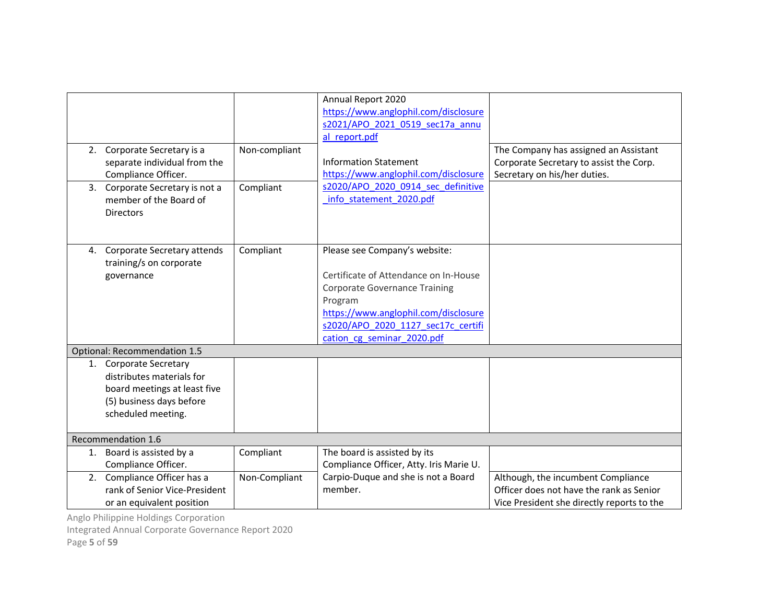|    | 2. Corporate Secretary is a<br>separate individual from the<br>Compliance Officer.                                                    | Non-compliant | Annual Report 2020<br>https://www.anglophil.com/disclosure<br>s2021/APO 2021 0519 sec17a annu<br>al report.pdf<br><b>Information Statement</b><br>https://www.anglophil.com/disclosure                                                | The Company has assigned an Assistant<br>Corporate Secretary to assist the Corp.<br>Secretary on his/her duties.             |
|----|---------------------------------------------------------------------------------------------------------------------------------------|---------------|---------------------------------------------------------------------------------------------------------------------------------------------------------------------------------------------------------------------------------------|------------------------------------------------------------------------------------------------------------------------------|
|    | 3. Corporate Secretary is not a<br>member of the Board of<br><b>Directors</b>                                                         | Compliant     | s2020/APO 2020 0914 sec definitive<br>info statement 2020.pdf                                                                                                                                                                         |                                                                                                                              |
| 4. | Corporate Secretary attends<br>training/s on corporate<br>governance                                                                  | Compliant     | Please see Company's website:<br>Certificate of Attendance on In-House<br><b>Corporate Governance Training</b><br>Program<br>https://www.anglophil.com/disclosure<br>s2020/APO 2020 1127 sec17c certifi<br>cation cg seminar 2020.pdf |                                                                                                                              |
|    | Optional: Recommendation 1.5                                                                                                          |               |                                                                                                                                                                                                                                       |                                                                                                                              |
|    | 1. Corporate Secretary<br>distributes materials for<br>board meetings at least five<br>(5) business days before<br>scheduled meeting. |               |                                                                                                                                                                                                                                       |                                                                                                                              |
|    | Recommendation 1.6                                                                                                                    |               |                                                                                                                                                                                                                                       |                                                                                                                              |
| 1. | Board is assisted by a<br>Compliance Officer.                                                                                         | Compliant     | The board is assisted by its<br>Compliance Officer, Atty. Iris Marie U.                                                                                                                                                               |                                                                                                                              |
|    | 2. Compliance Officer has a<br>rank of Senior Vice-President<br>or an equivalent position                                             | Non-Compliant | Carpio-Duque and she is not a Board<br>member.                                                                                                                                                                                        | Although, the incumbent Compliance<br>Officer does not have the rank as Senior<br>Vice President she directly reports to the |

Integrated Annual Corporate Governance Report 2020

Page 5 of 59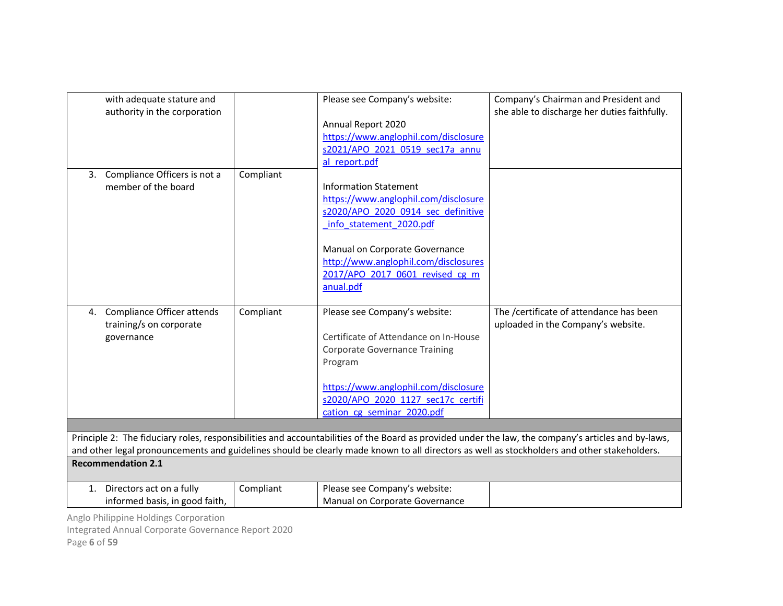| Annual Report 2020<br>https://www.anglophil.com/disclosure<br>s2021/APO 2021 0519 sec17a annu<br>al report.pdf<br>Compliant<br>Compliance Officers is not a<br>3.<br><b>Information Statement</b><br>member of the board<br>https://www.anglophil.com/disclosure<br>s2020/APO 2020 0914 sec definitive<br>info statement 2020.pdf<br>Manual on Corporate Governance<br>http://www.anglophil.com/disclosures<br>2017/APO 2017 0601 revised cg m<br>anual.pdf<br>Compliant<br>The /certificate of attendance has been<br>Compliance Officer attends<br>Please see Company's website:<br>4.<br>training/s on corporate<br>uploaded in the Company's website.<br>Certificate of Attendance on In-House<br>governance<br><b>Corporate Governance Training</b><br>Program<br>https://www.anglophil.com/disclosure<br>s2020/APO 2020 1127 sec17c certifi<br>cation cg seminar 2020.pdf<br>Principle 2: The fiduciary roles, responsibilities and accountabilities of the Board as provided under the law, the company's articles and by-laws,<br>and other legal pronouncements and guidelines should be clearly made known to all directors as well as stockholders and other stakeholders.<br><b>Recommendation 2.1</b><br>Directors act on a fully<br>Please see Company's website:<br>Compliant<br>1. | with adequate stature and<br>authority in the corporation | Please see Company's website:  | Company's Chairman and President and<br>she able to discharge her duties faithfully. |
|----------------------------------------------------------------------------------------------------------------------------------------------------------------------------------------------------------------------------------------------------------------------------------------------------------------------------------------------------------------------------------------------------------------------------------------------------------------------------------------------------------------------------------------------------------------------------------------------------------------------------------------------------------------------------------------------------------------------------------------------------------------------------------------------------------------------------------------------------------------------------------------------------------------------------------------------------------------------------------------------------------------------------------------------------------------------------------------------------------------------------------------------------------------------------------------------------------------------------------------------------------------------------------------------------|-----------------------------------------------------------|--------------------------------|--------------------------------------------------------------------------------------|
|                                                                                                                                                                                                                                                                                                                                                                                                                                                                                                                                                                                                                                                                                                                                                                                                                                                                                                                                                                                                                                                                                                                                                                                                                                                                                                    |                                                           |                                |                                                                                      |
|                                                                                                                                                                                                                                                                                                                                                                                                                                                                                                                                                                                                                                                                                                                                                                                                                                                                                                                                                                                                                                                                                                                                                                                                                                                                                                    |                                                           |                                |                                                                                      |
|                                                                                                                                                                                                                                                                                                                                                                                                                                                                                                                                                                                                                                                                                                                                                                                                                                                                                                                                                                                                                                                                                                                                                                                                                                                                                                    |                                                           |                                |                                                                                      |
|                                                                                                                                                                                                                                                                                                                                                                                                                                                                                                                                                                                                                                                                                                                                                                                                                                                                                                                                                                                                                                                                                                                                                                                                                                                                                                    |                                                           |                                |                                                                                      |
|                                                                                                                                                                                                                                                                                                                                                                                                                                                                                                                                                                                                                                                                                                                                                                                                                                                                                                                                                                                                                                                                                                                                                                                                                                                                                                    |                                                           |                                |                                                                                      |
|                                                                                                                                                                                                                                                                                                                                                                                                                                                                                                                                                                                                                                                                                                                                                                                                                                                                                                                                                                                                                                                                                                                                                                                                                                                                                                    |                                                           |                                |                                                                                      |
|                                                                                                                                                                                                                                                                                                                                                                                                                                                                                                                                                                                                                                                                                                                                                                                                                                                                                                                                                                                                                                                                                                                                                                                                                                                                                                    |                                                           |                                |                                                                                      |
|                                                                                                                                                                                                                                                                                                                                                                                                                                                                                                                                                                                                                                                                                                                                                                                                                                                                                                                                                                                                                                                                                                                                                                                                                                                                                                    |                                                           |                                |                                                                                      |
|                                                                                                                                                                                                                                                                                                                                                                                                                                                                                                                                                                                                                                                                                                                                                                                                                                                                                                                                                                                                                                                                                                                                                                                                                                                                                                    |                                                           |                                |                                                                                      |
|                                                                                                                                                                                                                                                                                                                                                                                                                                                                                                                                                                                                                                                                                                                                                                                                                                                                                                                                                                                                                                                                                                                                                                                                                                                                                                    |                                                           |                                |                                                                                      |
|                                                                                                                                                                                                                                                                                                                                                                                                                                                                                                                                                                                                                                                                                                                                                                                                                                                                                                                                                                                                                                                                                                                                                                                                                                                                                                    |                                                           |                                |                                                                                      |
|                                                                                                                                                                                                                                                                                                                                                                                                                                                                                                                                                                                                                                                                                                                                                                                                                                                                                                                                                                                                                                                                                                                                                                                                                                                                                                    |                                                           |                                |                                                                                      |
|                                                                                                                                                                                                                                                                                                                                                                                                                                                                                                                                                                                                                                                                                                                                                                                                                                                                                                                                                                                                                                                                                                                                                                                                                                                                                                    |                                                           |                                |                                                                                      |
|                                                                                                                                                                                                                                                                                                                                                                                                                                                                                                                                                                                                                                                                                                                                                                                                                                                                                                                                                                                                                                                                                                                                                                                                                                                                                                    |                                                           |                                |                                                                                      |
|                                                                                                                                                                                                                                                                                                                                                                                                                                                                                                                                                                                                                                                                                                                                                                                                                                                                                                                                                                                                                                                                                                                                                                                                                                                                                                    |                                                           |                                |                                                                                      |
|                                                                                                                                                                                                                                                                                                                                                                                                                                                                                                                                                                                                                                                                                                                                                                                                                                                                                                                                                                                                                                                                                                                                                                                                                                                                                                    |                                                           |                                |                                                                                      |
|                                                                                                                                                                                                                                                                                                                                                                                                                                                                                                                                                                                                                                                                                                                                                                                                                                                                                                                                                                                                                                                                                                                                                                                                                                                                                                    |                                                           |                                |                                                                                      |
|                                                                                                                                                                                                                                                                                                                                                                                                                                                                                                                                                                                                                                                                                                                                                                                                                                                                                                                                                                                                                                                                                                                                                                                                                                                                                                    |                                                           |                                |                                                                                      |
|                                                                                                                                                                                                                                                                                                                                                                                                                                                                                                                                                                                                                                                                                                                                                                                                                                                                                                                                                                                                                                                                                                                                                                                                                                                                                                    |                                                           |                                |                                                                                      |
|                                                                                                                                                                                                                                                                                                                                                                                                                                                                                                                                                                                                                                                                                                                                                                                                                                                                                                                                                                                                                                                                                                                                                                                                                                                                                                    |                                                           |                                |                                                                                      |
|                                                                                                                                                                                                                                                                                                                                                                                                                                                                                                                                                                                                                                                                                                                                                                                                                                                                                                                                                                                                                                                                                                                                                                                                                                                                                                    |                                                           |                                |                                                                                      |
|                                                                                                                                                                                                                                                                                                                                                                                                                                                                                                                                                                                                                                                                                                                                                                                                                                                                                                                                                                                                                                                                                                                                                                                                                                                                                                    |                                                           |                                |                                                                                      |
|                                                                                                                                                                                                                                                                                                                                                                                                                                                                                                                                                                                                                                                                                                                                                                                                                                                                                                                                                                                                                                                                                                                                                                                                                                                                                                    |                                                           |                                |                                                                                      |
|                                                                                                                                                                                                                                                                                                                                                                                                                                                                                                                                                                                                                                                                                                                                                                                                                                                                                                                                                                                                                                                                                                                                                                                                                                                                                                    |                                                           |                                |                                                                                      |
|                                                                                                                                                                                                                                                                                                                                                                                                                                                                                                                                                                                                                                                                                                                                                                                                                                                                                                                                                                                                                                                                                                                                                                                                                                                                                                    |                                                           |                                |                                                                                      |
|                                                                                                                                                                                                                                                                                                                                                                                                                                                                                                                                                                                                                                                                                                                                                                                                                                                                                                                                                                                                                                                                                                                                                                                                                                                                                                    |                                                           |                                |                                                                                      |
|                                                                                                                                                                                                                                                                                                                                                                                                                                                                                                                                                                                                                                                                                                                                                                                                                                                                                                                                                                                                                                                                                                                                                                                                                                                                                                    | informed basis, in good faith,                            | Manual on Corporate Governance |                                                                                      |

Anglo Philippine Holdings Corporation Integrated Annual Corporate Governance Report 2020 Page 6 of 59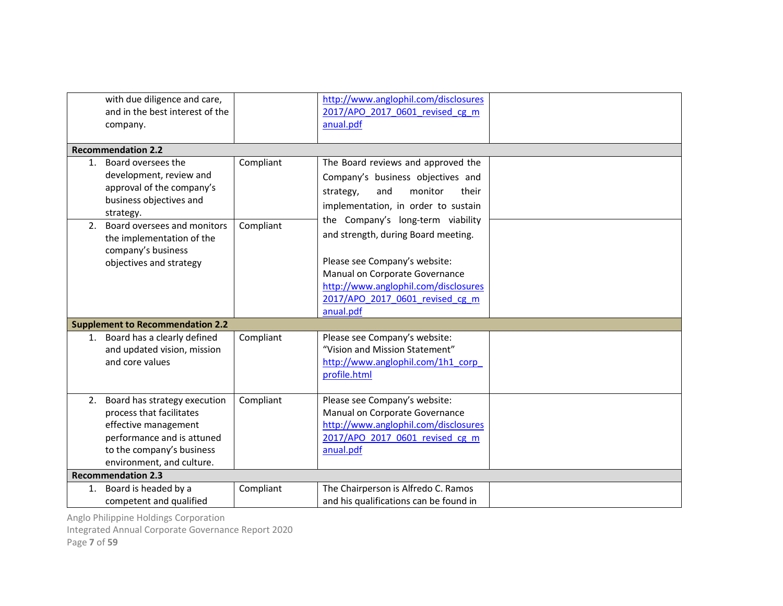|    | with due diligence and care,<br>and in the best interest of the<br>company.                                                                                                 |           | http://www.anglophil.com/disclosures<br>2017/APO 2017 0601 revised cg m<br>anual.pdf                                                                                                                                                |  |
|----|-----------------------------------------------------------------------------------------------------------------------------------------------------------------------------|-----------|-------------------------------------------------------------------------------------------------------------------------------------------------------------------------------------------------------------------------------------|--|
|    | <b>Recommendation 2.2</b>                                                                                                                                                   |           |                                                                                                                                                                                                                                     |  |
|    | 1. Board oversees the<br>development, review and<br>approval of the company's<br>business objectives and<br>strategy.                                                       | Compliant | The Board reviews and approved the<br>Company's business objectives and<br>monitor<br>their<br>strategy,<br>and<br>implementation, in order to sustain                                                                              |  |
| 2. | Board oversees and monitors<br>the implementation of the<br>company's business<br>objectives and strategy                                                                   | Compliant | the Company's long-term viability<br>and strength, during Board meeting.<br>Please see Company's website:<br>Manual on Corporate Governance<br>http://www.anglophil.com/disclosures<br>2017/APO 2017 0601 revised cg m<br>anual.pdf |  |
|    | <b>Supplement to Recommendation 2.2</b>                                                                                                                                     |           |                                                                                                                                                                                                                                     |  |
|    | 1. Board has a clearly defined<br>and updated vision, mission<br>and core values                                                                                            | Compliant | Please see Company's website:<br>"Vision and Mission Statement"<br>http://www.anglophil.com/1h1 corp<br>profile.html                                                                                                                |  |
|    | 2. Board has strategy execution<br>process that facilitates<br>effective management<br>performance and is attuned<br>to the company's business<br>environment, and culture. | Compliant | Please see Company's website:<br>Manual on Corporate Governance<br>http://www.anglophil.com/disclosures<br>2017/APO 2017 0601 revised cg m<br>anual.pdf                                                                             |  |
|    | <b>Recommendation 2.3</b>                                                                                                                                                   |           |                                                                                                                                                                                                                                     |  |
|    | 1. Board is headed by a<br>competent and qualified                                                                                                                          | Compliant | The Chairperson is Alfredo C. Ramos<br>and his qualifications can be found in                                                                                                                                                       |  |

Integrated Annual Corporate Governance Report 2020

Page 7 of 59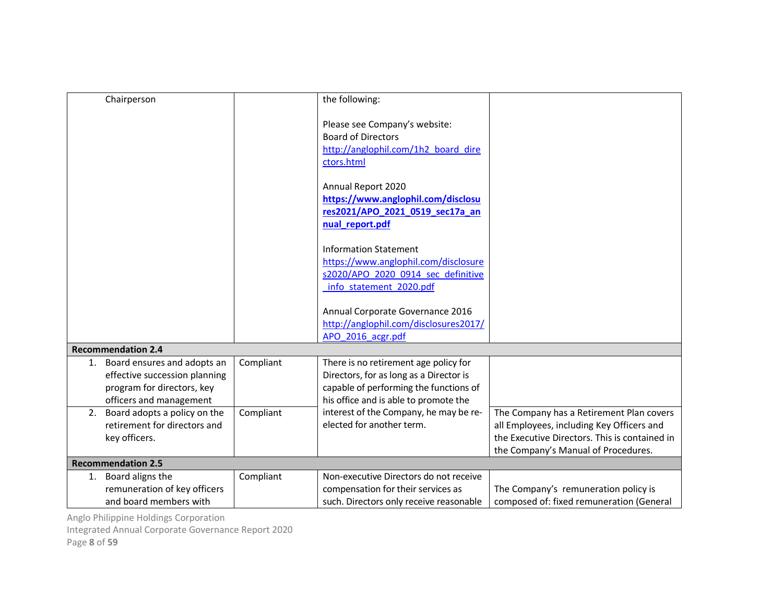| Chairperson                                                                                                                 |           | the following:                                                                                                                                                      |                                                                                                                                                                               |
|-----------------------------------------------------------------------------------------------------------------------------|-----------|---------------------------------------------------------------------------------------------------------------------------------------------------------------------|-------------------------------------------------------------------------------------------------------------------------------------------------------------------------------|
|                                                                                                                             |           | Please see Company's website:<br><b>Board of Directors</b><br>http://anglophil.com/1h2 board dire<br>ctors.html                                                     |                                                                                                                                                                               |
|                                                                                                                             |           | Annual Report 2020<br>https://www.anglophil.com/disclosu<br>res2021/APO_2021_0519_sec17a_an<br>nual_report.pdf                                                      |                                                                                                                                                                               |
|                                                                                                                             |           | <b>Information Statement</b><br>https://www.anglophil.com/disclosure<br>s2020/APO 2020 0914 sec definitive<br>info statement 2020.pdf                               |                                                                                                                                                                               |
|                                                                                                                             |           | Annual Corporate Governance 2016<br>http://anglophil.com/disclosures2017/<br>APO 2016 acgr.pdf                                                                      |                                                                                                                                                                               |
| <b>Recommendation 2.4</b>                                                                                                   |           |                                                                                                                                                                     |                                                                                                                                                                               |
| Board ensures and adopts an<br>1.<br>effective succession planning<br>program for directors, key<br>officers and management | Compliant | There is no retirement age policy for<br>Directors, for as long as a Director is<br>capable of performing the functions of<br>his office and is able to promote the |                                                                                                                                                                               |
| Board adopts a policy on the<br>2.<br>retirement for directors and<br>key officers.                                         | Compliant | interest of the Company, he may be re-<br>elected for another term.                                                                                                 | The Company has a Retirement Plan covers<br>all Employees, including Key Officers and<br>the Executive Directors. This is contained in<br>the Company's Manual of Procedures. |
| <b>Recommendation 2.5</b>                                                                                                   |           |                                                                                                                                                                     |                                                                                                                                                                               |
| Board aligns the<br>1.<br>remuneration of key officers<br>and board members with                                            | Compliant | Non-executive Directors do not receive<br>compensation for their services as<br>such. Directors only receive reasonable                                             | The Company's remuneration policy is<br>composed of: fixed remuneration (General                                                                                              |

Integrated Annual Corporate Governance Report 2020

Page 8 of 59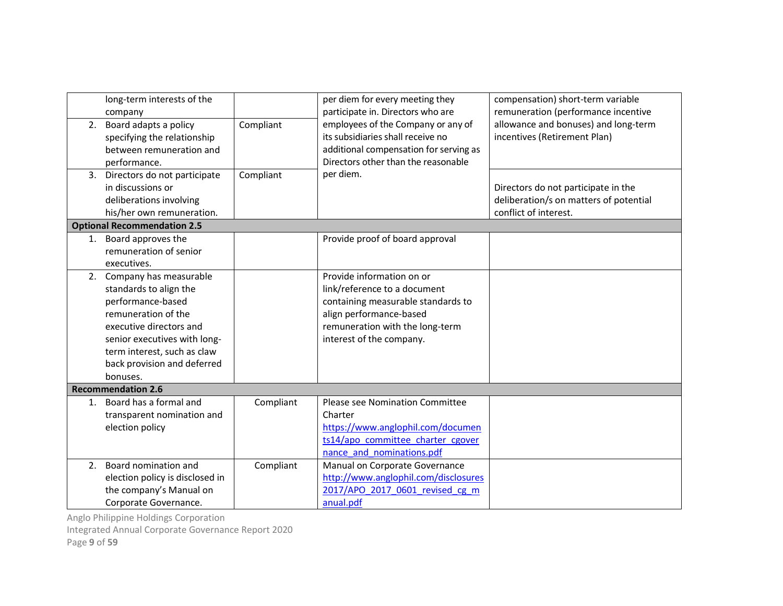|    | long-term interests of the<br>company                                                                                                                                                                                                |           | per diem for every meeting they<br>participate in. Directors who are                                                                                                                      | compensation) short-term variable<br>remuneration (performance incentive                               |
|----|--------------------------------------------------------------------------------------------------------------------------------------------------------------------------------------------------------------------------------------|-----------|-------------------------------------------------------------------------------------------------------------------------------------------------------------------------------------------|--------------------------------------------------------------------------------------------------------|
| 2. | Board adapts a policy<br>specifying the relationship<br>between remuneration and<br>performance.                                                                                                                                     | Compliant | employees of the Company or any of<br>its subsidiaries shall receive no<br>additional compensation for serving as<br>Directors other than the reasonable                                  | allowance and bonuses) and long-term<br>incentives (Retirement Plan)                                   |
| 3. | Directors do not participate<br>in discussions or<br>deliberations involving<br>his/her own remuneration.                                                                                                                            | Compliant | per diem.                                                                                                                                                                                 | Directors do not participate in the<br>deliberation/s on matters of potential<br>conflict of interest. |
|    | <b>Optional Recommendation 2.5</b>                                                                                                                                                                                                   |           |                                                                                                                                                                                           |                                                                                                        |
| 1. | Board approves the<br>remuneration of senior<br>executives.                                                                                                                                                                          |           | Provide proof of board approval                                                                                                                                                           |                                                                                                        |
|    | 2. Company has measurable<br>standards to align the<br>performance-based<br>remuneration of the<br>executive directors and<br>senior executives with long-<br>term interest, such as claw<br>back provision and deferred<br>bonuses. |           | Provide information on or<br>link/reference to a document<br>containing measurable standards to<br>align performance-based<br>remuneration with the long-term<br>interest of the company. |                                                                                                        |
|    | <b>Recommendation 2.6</b>                                                                                                                                                                                                            |           |                                                                                                                                                                                           |                                                                                                        |
| 1. | Board has a formal and<br>transparent nomination and<br>election policy                                                                                                                                                              | Compliant | Please see Nomination Committee<br>Charter<br>https://www.anglophil.com/documen<br>ts14/apo committee charter cgover<br>nance and nominations.pdf                                         |                                                                                                        |
| 2. | Board nomination and<br>election policy is disclosed in<br>the company's Manual on<br>Corporate Governance.                                                                                                                          | Compliant | Manual on Corporate Governance<br>http://www.anglophil.com/disclosures<br>2017/APO 2017 0601 revised cg m<br>anual.pdf                                                                    |                                                                                                        |

Integrated Annual Corporate Governance Report 2020

Page 9 of 59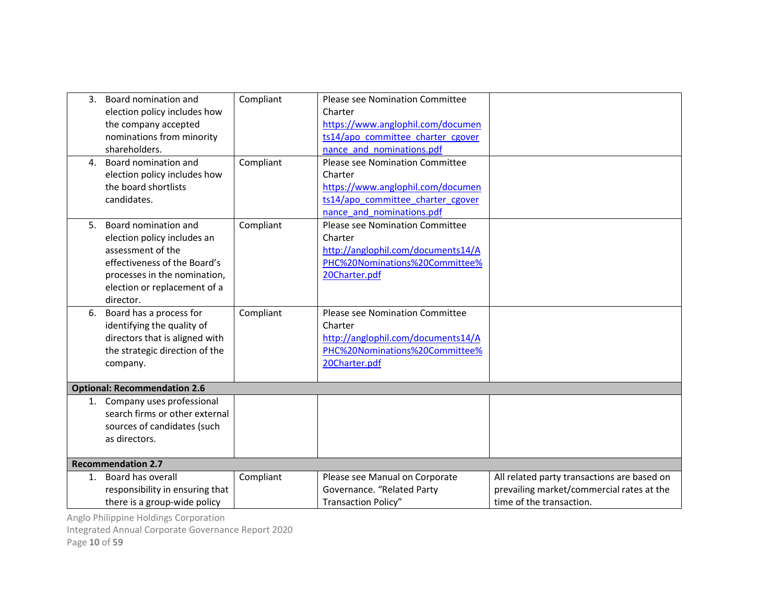|    | 3. Board nomination and<br>election policy includes how<br>the company accepted<br>nominations from minority<br>shareholders.                                                         | Compliant | Please see Nomination Committee<br>Charter<br>https://www.anglophil.com/documen<br>ts14/apo committee charter cgover<br>nance and nominations.pdf        |                                                                                                                      |
|----|---------------------------------------------------------------------------------------------------------------------------------------------------------------------------------------|-----------|----------------------------------------------------------------------------------------------------------------------------------------------------------|----------------------------------------------------------------------------------------------------------------------|
| 4. | Board nomination and<br>election policy includes how<br>the board shortlists<br>candidates.                                                                                           | Compliant | <b>Please see Nomination Committee</b><br>Charter<br>https://www.anglophil.com/documen<br>ts14/apo committee charter cgover<br>nance and nominations.pdf |                                                                                                                      |
| 5. | Board nomination and<br>election policy includes an<br>assessment of the<br>effectiveness of the Board's<br>processes in the nomination,<br>election or replacement of a<br>director. | Compliant | <b>Please see Nomination Committee</b><br>Charter<br>http://anglophil.com/documents14/A<br>PHC%20Nominations%20Committee%<br>20Charter.pdf               |                                                                                                                      |
| 6. | Board has a process for<br>identifying the quality of<br>directors that is aligned with<br>the strategic direction of the<br>company.                                                 | Compliant | Please see Nomination Committee<br>Charter<br>http://anglophil.com/documents14/A<br>PHC%20Nominations%20Committee%<br>20Charter.pdf                      |                                                                                                                      |
|    | <b>Optional: Recommendation 2.6</b>                                                                                                                                                   |           |                                                                                                                                                          |                                                                                                                      |
|    | 1. Company uses professional<br>search firms or other external<br>sources of candidates (such<br>as directors.                                                                        |           |                                                                                                                                                          |                                                                                                                      |
|    | <b>Recommendation 2.7</b>                                                                                                                                                             |           |                                                                                                                                                          |                                                                                                                      |
| 1. | Board has overall<br>responsibility in ensuring that<br>there is a group-wide policy                                                                                                  | Compliant | Please see Manual on Corporate<br>Governance. "Related Party<br>Transaction Policy"                                                                      | All related party transactions are based on<br>prevailing market/commercial rates at the<br>time of the transaction. |

Integrated Annual Corporate Governance Report 2020

Page 10 of 59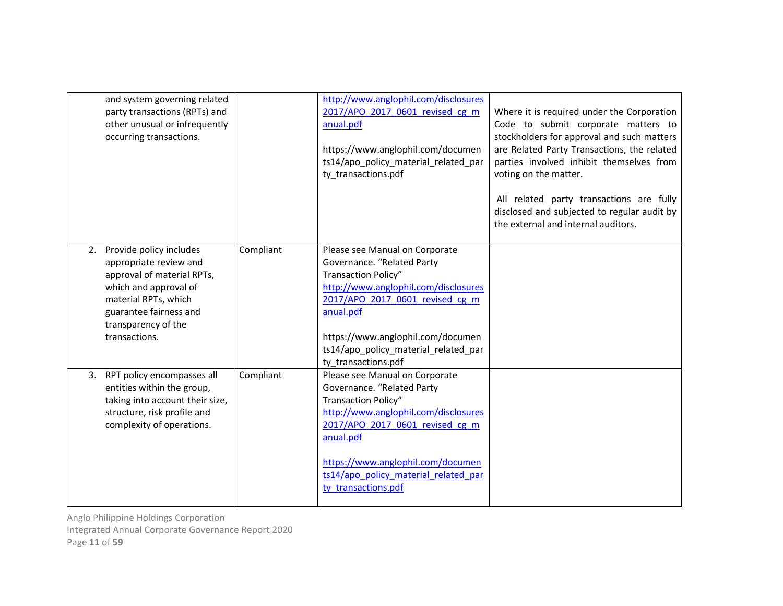| and system governing related<br>party transactions (RPTs) and<br>other unusual or infrequently<br>occurring transactions.                                                                             |           | http://www.anglophil.com/disclosures<br>2017/APO 2017 0601 revised cg m<br>anual.pdf<br>https://www.anglophil.com/documen<br>ts14/apo_policy_material_related_par<br>ty transactions.pdf                                                                                        | Where it is required under the Corporation<br>Code to submit corporate matters to<br>stockholders for approval and such matters<br>are Related Party Transactions, the related<br>parties involved inhibit themselves from<br>voting on the matter.<br>All related party transactions are fully<br>disclosed and subjected to regular audit by<br>the external and internal auditors. |
|-------------------------------------------------------------------------------------------------------------------------------------------------------------------------------------------------------|-----------|---------------------------------------------------------------------------------------------------------------------------------------------------------------------------------------------------------------------------------------------------------------------------------|---------------------------------------------------------------------------------------------------------------------------------------------------------------------------------------------------------------------------------------------------------------------------------------------------------------------------------------------------------------------------------------|
| 2. Provide policy includes<br>appropriate review and<br>approval of material RPTs,<br>which and approval of<br>material RPTs, which<br>guarantee fairness and<br>transparency of the<br>transactions. | Compliant | Please see Manual on Corporate<br>Governance. "Related Party<br>Transaction Policy"<br>http://www.anglophil.com/disclosures<br>2017/APO 2017 0601 revised cg m<br>anual.pdf<br>https://www.anglophil.com/documen<br>ts14/apo_policy_material_related_par<br>ty_transactions.pdf |                                                                                                                                                                                                                                                                                                                                                                                       |
| 3. RPT policy encompasses all<br>entities within the group,<br>taking into account their size,<br>structure, risk profile and<br>complexity of operations.                                            | Compliant | Please see Manual on Corporate<br>Governance. "Related Party<br>Transaction Policy"<br>http://www.anglophil.com/disclosures<br>2017/APO 2017 0601 revised cg m<br>anual.pdf<br>https://www.anglophil.com/documen<br>ts14/apo policy material related par<br>ty transactions.pdf |                                                                                                                                                                                                                                                                                                                                                                                       |

Integrated Annual Corporate Governance Report 2020

Page 11 of 59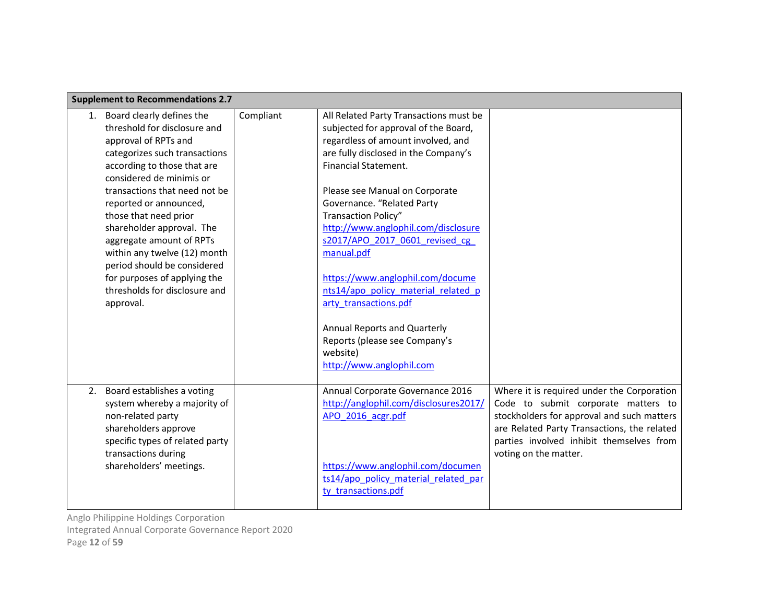| <b>Supplement to Recommendations 2.7</b>                                                                                                                                                                                                                                                                                                                                                                                                                                      |           |                                                                                                                                                                                                                                                                                                                                                                                                                                                                                                                                                                                               |                                                                                                                                                                                                                                                     |
|-------------------------------------------------------------------------------------------------------------------------------------------------------------------------------------------------------------------------------------------------------------------------------------------------------------------------------------------------------------------------------------------------------------------------------------------------------------------------------|-----------|-----------------------------------------------------------------------------------------------------------------------------------------------------------------------------------------------------------------------------------------------------------------------------------------------------------------------------------------------------------------------------------------------------------------------------------------------------------------------------------------------------------------------------------------------------------------------------------------------|-----------------------------------------------------------------------------------------------------------------------------------------------------------------------------------------------------------------------------------------------------|
| Board clearly defines the<br>1.<br>threshold for disclosure and<br>approval of RPTs and<br>categorizes such transactions<br>according to those that are<br>considered de minimis or<br>transactions that need not be<br>reported or announced,<br>those that need prior<br>shareholder approval. The<br>aggregate amount of RPTs<br>within any twelve (12) month<br>period should be considered<br>for purposes of applying the<br>thresholds for disclosure and<br>approval. | Compliant | All Related Party Transactions must be<br>subjected for approval of the Board,<br>regardless of amount involved, and<br>are fully disclosed in the Company's<br>Financial Statement.<br>Please see Manual on Corporate<br>Governance. "Related Party<br><b>Transaction Policy"</b><br>http://www.anglophil.com/disclosure<br>s2017/APO 2017 0601 revised cg<br>manual.pdf<br>https://www.anglophil.com/docume<br>nts14/apo policy material related p<br>arty transactions.pdf<br><b>Annual Reports and Quarterly</b><br>Reports (please see Company's<br>website)<br>http://www.anglophil.com |                                                                                                                                                                                                                                                     |
| Board establishes a voting<br>2.<br>system whereby a majority of<br>non-related party<br>shareholders approve<br>specific types of related party<br>transactions during<br>shareholders' meetings.                                                                                                                                                                                                                                                                            |           | Annual Corporate Governance 2016<br>http://anglophil.com/disclosures2017/<br>APO 2016 acgr.pdf<br>https://www.anglophil.com/documen<br>ts14/apo policy material related par<br>ty transactions.pdf                                                                                                                                                                                                                                                                                                                                                                                            | Where it is required under the Corporation<br>Code to submit corporate matters to<br>stockholders for approval and such matters<br>are Related Party Transactions, the related<br>parties involved inhibit themselves from<br>voting on the matter. |

Integrated Annual Corporate Governance Report 2020

Page 12 of 59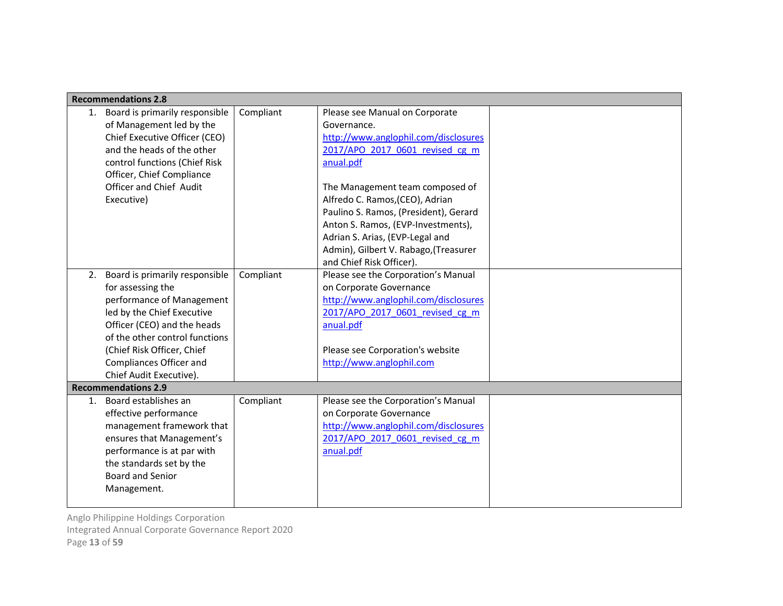|    | <b>Recommendations 2.8</b>     |           |                                       |  |
|----|--------------------------------|-----------|---------------------------------------|--|
| 1. | Board is primarily responsible | Compliant | Please see Manual on Corporate        |  |
|    | of Management led by the       |           | Governance.                           |  |
|    | Chief Executive Officer (CEO)  |           | http://www.anglophil.com/disclosures  |  |
|    | and the heads of the other     |           | 2017/APO 2017 0601 revised cg m       |  |
|    | control functions (Chief Risk  |           | anual.pdf                             |  |
|    | Officer, Chief Compliance      |           |                                       |  |
|    | Officer and Chief Audit        |           | The Management team composed of       |  |
|    | Executive)                     |           | Alfredo C. Ramos, (CEO), Adrian       |  |
|    |                                |           | Paulino S. Ramos, (President), Gerard |  |
|    |                                |           | Anton S. Ramos, (EVP-Investments),    |  |
|    |                                |           | Adrian S. Arias, (EVP-Legal and       |  |
|    |                                |           | Admin), Gilbert V. Rabago, (Treasurer |  |
|    |                                |           | and Chief Risk Officer).              |  |
| 2. | Board is primarily responsible | Compliant | Please see the Corporation's Manual   |  |
|    | for assessing the              |           | on Corporate Governance               |  |
|    | performance of Management      |           | http://www.anglophil.com/disclosures  |  |
|    | led by the Chief Executive     |           | 2017/APO 2017 0601 revised cg m       |  |
|    | Officer (CEO) and the heads    |           | anual.pdf                             |  |
|    | of the other control functions |           |                                       |  |
|    | (Chief Risk Officer, Chief     |           | Please see Corporation's website      |  |
|    | Compliances Officer and        |           | http://www.anglophil.com              |  |
|    | Chief Audit Executive).        |           |                                       |  |
|    | <b>Recommendations 2.9</b>     |           |                                       |  |
| 1. | Board establishes an           | Compliant | Please see the Corporation's Manual   |  |
|    | effective performance          |           | on Corporate Governance               |  |
|    | management framework that      |           | http://www.anglophil.com/disclosures  |  |
|    | ensures that Management's      |           | 2017/APO 2017 0601 revised cg m       |  |
|    | performance is at par with     |           | anual.pdf                             |  |
|    | the standards set by the       |           |                                       |  |
|    | <b>Board and Senior</b>        |           |                                       |  |
|    | Management.                    |           |                                       |  |
|    |                                |           |                                       |  |

Integrated Annual Corporate Governance Report 2020

Page 13 of 59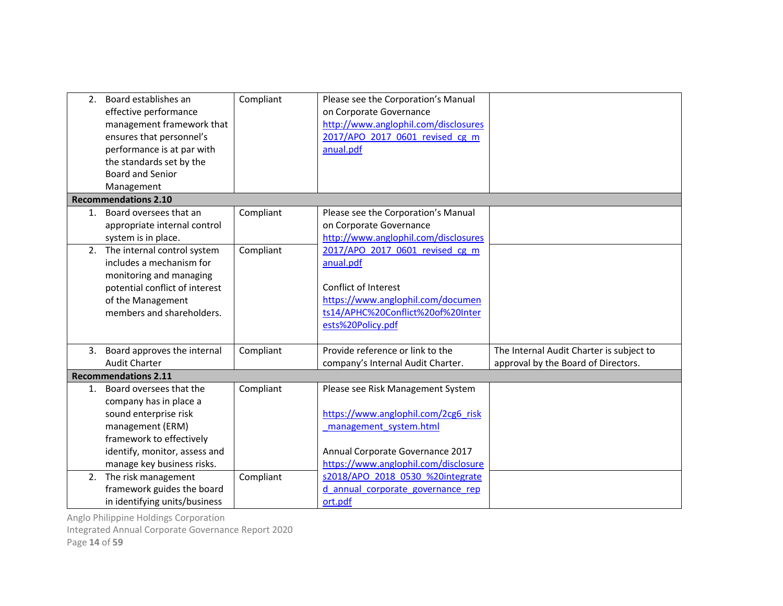|    | 2. Board establishes an<br>effective performance<br>management framework that<br>ensures that personnel's<br>performance is at par with<br>the standards set by the<br><b>Board and Senior</b> | Compliant | Please see the Corporation's Manual<br>on Corporate Governance<br>http://www.anglophil.com/disclosures<br>2017/APO 2017 0601 revised cg m<br>anual.pdf                         |                                                                                 |
|----|------------------------------------------------------------------------------------------------------------------------------------------------------------------------------------------------|-----------|--------------------------------------------------------------------------------------------------------------------------------------------------------------------------------|---------------------------------------------------------------------------------|
|    | Management<br><b>Recommendations 2.10</b>                                                                                                                                                      |           |                                                                                                                                                                                |                                                                                 |
| 1. | Board oversees that an<br>appropriate internal control<br>system is in place.                                                                                                                  | Compliant | Please see the Corporation's Manual<br>on Corporate Governance<br>http://www.anglophil.com/disclosures                                                                         |                                                                                 |
| 2. | The internal control system<br>includes a mechanism for<br>monitoring and managing<br>potential conflict of interest<br>of the Management<br>members and shareholders.                         | Compliant | 2017/APO 2017 0601 revised cg m<br>anual.pdf<br>Conflict of Interest<br>https://www.anglophil.com/documen<br>ts14/APHC%20Conflict%20of%20Inter<br>ests%20Policy.pdf            |                                                                                 |
|    | 3. Board approves the internal<br><b>Audit Charter</b>                                                                                                                                         | Compliant | Provide reference or link to the<br>company's Internal Audit Charter.                                                                                                          | The Internal Audit Charter is subject to<br>approval by the Board of Directors. |
|    | <b>Recommendations 2.11</b>                                                                                                                                                                    |           |                                                                                                                                                                                |                                                                                 |
| 1. | Board oversees that the<br>company has in place a<br>sound enterprise risk<br>management (ERM)<br>framework to effectively<br>identify, monitor, assess and<br>manage key business risks.      | Compliant | Please see Risk Management System<br>https://www.anglophil.com/2cg6 risk<br>management system.html<br>Annual Corporate Governance 2017<br>https://www.anglophil.com/disclosure |                                                                                 |
| 2. | The risk management<br>framework guides the board<br>in identifying units/business                                                                                                             | Compliant | s2018/APO 2018 0530 %20integrate<br>d annual corporate governance rep<br>ort.pdf                                                                                               |                                                                                 |

Integrated Annual Corporate Governance Report 2020

Page 14 of 59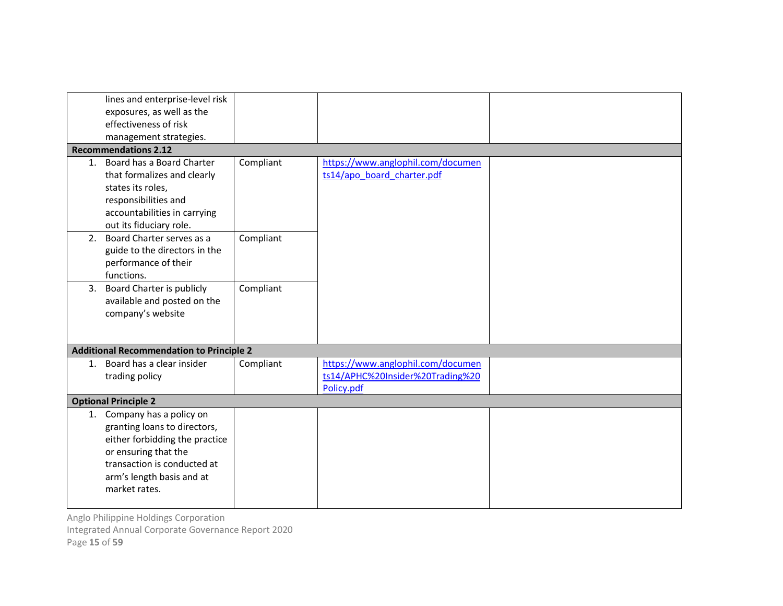|    | lines and enterprise-level risk                 |           |                                   |  |
|----|-------------------------------------------------|-----------|-----------------------------------|--|
|    | exposures, as well as the                       |           |                                   |  |
|    | effectiveness of risk                           |           |                                   |  |
|    | management strategies.                          |           |                                   |  |
|    | <b>Recommendations 2.12</b>                     |           |                                   |  |
|    | 1. Board has a Board Charter                    | Compliant | https://www.anglophil.com/documen |  |
|    | that formalizes and clearly                     |           | ts14/apo board charter.pdf        |  |
|    | states its roles,                               |           |                                   |  |
|    | responsibilities and                            |           |                                   |  |
|    | accountabilities in carrying                    |           |                                   |  |
|    | out its fiduciary role.                         |           |                                   |  |
| 2. | Board Charter serves as a                       | Compliant |                                   |  |
|    | guide to the directors in the                   |           |                                   |  |
|    | performance of their                            |           |                                   |  |
|    |                                                 |           |                                   |  |
|    | functions.                                      |           |                                   |  |
| 3. | Board Charter is publicly                       | Compliant |                                   |  |
|    | available and posted on the                     |           |                                   |  |
|    | company's website                               |           |                                   |  |
|    |                                                 |           |                                   |  |
|    | <b>Additional Recommendation to Principle 2</b> |           |                                   |  |
|    |                                                 |           |                                   |  |
|    | 1. Board has a clear insider                    | Compliant | https://www.anglophil.com/documen |  |
|    | trading policy                                  |           | ts14/APHC%20Insider%20Trading%20  |  |
|    |                                                 |           | Policy.pdf                        |  |
|    | <b>Optional Principle 2</b>                     |           |                                   |  |
|    | 1. Company has a policy on                      |           |                                   |  |
|    | granting loans to directors,                    |           |                                   |  |
|    | either forbidding the practice                  |           |                                   |  |
|    | or ensuring that the                            |           |                                   |  |
|    | transaction is conducted at                     |           |                                   |  |
|    | arm's length basis and at                       |           |                                   |  |
|    | market rates.                                   |           |                                   |  |
|    |                                                 |           |                                   |  |

Integrated Annual Corporate Governance Report 2020

Page 15 of 59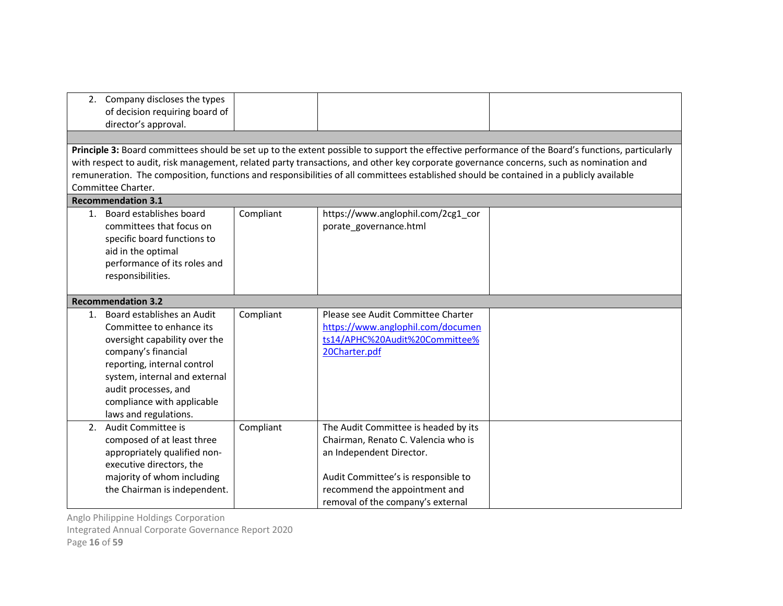|    | 2. Company discloses the types |           |                                                                                                                                         |                                                                                                                                                   |
|----|--------------------------------|-----------|-----------------------------------------------------------------------------------------------------------------------------------------|---------------------------------------------------------------------------------------------------------------------------------------------------|
|    | of decision requiring board of |           |                                                                                                                                         |                                                                                                                                                   |
|    | director's approval.           |           |                                                                                                                                         |                                                                                                                                                   |
|    |                                |           |                                                                                                                                         |                                                                                                                                                   |
|    |                                |           |                                                                                                                                         | Principle 3: Board committees should be set up to the extent possible to support the effective performance of the Board's functions, particularly |
|    |                                |           | with respect to audit, risk management, related party transactions, and other key corporate governance concerns, such as nomination and |                                                                                                                                                   |
|    |                                |           | remuneration. The composition, functions and responsibilities of all committees established should be contained in a publicly available |                                                                                                                                                   |
|    | Committee Charter.             |           |                                                                                                                                         |                                                                                                                                                   |
|    | <b>Recommendation 3.1</b>      |           |                                                                                                                                         |                                                                                                                                                   |
|    | 1. Board establishes board     | Compliant | https://www.anglophil.com/2cg1_cor                                                                                                      |                                                                                                                                                   |
|    | committees that focus on       |           | porate governance.html                                                                                                                  |                                                                                                                                                   |
|    | specific board functions to    |           |                                                                                                                                         |                                                                                                                                                   |
|    | aid in the optimal             |           |                                                                                                                                         |                                                                                                                                                   |
|    | performance of its roles and   |           |                                                                                                                                         |                                                                                                                                                   |
|    | responsibilities.              |           |                                                                                                                                         |                                                                                                                                                   |
|    |                                |           |                                                                                                                                         |                                                                                                                                                   |
|    | <b>Recommendation 3.2</b>      |           |                                                                                                                                         |                                                                                                                                                   |
| 1. | Board establishes an Audit     | Compliant | Please see Audit Committee Charter                                                                                                      |                                                                                                                                                   |
|    | Committee to enhance its       |           | https://www.anglophil.com/documen                                                                                                       |                                                                                                                                                   |
|    | oversight capability over the  |           | ts14/APHC%20Audit%20Committee%                                                                                                          |                                                                                                                                                   |
|    | company's financial            |           | 20Charter.pdf                                                                                                                           |                                                                                                                                                   |
|    | reporting, internal control    |           |                                                                                                                                         |                                                                                                                                                   |
|    | system, internal and external  |           |                                                                                                                                         |                                                                                                                                                   |
|    | audit processes, and           |           |                                                                                                                                         |                                                                                                                                                   |
|    | compliance with applicable     |           |                                                                                                                                         |                                                                                                                                                   |
|    | laws and regulations.          |           |                                                                                                                                         |                                                                                                                                                   |
| 2. | Audit Committee is             | Compliant | The Audit Committee is headed by its                                                                                                    |                                                                                                                                                   |
|    | composed of at least three     |           | Chairman, Renato C. Valencia who is                                                                                                     |                                                                                                                                                   |
|    | appropriately qualified non-   |           | an Independent Director.                                                                                                                |                                                                                                                                                   |
|    | executive directors, the       |           |                                                                                                                                         |                                                                                                                                                   |
|    | majority of whom including     |           | Audit Committee's is responsible to                                                                                                     |                                                                                                                                                   |
|    | the Chairman is independent.   |           | recommend the appointment and                                                                                                           |                                                                                                                                                   |
|    |                                |           | removal of the company's external                                                                                                       |                                                                                                                                                   |

Integrated Annual Corporate Governance Report 2020

Page 16 of 59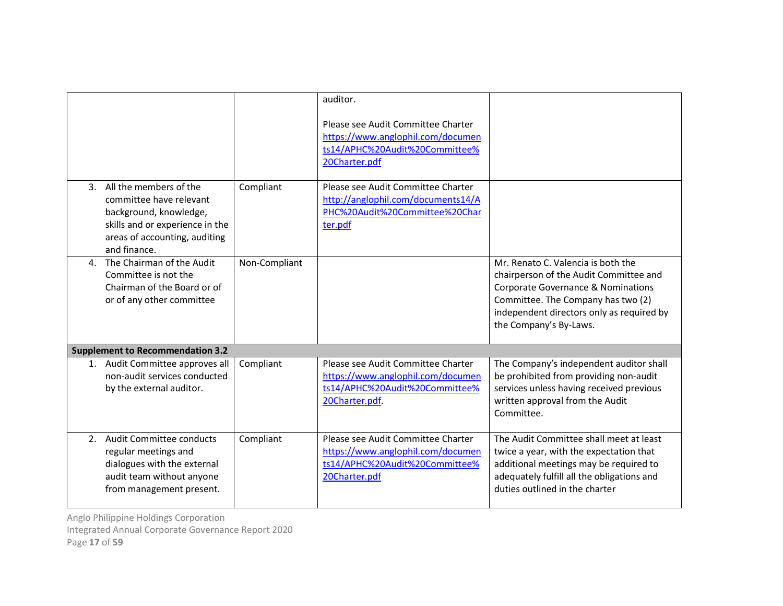|    |                                                                                                                                                                    |               | auditor.<br>Please see Audit Committee Charter<br>https://www.anglophil.com/documen<br>ts14/APHC%20Audit%20Committee%<br>20Charter.pdf |                                                                                                                                                                                                                                 |
|----|--------------------------------------------------------------------------------------------------------------------------------------------------------------------|---------------|----------------------------------------------------------------------------------------------------------------------------------------|---------------------------------------------------------------------------------------------------------------------------------------------------------------------------------------------------------------------------------|
|    | 3. All the members of the<br>committee have relevant<br>background, knowledge,<br>skills and or experience in the<br>areas of accounting, auditing<br>and finance. | Compliant     | Please see Audit Committee Charter<br>http://anglophil.com/documents14/A<br>PHC%20Audit%20Committee%20Char<br>ter.pdf                  |                                                                                                                                                                                                                                 |
|    | 4. The Chairman of the Audit<br>Committee is not the<br>Chairman of the Board or of<br>or of any other committee                                                   | Non-Compliant |                                                                                                                                        | Mr. Renato C. Valencia is both the<br>chairperson of the Audit Committee and<br>Corporate Governance & Nominations<br>Committee. The Company has two (2)<br>independent directors only as required by<br>the Company's By-Laws. |
|    | <b>Supplement to Recommendation 3.2</b>                                                                                                                            |               |                                                                                                                                        |                                                                                                                                                                                                                                 |
|    | 1. Audit Committee approves all<br>non-audit services conducted<br>by the external auditor.                                                                        | Compliant     | Please see Audit Committee Charter<br>https://www.anglophil.com/documen<br>ts14/APHC%20Audit%20Committee%<br>20Charter.pdf             | The Company's independent auditor shall<br>be prohibited from providing non-audit<br>services unless having received previous<br>written approval from the Audit<br>Committee.                                                  |
| 2. | Audit Committee conducts<br>regular meetings and<br>dialogues with the external<br>audit team without anyone<br>from management present.                           | Compliant     | Please see Audit Committee Charter<br>https://www.anglophil.com/documen<br>ts14/APHC%20Audit%20Committee%<br>20Charter.pdf             | The Audit Committee shall meet at least<br>twice a year, with the expectation that<br>additional meetings may be required to<br>adequately fulfill all the obligations and<br>duties outlined in the charter                    |

Integrated Annual Corporate Governance Report 2020

Page 17 of 59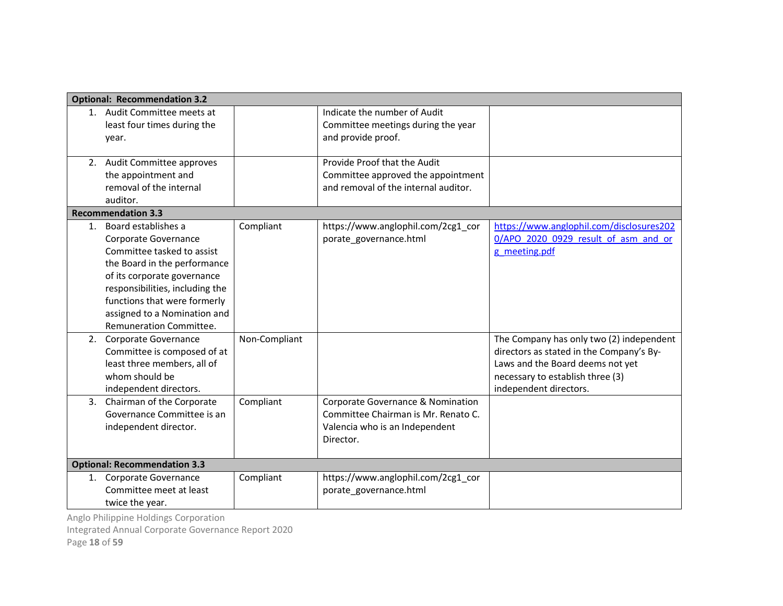|    | <b>Optional: Recommendation 3.2</b>                                                                                                                                                                                                                                                                         |                            |                                                                                                                         |                                                                                                                                               |
|----|-------------------------------------------------------------------------------------------------------------------------------------------------------------------------------------------------------------------------------------------------------------------------------------------------------------|----------------------------|-------------------------------------------------------------------------------------------------------------------------|-----------------------------------------------------------------------------------------------------------------------------------------------|
|    | 1. Audit Committee meets at                                                                                                                                                                                                                                                                                 |                            | Indicate the number of Audit                                                                                            |                                                                                                                                               |
|    | least four times during the                                                                                                                                                                                                                                                                                 |                            | Committee meetings during the year                                                                                      |                                                                                                                                               |
|    | year.                                                                                                                                                                                                                                                                                                       |                            | and provide proof.                                                                                                      |                                                                                                                                               |
|    | 2. Audit Committee approves<br>the appointment and<br>removal of the internal<br>auditor.                                                                                                                                                                                                                   |                            | Provide Proof that the Audit<br>Committee approved the appointment<br>and removal of the internal auditor.              |                                                                                                                                               |
|    | <b>Recommendation 3.3</b>                                                                                                                                                                                                                                                                                   |                            |                                                                                                                         |                                                                                                                                               |
|    | 1. Board establishes a<br>Corporate Governance<br>Committee tasked to assist<br>the Board in the performance<br>of its corporate governance<br>responsibilities, including the<br>functions that were formerly<br>assigned to a Nomination and<br><b>Remuneration Committee.</b><br>2. Corporate Governance | Compliant<br>Non-Compliant | https://www.anglophil.com/2cg1_cor<br>porate_governance.html                                                            | https://www.anglophil.com/disclosures202<br>0/APO 2020 0929 result of asm and or<br>g meeting.pdf<br>The Company has only two (2) independent |
|    | Committee is composed of at<br>least three members, all of<br>whom should be<br>independent directors.                                                                                                                                                                                                      |                            |                                                                                                                         | directors as stated in the Company's By-<br>Laws and the Board deems not yet<br>necessary to establish three (3)<br>independent directors.    |
| 3. | Chairman of the Corporate<br>Governance Committee is an<br>independent director.                                                                                                                                                                                                                            | Compliant                  | Corporate Governance & Nomination<br>Committee Chairman is Mr. Renato C.<br>Valencia who is an Independent<br>Director. |                                                                                                                                               |
|    | <b>Optional: Recommendation 3.3</b>                                                                                                                                                                                                                                                                         |                            |                                                                                                                         |                                                                                                                                               |
|    | 1. Corporate Governance                                                                                                                                                                                                                                                                                     | Compliant                  | https://www.anglophil.com/2cg1_cor                                                                                      |                                                                                                                                               |
|    | Committee meet at least<br>twice the year.                                                                                                                                                                                                                                                                  |                            | porate governance.html                                                                                                  |                                                                                                                                               |

Integrated Annual Corporate Governance Report 2020

Page 18 of 59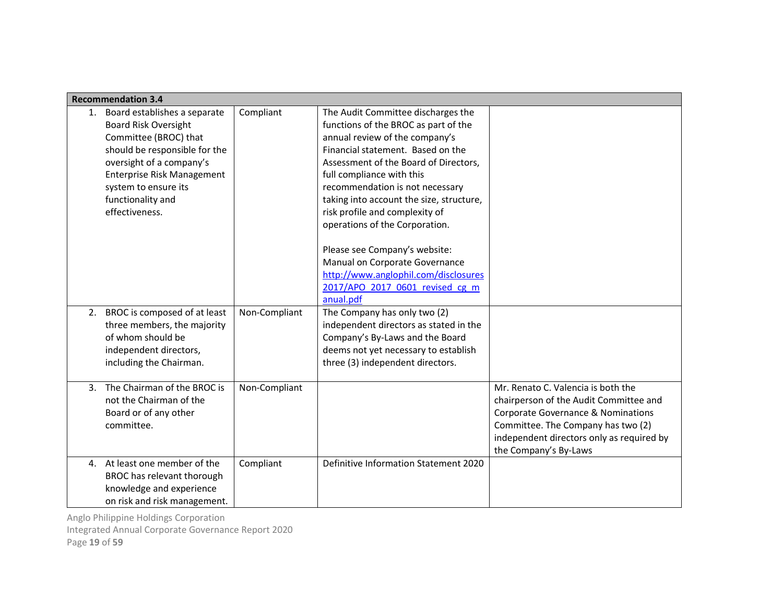|    | <b>Recommendation 3.4</b>                                                                                                                                                                                                                             |               |                                                                                                                                                                                                                                                                                                                                                                                                                                                                                                                                       |                                                                                                                                                                                                                                |
|----|-------------------------------------------------------------------------------------------------------------------------------------------------------------------------------------------------------------------------------------------------------|---------------|---------------------------------------------------------------------------------------------------------------------------------------------------------------------------------------------------------------------------------------------------------------------------------------------------------------------------------------------------------------------------------------------------------------------------------------------------------------------------------------------------------------------------------------|--------------------------------------------------------------------------------------------------------------------------------------------------------------------------------------------------------------------------------|
| 1. | Board establishes a separate<br><b>Board Risk Oversight</b><br>Committee (BROC) that<br>should be responsible for the<br>oversight of a company's<br><b>Enterprise Risk Management</b><br>system to ensure its<br>functionality and<br>effectiveness. | Compliant     | The Audit Committee discharges the<br>functions of the BROC as part of the<br>annual review of the company's<br>Financial statement. Based on the<br>Assessment of the Board of Directors,<br>full compliance with this<br>recommendation is not necessary<br>taking into account the size, structure,<br>risk profile and complexity of<br>operations of the Corporation.<br>Please see Company's website:<br>Manual on Corporate Governance<br>http://www.anglophil.com/disclosures<br>2017/APO 2017 0601 revised cg m<br>anual.pdf |                                                                                                                                                                                                                                |
|    | 2. BROC is composed of at least<br>three members, the majority<br>of whom should be<br>independent directors,<br>including the Chairman.                                                                                                              | Non-Compliant | The Company has only two (2)<br>independent directors as stated in the<br>Company's By-Laws and the Board<br>deems not yet necessary to establish<br>three (3) independent directors.                                                                                                                                                                                                                                                                                                                                                 |                                                                                                                                                                                                                                |
| 3. | The Chairman of the BROC is<br>not the Chairman of the<br>Board or of any other<br>committee.                                                                                                                                                         | Non-Compliant |                                                                                                                                                                                                                                                                                                                                                                                                                                                                                                                                       | Mr. Renato C. Valencia is both the<br>chairperson of the Audit Committee and<br>Corporate Governance & Nominations<br>Committee. The Company has two (2)<br>independent directors only as required by<br>the Company's By-Laws |
|    | 4. At least one member of the<br>BROC has relevant thorough<br>knowledge and experience<br>on risk and risk management.                                                                                                                               | Compliant     | Definitive Information Statement 2020                                                                                                                                                                                                                                                                                                                                                                                                                                                                                                 |                                                                                                                                                                                                                                |

Anglo Philippine Holdings Corporation Integrated Annual Corporate Governance Report 2020

Page 19 of 59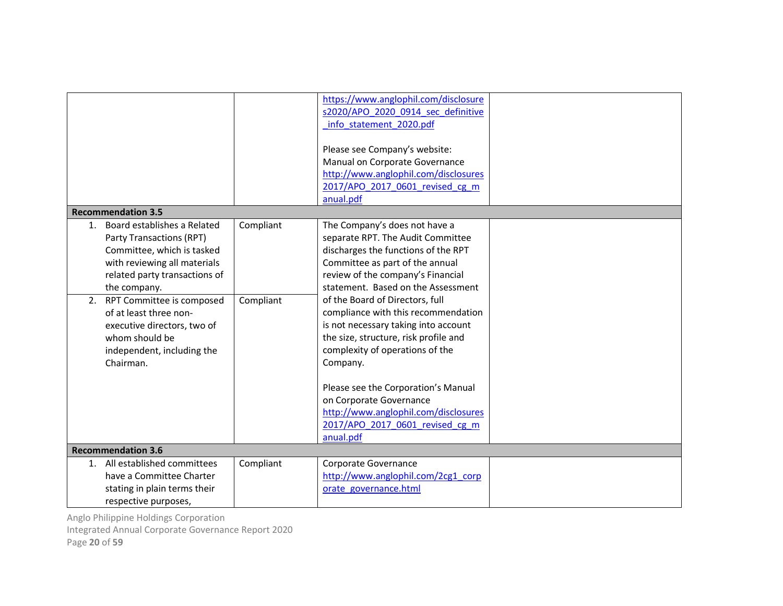| <b>Recommendation 3.5</b>                                                                                                                                                                                                                                                                                                             |                        | https://www.anglophil.com/disclosure<br>s2020/APO 2020 0914 sec definitive<br>info statement 2020.pdf<br>Please see Company's website:<br>Manual on Corporate Governance<br>http://www.anglophil.com/disclosures<br>2017/APO 2017 0601 revised cg m<br>anual.pdf                                                                                                                                                                                                                                                                                                                            |  |
|---------------------------------------------------------------------------------------------------------------------------------------------------------------------------------------------------------------------------------------------------------------------------------------------------------------------------------------|------------------------|---------------------------------------------------------------------------------------------------------------------------------------------------------------------------------------------------------------------------------------------------------------------------------------------------------------------------------------------------------------------------------------------------------------------------------------------------------------------------------------------------------------------------------------------------------------------------------------------|--|
| Board establishes a Related<br>1.<br>Party Transactions (RPT)<br>Committee, which is tasked<br>with reviewing all materials<br>related party transactions of<br>the company.<br>RPT Committee is composed<br>2.<br>of at least three non-<br>executive directors, two of<br>whom should be<br>independent, including the<br>Chairman. | Compliant<br>Compliant | The Company's does not have a<br>separate RPT. The Audit Committee<br>discharges the functions of the RPT<br>Committee as part of the annual<br>review of the company's Financial<br>statement. Based on the Assessment<br>of the Board of Directors, full<br>compliance with this recommendation<br>is not necessary taking into account<br>the size, structure, risk profile and<br>complexity of operations of the<br>Company.<br>Please see the Corporation's Manual<br>on Corporate Governance<br>http://www.anglophil.com/disclosures<br>2017/APO 2017 0601 revised cg m<br>anual.pdf |  |
| <b>Recommendation 3.6</b><br>All established committees<br>1.<br>have a Committee Charter<br>stating in plain terms their<br>respective purposes,                                                                                                                                                                                     | Compliant              | Corporate Governance<br>http://www.anglophil.com/2cg1_corp<br>orate governance.html                                                                                                                                                                                                                                                                                                                                                                                                                                                                                                         |  |

Integrated Annual Corporate Governance Report 2020

Page 20 of 59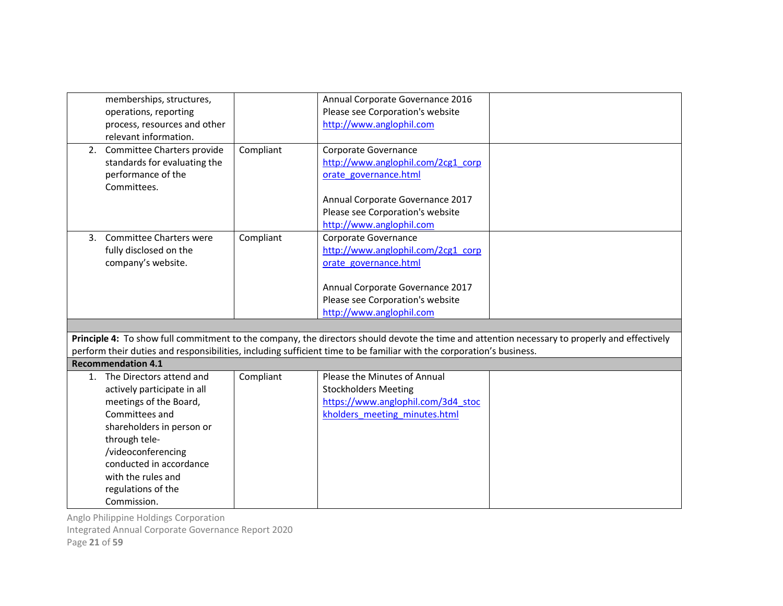|    | memberships, structures,       |           | Annual Corporate Governance 2016                                                                                     |                                                                                                                                               |
|----|--------------------------------|-----------|----------------------------------------------------------------------------------------------------------------------|-----------------------------------------------------------------------------------------------------------------------------------------------|
|    | operations, reporting          |           | Please see Corporation's website                                                                                     |                                                                                                                                               |
|    | process, resources and other   |           | http://www.anglophil.com                                                                                             |                                                                                                                                               |
|    | relevant information.          |           |                                                                                                                      |                                                                                                                                               |
|    | 2. Committee Charters provide  | Compliant | Corporate Governance                                                                                                 |                                                                                                                                               |
|    | standards for evaluating the   |           | http://www.anglophil.com/2cg1_corp                                                                                   |                                                                                                                                               |
|    | performance of the             |           | orate governance.html                                                                                                |                                                                                                                                               |
|    | Committees.                    |           |                                                                                                                      |                                                                                                                                               |
|    |                                |           | Annual Corporate Governance 2017                                                                                     |                                                                                                                                               |
|    |                                |           | Please see Corporation's website                                                                                     |                                                                                                                                               |
|    |                                |           | http://www.anglophil.com                                                                                             |                                                                                                                                               |
| 3. | <b>Committee Charters were</b> | Compliant | Corporate Governance                                                                                                 |                                                                                                                                               |
|    | fully disclosed on the         |           | http://www.anglophil.com/2cg1_corp                                                                                   |                                                                                                                                               |
|    | company's website.             |           | orate governance.html                                                                                                |                                                                                                                                               |
|    |                                |           |                                                                                                                      |                                                                                                                                               |
|    |                                |           | Annual Corporate Governance 2017                                                                                     |                                                                                                                                               |
|    |                                |           | Please see Corporation's website                                                                                     |                                                                                                                                               |
|    |                                |           | http://www.anglophil.com                                                                                             |                                                                                                                                               |
|    |                                |           |                                                                                                                      |                                                                                                                                               |
|    |                                |           |                                                                                                                      | Principle 4: To show full commitment to the company, the directors should devote the time and attention necessary to properly and effectively |
|    |                                |           | perform their duties and responsibilities, including sufficient time to be familiar with the corporation's business. |                                                                                                                                               |
|    | <b>Recommendation 4.1</b>      |           |                                                                                                                      |                                                                                                                                               |
| 1. | The Directors attend and       | Compliant | Please the Minutes of Annual                                                                                         |                                                                                                                                               |
|    | actively participate in all    |           | <b>Stockholders Meeting</b>                                                                                          |                                                                                                                                               |
|    | meetings of the Board,         |           | https://www.anglophil.com/3d4 stoc                                                                                   |                                                                                                                                               |
|    | Committees and                 |           | kholders meeting minutes.html                                                                                        |                                                                                                                                               |
|    | shareholders in person or      |           |                                                                                                                      |                                                                                                                                               |
|    | through tele-                  |           |                                                                                                                      |                                                                                                                                               |
|    | /videoconferencing             |           |                                                                                                                      |                                                                                                                                               |
|    | conducted in accordance        |           |                                                                                                                      |                                                                                                                                               |
|    |                                |           |                                                                                                                      |                                                                                                                                               |
|    | with the rules and             |           |                                                                                                                      |                                                                                                                                               |
|    | regulations of the             |           |                                                                                                                      |                                                                                                                                               |
|    | Commission.                    |           |                                                                                                                      |                                                                                                                                               |

Integrated Annual Corporate Governance Report 2020

Page 21 of 59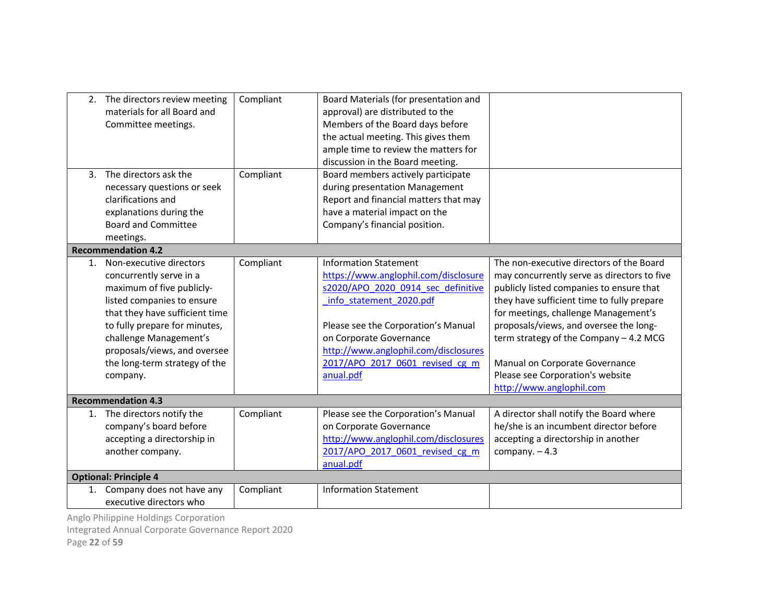| 3. | 2. The directors review meeting<br>materials for all Board and<br>Committee meetings.<br>The directors ask the<br>necessary questions or seek<br>clarifications and                                                                                                                     | Compliant<br>Compliant | Board Materials (for presentation and<br>approval) are distributed to the<br>Members of the Board days before<br>the actual meeting. This gives them<br>ample time to review the matters for<br>discussion in the Board meeting.<br>Board members actively participate<br>during presentation Management<br>Report and financial matters that may |                                                                                                                                                                                                                                                                                                                                                                                                                 |
|----|-----------------------------------------------------------------------------------------------------------------------------------------------------------------------------------------------------------------------------------------------------------------------------------------|------------------------|---------------------------------------------------------------------------------------------------------------------------------------------------------------------------------------------------------------------------------------------------------------------------------------------------------------------------------------------------|-----------------------------------------------------------------------------------------------------------------------------------------------------------------------------------------------------------------------------------------------------------------------------------------------------------------------------------------------------------------------------------------------------------------|
|    | explanations during the                                                                                                                                                                                                                                                                 |                        | have a material impact on the                                                                                                                                                                                                                                                                                                                     |                                                                                                                                                                                                                                                                                                                                                                                                                 |
|    | <b>Board and Committee</b>                                                                                                                                                                                                                                                              |                        | Company's financial position.                                                                                                                                                                                                                                                                                                                     |                                                                                                                                                                                                                                                                                                                                                                                                                 |
|    | meetings.                                                                                                                                                                                                                                                                               |                        |                                                                                                                                                                                                                                                                                                                                                   |                                                                                                                                                                                                                                                                                                                                                                                                                 |
|    | <b>Recommendation 4.2</b>                                                                                                                                                                                                                                                               |                        |                                                                                                                                                                                                                                                                                                                                                   |                                                                                                                                                                                                                                                                                                                                                                                                                 |
| 1. | Non-executive directors<br>concurrently serve in a<br>maximum of five publicly-<br>listed companies to ensure<br>that they have sufficient time<br>to fully prepare for minutes,<br>challenge Management's<br>proposals/views, and oversee<br>the long-term strategy of the<br>company. | Compliant              | <b>Information Statement</b><br>https://www.anglophil.com/disclosure<br>s2020/APO 2020 0914 sec definitive<br>info statement 2020.pdf<br>Please see the Corporation's Manual<br>on Corporate Governance<br>http://www.anglophil.com/disclosures<br>2017/APO 2017 0601 revised cg m<br>anual.pdf                                                   | The non-executive directors of the Board<br>may concurrently serve as directors to five<br>publicly listed companies to ensure that<br>they have sufficient time to fully prepare<br>for meetings, challenge Management's<br>proposals/views, and oversee the long-<br>term strategy of the Company - 4.2 MCG<br>Manual on Corporate Governance<br>Please see Corporation's website<br>http://www.anglophil.com |
|    | <b>Recommendation 4.3</b>                                                                                                                                                                                                                                                               |                        |                                                                                                                                                                                                                                                                                                                                                   |                                                                                                                                                                                                                                                                                                                                                                                                                 |
| 1. | The directors notify the<br>company's board before<br>accepting a directorship in<br>another company.                                                                                                                                                                                   | Compliant              | Please see the Corporation's Manual<br>on Corporate Governance<br>http://www.anglophil.com/disclosures<br>2017/APO 2017 0601 revised cg m<br>anual.pdf                                                                                                                                                                                            | A director shall notify the Board where<br>he/she is an incumbent director before<br>accepting a directorship in another<br>company. $-4.3$                                                                                                                                                                                                                                                                     |
|    | <b>Optional: Principle 4</b>                                                                                                                                                                                                                                                            |                        |                                                                                                                                                                                                                                                                                                                                                   |                                                                                                                                                                                                                                                                                                                                                                                                                 |
|    | 1. Company does not have any<br>executive directors who<br>Angle Dhilinning Holdings Cornoration                                                                                                                                                                                        | Compliant              | <b>Information Statement</b>                                                                                                                                                                                                                                                                                                                      |                                                                                                                                                                                                                                                                                                                                                                                                                 |

Integrated Annual Corporate Governance Report 2020

Page 22 of 59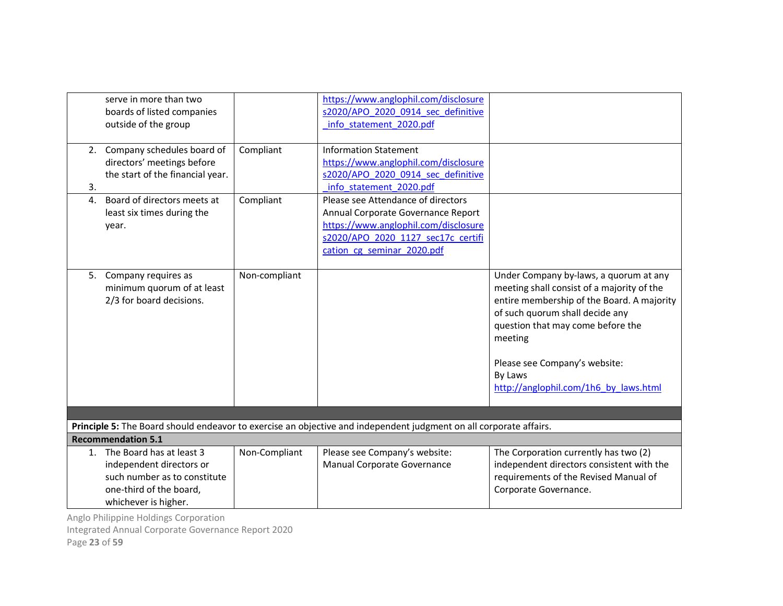|                  | serve in more than two<br>boards of listed companies<br>outside of the group                                                            |               | https://www.anglophil.com/disclosure<br>s2020/APO 2020 0914 sec definitive<br>info statement 2020.pdf                                                                                |                                                                                                                                                                                                                                                                                                            |
|------------------|-----------------------------------------------------------------------------------------------------------------------------------------|---------------|--------------------------------------------------------------------------------------------------------------------------------------------------------------------------------------|------------------------------------------------------------------------------------------------------------------------------------------------------------------------------------------------------------------------------------------------------------------------------------------------------------|
| 3.               | 2. Company schedules board of<br>directors' meetings before<br>the start of the financial year.                                         | Compliant     | <b>Information Statement</b><br>https://www.anglophil.com/disclosure<br>s2020/APO 2020 0914 sec definitive<br>info statement 2020.pdf                                                |                                                                                                                                                                                                                                                                                                            |
| $\overline{4}$ . | Board of directors meets at<br>least six times during the<br>year.                                                                      | Compliant     | Please see Attendance of directors<br>Annual Corporate Governance Report<br>https://www.anglophil.com/disclosure<br>s2020/APO 2020 1127 sec17c certifi<br>cation cg seminar 2020.pdf |                                                                                                                                                                                                                                                                                                            |
|                  | 5. Company requires as<br>minimum quorum of at least<br>2/3 for board decisions.                                                        | Non-compliant |                                                                                                                                                                                      | Under Company by-laws, a quorum at any<br>meeting shall consist of a majority of the<br>entire membership of the Board. A majority<br>of such quorum shall decide any<br>question that may come before the<br>meeting<br>Please see Company's website:<br>By Laws<br>http://anglophil.com/1h6 by laws.html |
|                  |                                                                                                                                         |               | Principle 5: The Board should endeavor to exercise an objective and independent judgment on all corporate affairs.                                                                   |                                                                                                                                                                                                                                                                                                            |
|                  | <b>Recommendation 5.1</b>                                                                                                               |               |                                                                                                                                                                                      |                                                                                                                                                                                                                                                                                                            |
| 1.               | The Board has at least 3<br>independent directors or<br>such number as to constitute<br>one-third of the board,<br>whichever is higher. | Non-Compliant | Please see Company's website:<br>Manual Corporate Governance                                                                                                                         | The Corporation currently has two (2)<br>independent directors consistent with the<br>requirements of the Revised Manual of<br>Corporate Governance.                                                                                                                                                       |

Integrated Annual Corporate Governance Report 2020

Page 23 of 59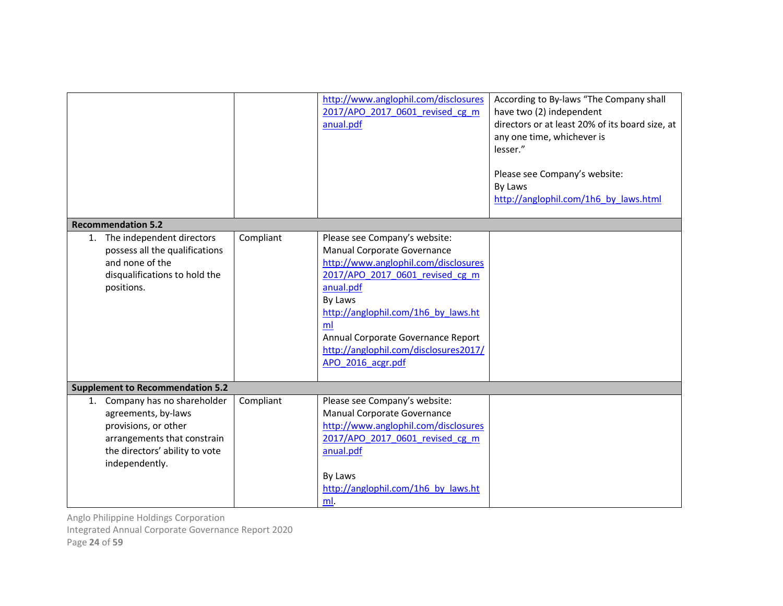|                                                                                                                                                                 |           | http://www.anglophil.com/disclosures<br>2017/APO 2017 0601 revised cg m<br>anual.pdf                                                                                                                                                                                                                             | According to By-laws "The Company shall<br>have two (2) independent<br>directors or at least 20% of its board size, at<br>any one time, whichever is<br>lesser."<br>Please see Company's website:<br>By Laws<br>http://anglophil.com/1h6 by laws.html |
|-----------------------------------------------------------------------------------------------------------------------------------------------------------------|-----------|------------------------------------------------------------------------------------------------------------------------------------------------------------------------------------------------------------------------------------------------------------------------------------------------------------------|-------------------------------------------------------------------------------------------------------------------------------------------------------------------------------------------------------------------------------------------------------|
| <b>Recommendation 5.2</b>                                                                                                                                       |           |                                                                                                                                                                                                                                                                                                                  |                                                                                                                                                                                                                                                       |
| The independent directors<br>1.<br>possess all the qualifications<br>and none of the<br>disqualifications to hold the<br>positions.                             | Compliant | Please see Company's website:<br>Manual Corporate Governance<br>http://www.anglophil.com/disclosures<br>2017/APO 2017 0601 revised cg m<br>anual.pdf<br>By Laws<br>http://anglophil.com/1h6 by laws.ht<br>ml<br>Annual Corporate Governance Report<br>http://anglophil.com/disclosures2017/<br>APO 2016 acgr.pdf |                                                                                                                                                                                                                                                       |
| <b>Supplement to Recommendation 5.2</b>                                                                                                                         |           |                                                                                                                                                                                                                                                                                                                  |                                                                                                                                                                                                                                                       |
| 1. Company has no shareholder<br>agreements, by-laws<br>provisions, or other<br>arrangements that constrain<br>the directors' ability to vote<br>independently. | Compliant | Please see Company's website:<br>Manual Corporate Governance<br>http://www.anglophil.com/disclosures<br>2017/APO 2017 0601 revised cg m<br>anual.pdf<br>By Laws<br>http://anglophil.com/1h6 by laws.ht<br>ml.                                                                                                    |                                                                                                                                                                                                                                                       |

Integrated Annual Corporate Governance Report 2020

Page 24 of 59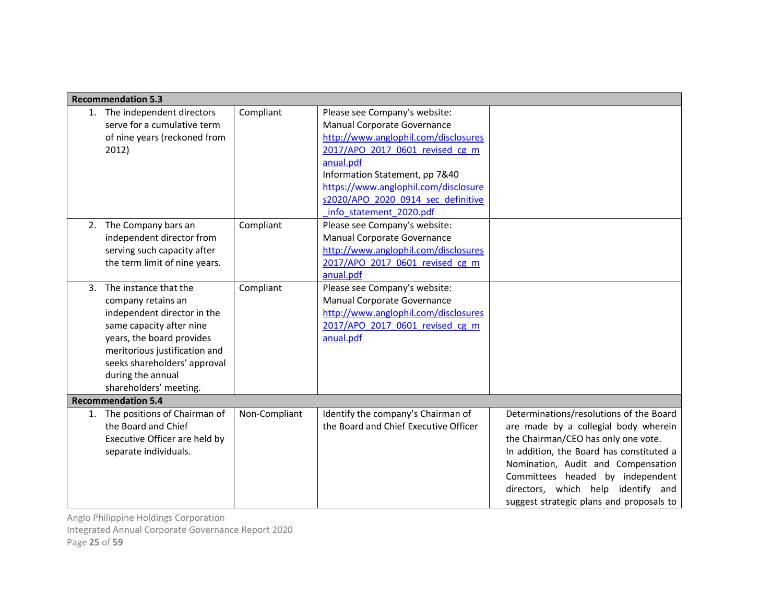|    | <b>Recommendation 5.3</b>                                                                                                                                                                                                                           |               |                                                                                                                                                                                                                                                                                                 |                                                                                                                                                                                                                                                                                                                                |
|----|-----------------------------------------------------------------------------------------------------------------------------------------------------------------------------------------------------------------------------------------------------|---------------|-------------------------------------------------------------------------------------------------------------------------------------------------------------------------------------------------------------------------------------------------------------------------------------------------|--------------------------------------------------------------------------------------------------------------------------------------------------------------------------------------------------------------------------------------------------------------------------------------------------------------------------------|
| 1. | The independent directors<br>serve for a cumulative term<br>of nine years (reckoned from<br>2012)                                                                                                                                                   | Compliant     | Please see Company's website:<br>Manual Corporate Governance<br>http://www.anglophil.com/disclosures<br>2017/APO 2017 0601 revised cg m<br>anual.pdf<br>Information Statement, pp 7&40<br>https://www.anglophil.com/disclosure<br>s2020/APO 2020 0914 sec definitive<br>info statement 2020.pdf |                                                                                                                                                                                                                                                                                                                                |
| 2. | The Company bars an<br>independent director from<br>serving such capacity after<br>the term limit of nine years.                                                                                                                                    | Compliant     | Please see Company's website:<br>Manual Corporate Governance<br>http://www.anglophil.com/disclosures<br>2017/APO 2017 0601 revised cg m<br>anual.pdf                                                                                                                                            |                                                                                                                                                                                                                                                                                                                                |
| 3. | The instance that the<br>company retains an<br>independent director in the<br>same capacity after nine<br>years, the board provides<br>meritorious justification and<br>seeks shareholders' approval<br>during the annual<br>shareholders' meeting. | Compliant     | Please see Company's website:<br>Manual Corporate Governance<br>http://www.anglophil.com/disclosures<br>2017/APO 2017 0601 revised cg m<br>anual.pdf                                                                                                                                            |                                                                                                                                                                                                                                                                                                                                |
|    | <b>Recommendation 5.4</b>                                                                                                                                                                                                                           |               |                                                                                                                                                                                                                                                                                                 |                                                                                                                                                                                                                                                                                                                                |
|    | 1. The positions of Chairman of<br>the Board and Chief<br>Executive Officer are held by<br>separate individuals.                                                                                                                                    | Non-Compliant | Identify the company's Chairman of<br>the Board and Chief Executive Officer                                                                                                                                                                                                                     | Determinations/resolutions of the Board<br>are made by a collegial body wherein<br>the Chairman/CEO has only one vote.<br>In addition, the Board has constituted a<br>Nomination, Audit and Compensation<br>Committees headed by independent<br>directors, which help identify and<br>suggest strategic plans and proposals to |

Anglo Philippine Holdings Corporation Integrated Annual Corporate Governance Report 2020

Page 25 of 59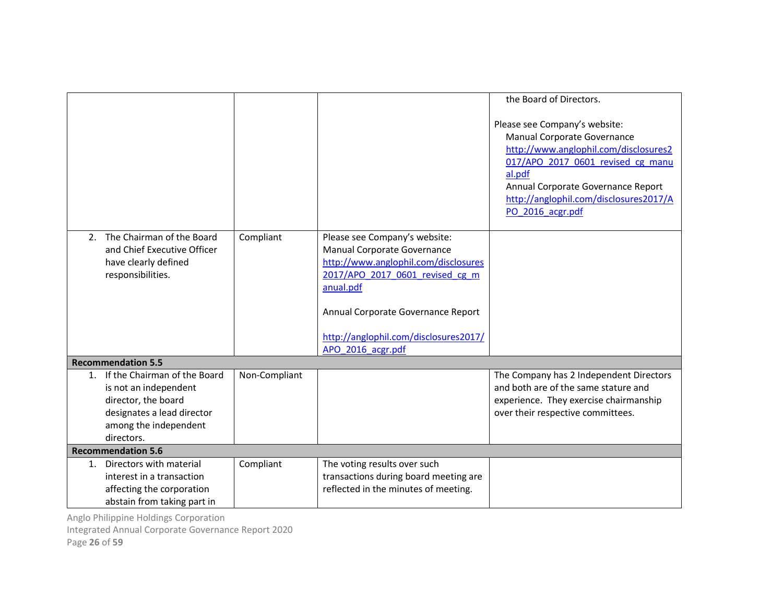|                                                                                                                                                              |               |                                                                                                                                                                                                                                                          | the Board of Directors.                                                                                                                                                                                                                                  |
|--------------------------------------------------------------------------------------------------------------------------------------------------------------|---------------|----------------------------------------------------------------------------------------------------------------------------------------------------------------------------------------------------------------------------------------------------------|----------------------------------------------------------------------------------------------------------------------------------------------------------------------------------------------------------------------------------------------------------|
|                                                                                                                                                              |               |                                                                                                                                                                                                                                                          | Please see Company's website:<br>Manual Corporate Governance<br>http://www.anglophil.com/disclosures2<br>017/APO 2017 0601 revised cg manu<br>al.pdf<br>Annual Corporate Governance Report<br>http://anglophil.com/disclosures2017/A<br>PO_2016_acgr.pdf |
| The Chairman of the Board<br>2.<br>and Chief Executive Officer<br>have clearly defined<br>responsibilities.                                                  | Compliant     | Please see Company's website:<br>Manual Corporate Governance<br>http://www.anglophil.com/disclosures<br>2017/APO 2017 0601 revised cg m<br>anual.pdf<br>Annual Corporate Governance Report<br>http://anglophil.com/disclosures2017/<br>APO 2016 acgr.pdf |                                                                                                                                                                                                                                                          |
| <b>Recommendation 5.5</b>                                                                                                                                    |               |                                                                                                                                                                                                                                                          |                                                                                                                                                                                                                                                          |
| If the Chairman of the Board<br>$1_{-}$<br>is not an independent<br>director, the board<br>designates a lead director<br>among the independent<br>directors. | Non-Compliant |                                                                                                                                                                                                                                                          | The Company has 2 Independent Directors<br>and both are of the same stature and<br>experience. They exercise chairmanship<br>over their respective committees.                                                                                           |
| <b>Recommendation 5.6</b>                                                                                                                                    |               |                                                                                                                                                                                                                                                          |                                                                                                                                                                                                                                                          |
| Directors with material<br>1.<br>interest in a transaction<br>affecting the corporation<br>abstain from taking part in                                       | Compliant     | The voting results over such<br>transactions during board meeting are<br>reflected in the minutes of meeting.                                                                                                                                            |                                                                                                                                                                                                                                                          |

Integrated Annual Corporate Governance Report 2020

Page 26 of 59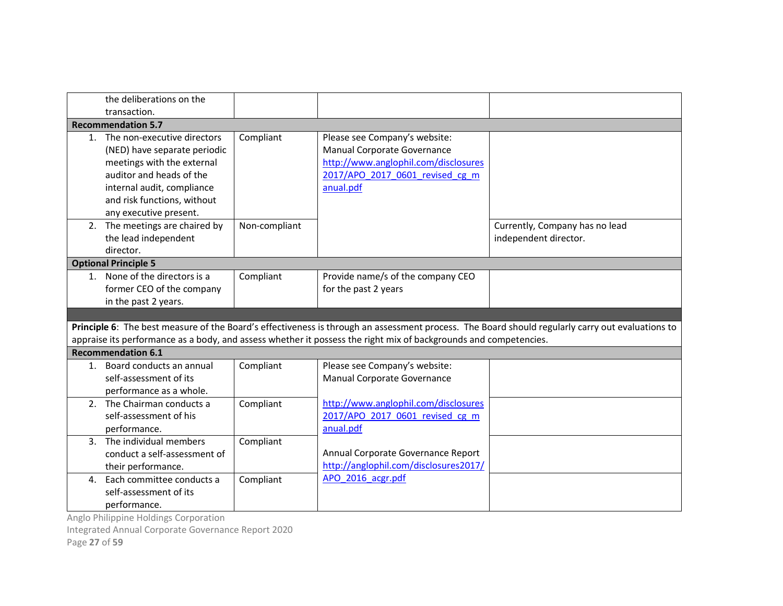|                | the deliberations on the<br>transaction.                                                                                                                                                                        |               |                                                                                                                                                      |                                                                                                                                                  |  |  |
|----------------|-----------------------------------------------------------------------------------------------------------------------------------------------------------------------------------------------------------------|---------------|------------------------------------------------------------------------------------------------------------------------------------------------------|--------------------------------------------------------------------------------------------------------------------------------------------------|--|--|
|                | <b>Recommendation 5.7</b>                                                                                                                                                                                       |               |                                                                                                                                                      |                                                                                                                                                  |  |  |
|                | 1. The non-executive directors<br>(NED) have separate periodic<br>meetings with the external<br>auditor and heads of the<br>internal audit, compliance<br>and risk functions, without<br>any executive present. | Compliant     | Please see Company's website:<br>Manual Corporate Governance<br>http://www.anglophil.com/disclosures<br>2017/APO 2017 0601 revised cg m<br>anual.pdf |                                                                                                                                                  |  |  |
|                | 2. The meetings are chaired by<br>the lead independent<br>director.                                                                                                                                             | Non-compliant |                                                                                                                                                      | Currently, Company has no lead<br>independent director.                                                                                          |  |  |
|                | <b>Optional Principle 5</b>                                                                                                                                                                                     |               |                                                                                                                                                      |                                                                                                                                                  |  |  |
|                | 1. None of the directors is a<br>former CEO of the company<br>in the past 2 years.                                                                                                                              | Compliant     | Provide name/s of the company CEO<br>for the past 2 years                                                                                            |                                                                                                                                                  |  |  |
|                |                                                                                                                                                                                                                 |               |                                                                                                                                                      |                                                                                                                                                  |  |  |
|                |                                                                                                                                                                                                                 |               |                                                                                                                                                      | Principle 6: The best measure of the Board's effectiveness is through an assessment process. The Board should regularly carry out evaluations to |  |  |
|                |                                                                                                                                                                                                                 |               | appraise its performance as a body, and assess whether it possess the right mix of backgrounds and competencies.                                     |                                                                                                                                                  |  |  |
|                | <b>Recommendation 6.1</b><br>1. Board conducts an annual<br>self-assessment of its<br>performance as a whole.                                                                                                   | Compliant     | Please see Company's website:<br>Manual Corporate Governance                                                                                         |                                                                                                                                                  |  |  |
|                | 2. The Chairman conducts a<br>self-assessment of his<br>performance.                                                                                                                                            | Compliant     | http://www.anglophil.com/disclosures<br>2017/APO 2017 0601 revised cg m<br>anual.pdf                                                                 |                                                                                                                                                  |  |  |
|                | 3. The individual members<br>conduct a self-assessment of<br>their performance.                                                                                                                                 | Compliant     | Annual Corporate Governance Report<br>http://anglophil.com/disclosures2017/                                                                          |                                                                                                                                                  |  |  |
| $\mathbf{4}$ . | Each committee conducts a<br>self-assessment of its<br>performance.                                                                                                                                             | Compliant     | APO 2016 acgr.pdf                                                                                                                                    |                                                                                                                                                  |  |  |

Integrated Annual Corporate Governance Report 2020

Page 27 of 59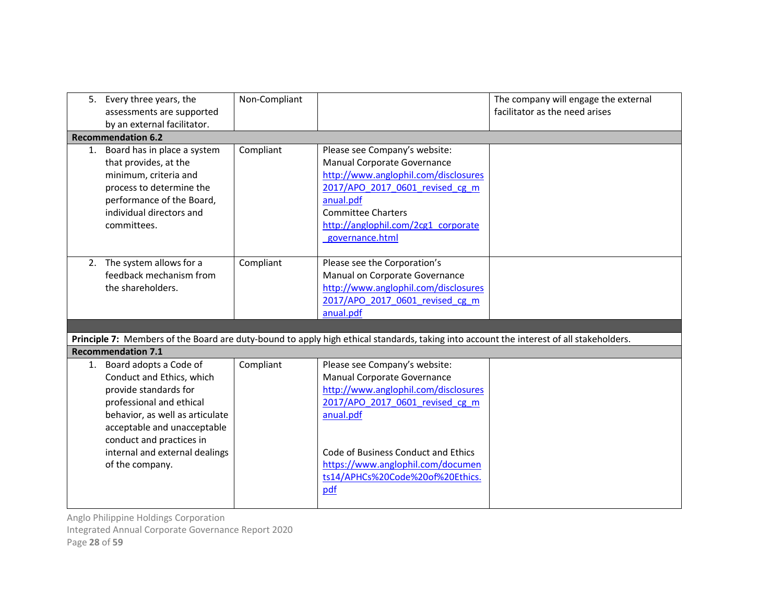| 5. Every three years, the<br>assessments are supported<br>by an external facilitator.                                                                                                                                                                          | Non-Compliant |                                                                                                                                                                                                                                                                             | The company will engage the external<br>facilitator as the need arises |
|----------------------------------------------------------------------------------------------------------------------------------------------------------------------------------------------------------------------------------------------------------------|---------------|-----------------------------------------------------------------------------------------------------------------------------------------------------------------------------------------------------------------------------------------------------------------------------|------------------------------------------------------------------------|
| <b>Recommendation 6.2</b>                                                                                                                                                                                                                                      |               |                                                                                                                                                                                                                                                                             |                                                                        |
| 1. Board has in place a system<br>that provides, at the<br>minimum, criteria and<br>process to determine the<br>performance of the Board,<br>individual directors and<br>committees.                                                                           | Compliant     | Please see Company's website:<br>Manual Corporate Governance<br>http://www.anglophil.com/disclosures<br>2017/APO 2017 0601 revised cg m<br>anual.pdf<br><b>Committee Charters</b><br>http://anglophil.com/2cg1 corporate<br>governance.html                                 |                                                                        |
| 2. The system allows for a<br>feedback mechanism from<br>the shareholders.                                                                                                                                                                                     | Compliant     | Please see the Corporation's<br>Manual on Corporate Governance<br>http://www.anglophil.com/disclosures<br>2017/APO 2017 0601 revised cg m<br>anual.pdf                                                                                                                      |                                                                        |
|                                                                                                                                                                                                                                                                |               |                                                                                                                                                                                                                                                                             |                                                                        |
| <b>Recommendation 7.1</b>                                                                                                                                                                                                                                      |               | Principle 7: Members of the Board are duty-bound to apply high ethical standards, taking into account the interest of all stakeholders.                                                                                                                                     |                                                                        |
| 1. Board adopts a Code of<br>Conduct and Ethics, which<br>provide standards for<br>professional and ethical<br>behavior, as well as articulate<br>acceptable and unacceptable<br>conduct and practices in<br>internal and external dealings<br>of the company. | Compliant     | Please see Company's website:<br>Manual Corporate Governance<br>http://www.anglophil.com/disclosures<br>2017/APO 2017 0601 revised cg m<br>anual.pdf<br>Code of Business Conduct and Ethics<br>https://www.anglophil.com/documen<br>ts14/APHCs%20Code%20of%20Ethics.<br>pdf |                                                                        |

Integrated Annual Corporate Governance Report 2020

Page 28 of 59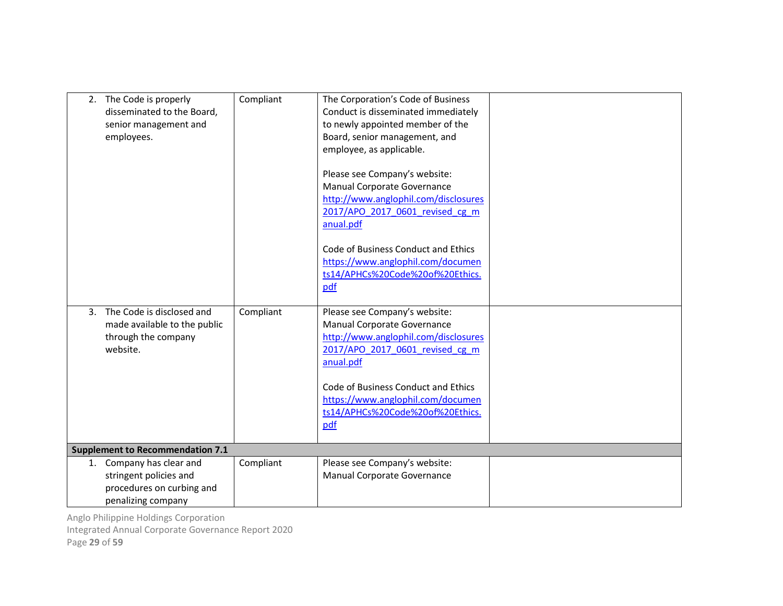|              | 2. The Code is properly<br>disseminated to the Board,<br>senior management and<br>employees.          | Compliant | The Corporation's Code of Business<br>Conduct is disseminated immediately<br>to newly appointed member of the<br>Board, senior management, and<br>employee, as applicable.<br>Please see Company's website:<br>Manual Corporate Governance<br>http://www.anglophil.com/disclosures<br>2017/APO_2017_0601_revised_cg_m<br>anual.pdf<br>Code of Business Conduct and Ethics<br>https://www.anglophil.com/documen<br>ts14/APHCs%20Code%20of%20Ethics.<br>pdf |  |
|--------------|-------------------------------------------------------------------------------------------------------|-----------|-----------------------------------------------------------------------------------------------------------------------------------------------------------------------------------------------------------------------------------------------------------------------------------------------------------------------------------------------------------------------------------------------------------------------------------------------------------|--|
| $\mathbf{3}$ | The Code is disclosed and<br>made available to the public<br>through the company<br>website.          | Compliant | Please see Company's website:<br>Manual Corporate Governance<br>http://www.anglophil.com/disclosures<br>2017/APO 2017 0601 revised cg m<br>anual.pdf<br>Code of Business Conduct and Ethics<br>https://www.anglophil.com/documen<br>ts14/APHCs%20Code%20of%20Ethics.<br>pdf                                                                                                                                                                               |  |
|              | <b>Supplement to Recommendation 7.1</b>                                                               |           |                                                                                                                                                                                                                                                                                                                                                                                                                                                           |  |
|              | 1. Company has clear and<br>stringent policies and<br>procedures on curbing and<br>penalizing company | Compliant | Please see Company's website:<br>Manual Corporate Governance                                                                                                                                                                                                                                                                                                                                                                                              |  |

Integrated Annual Corporate Governance Report 2020

Page 29 of 59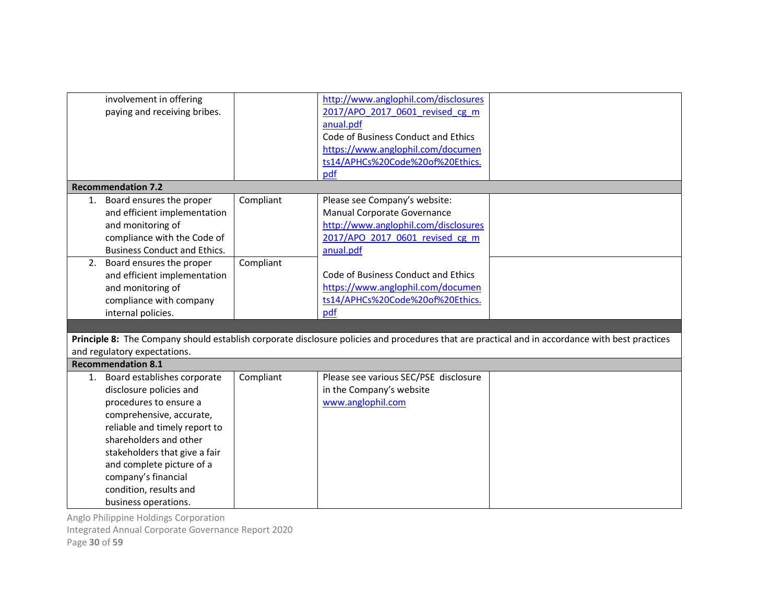|    | involvement in offering<br>paying and receiving bribes.                                                                                                                                                                                                                                                           |           | http://www.anglophil.com/disclosures<br>2017/APO 2017 0601 revised cg m<br>anual.pdf<br>Code of Business Conduct and Ethics<br>https://www.anglophil.com/documen<br>ts14/APHCs%20Code%20of%20Ethics. |                                                                                                                                                 |
|----|-------------------------------------------------------------------------------------------------------------------------------------------------------------------------------------------------------------------------------------------------------------------------------------------------------------------|-----------|------------------------------------------------------------------------------------------------------------------------------------------------------------------------------------------------------|-------------------------------------------------------------------------------------------------------------------------------------------------|
|    |                                                                                                                                                                                                                                                                                                                   |           | pdf                                                                                                                                                                                                  |                                                                                                                                                 |
|    | <b>Recommendation 7.2</b>                                                                                                                                                                                                                                                                                         |           |                                                                                                                                                                                                      |                                                                                                                                                 |
| 1. | Board ensures the proper<br>and efficient implementation<br>and monitoring of<br>compliance with the Code of<br><b>Business Conduct and Ethics.</b>                                                                                                                                                               | Compliant | Please see Company's website:<br>Manual Corporate Governance<br>http://www.anglophil.com/disclosures<br>2017/APO 2017 0601 revised cg m<br>anual.pdf                                                 |                                                                                                                                                 |
| 2. | Board ensures the proper<br>and efficient implementation<br>and monitoring of<br>compliance with company<br>internal policies.                                                                                                                                                                                    | Compliant | Code of Business Conduct and Ethics<br>https://www.anglophil.com/documen<br>ts14/APHCs%20Code%20of%20Ethics.<br>pdf                                                                                  |                                                                                                                                                 |
|    |                                                                                                                                                                                                                                                                                                                   |           |                                                                                                                                                                                                      |                                                                                                                                                 |
|    |                                                                                                                                                                                                                                                                                                                   |           |                                                                                                                                                                                                      | Principle 8: The Company should establish corporate disclosure policies and procedures that are practical and in accordance with best practices |
|    | and regulatory expectations.                                                                                                                                                                                                                                                                                      |           |                                                                                                                                                                                                      |                                                                                                                                                 |
|    | <b>Recommendation 8.1</b>                                                                                                                                                                                                                                                                                         |           |                                                                                                                                                                                                      |                                                                                                                                                 |
|    | 1. Board establishes corporate<br>disclosure policies and<br>procedures to ensure a<br>comprehensive, accurate,<br>reliable and timely report to<br>shareholders and other<br>stakeholders that give a fair<br>and complete picture of a<br>company's financial<br>condition, results and<br>business operations. | Compliant | Please see various SEC/PSE disclosure<br>in the Company's website<br>www.anglophil.com                                                                                                               |                                                                                                                                                 |

Integrated Annual Corporate Governance Report 2020

Page 30 of 59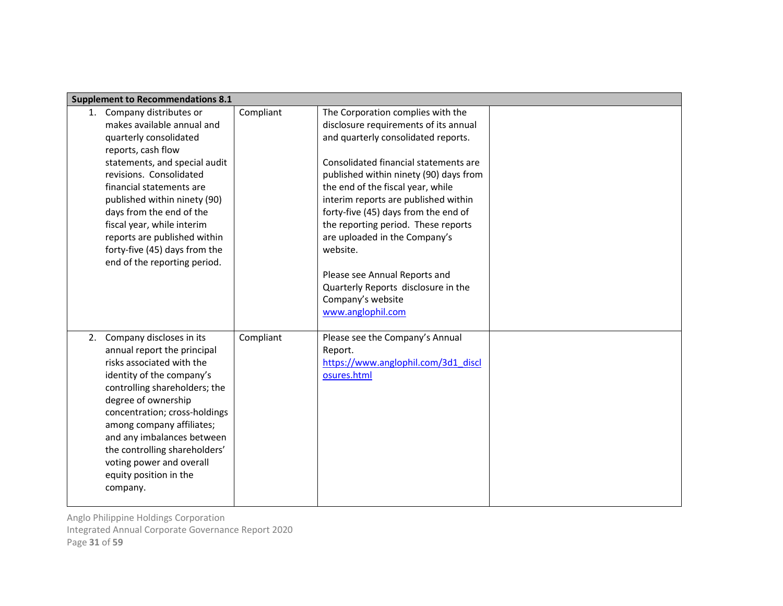|    | <b>Supplement to Recommendations 8.1</b>                                                                                                                                                                                                                                                                                                                                                   |           |                                                                                                                                                                                                                                                                                                                                                                                                                                                                                                                                 |  |
|----|--------------------------------------------------------------------------------------------------------------------------------------------------------------------------------------------------------------------------------------------------------------------------------------------------------------------------------------------------------------------------------------------|-----------|---------------------------------------------------------------------------------------------------------------------------------------------------------------------------------------------------------------------------------------------------------------------------------------------------------------------------------------------------------------------------------------------------------------------------------------------------------------------------------------------------------------------------------|--|
|    | 1. Company distributes or<br>makes available annual and<br>quarterly consolidated<br>reports, cash flow<br>statements, and special audit<br>revisions. Consolidated<br>financial statements are<br>published within ninety (90)<br>days from the end of the<br>fiscal year, while interim<br>reports are published within<br>forty-five (45) days from the<br>end of the reporting period. | Compliant | The Corporation complies with the<br>disclosure requirements of its annual<br>and quarterly consolidated reports.<br>Consolidated financial statements are<br>published within ninety (90) days from<br>the end of the fiscal year, while<br>interim reports are published within<br>forty-five (45) days from the end of<br>the reporting period. These reports<br>are uploaded in the Company's<br>website.<br>Please see Annual Reports and<br>Quarterly Reports disclosure in the<br>Company's website<br>www.anglophil.com |  |
| 2. | Company discloses in its<br>annual report the principal<br>risks associated with the<br>identity of the company's<br>controlling shareholders; the<br>degree of ownership<br>concentration; cross-holdings<br>among company affiliates;<br>and any imbalances between<br>the controlling shareholders'<br>voting power and overall<br>equity position in the<br>company.                   | Compliant | Please see the Company's Annual<br>Report.<br>https://www.anglophil.com/3d1_discl<br>osures.html                                                                                                                                                                                                                                                                                                                                                                                                                                |  |

Integrated Annual Corporate Governance Report 2020

Page 31 of 59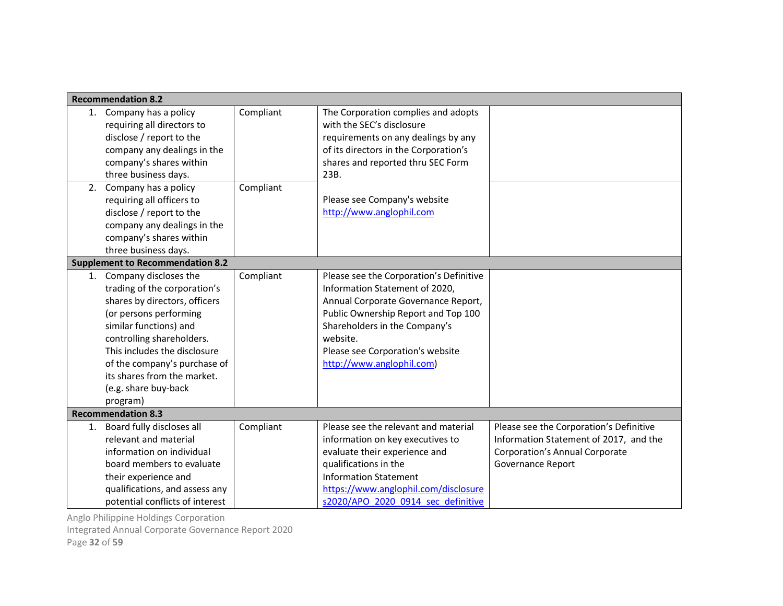|    | <b>Recommendation 8.2</b>                                                                                                                                                                                                                                                                                     |           |                                                                                                                                                                                                                                                                       |                                                                                                                                                 |
|----|---------------------------------------------------------------------------------------------------------------------------------------------------------------------------------------------------------------------------------------------------------------------------------------------------------------|-----------|-----------------------------------------------------------------------------------------------------------------------------------------------------------------------------------------------------------------------------------------------------------------------|-------------------------------------------------------------------------------------------------------------------------------------------------|
|    | 1. Company has a policy<br>requiring all directors to<br>disclose / report to the<br>company any dealings in the<br>company's shares within<br>three business days.                                                                                                                                           | Compliant | The Corporation complies and adopts<br>with the SEC's disclosure<br>requirements on any dealings by any<br>of its directors in the Corporation's<br>shares and reported thru SEC Form<br>23B.                                                                         |                                                                                                                                                 |
| 2. | Company has a policy<br>requiring all officers to<br>disclose / report to the<br>company any dealings in the<br>company's shares within<br>three business days.                                                                                                                                               | Compliant | Please see Company's website<br>http://www.anglophil.com                                                                                                                                                                                                              |                                                                                                                                                 |
|    | <b>Supplement to Recommendation 8.2</b>                                                                                                                                                                                                                                                                       |           |                                                                                                                                                                                                                                                                       |                                                                                                                                                 |
|    | 1. Company discloses the<br>trading of the corporation's<br>shares by directors, officers<br>(or persons performing<br>similar functions) and<br>controlling shareholders.<br>This includes the disclosure<br>of the company's purchase of<br>its shares from the market.<br>(e.g. share buy-back<br>program) | Compliant | Please see the Corporation's Definitive<br>Information Statement of 2020,<br>Annual Corporate Governance Report,<br>Public Ownership Report and Top 100<br>Shareholders in the Company's<br>website.<br>Please see Corporation's website<br>http://www.anglophil.com) |                                                                                                                                                 |
|    | <b>Recommendation 8.3</b>                                                                                                                                                                                                                                                                                     |           |                                                                                                                                                                                                                                                                       |                                                                                                                                                 |
| 1. | Board fully discloses all<br>relevant and material<br>information on individual<br>board members to evaluate<br>their experience and<br>qualifications, and assess any<br>potential conflicts of interest                                                                                                     | Compliant | Please see the relevant and material<br>information on key executives to<br>evaluate their experience and<br>qualifications in the<br><b>Information Statement</b><br>https://www.anglophil.com/disclosure<br>s2020/APO 2020 0914 sec definitive                      | Please see the Corporation's Definitive<br>Information Statement of 2017, and the<br><b>Corporation's Annual Corporate</b><br>Governance Report |

Integrated Annual Corporate Governance Report 2020

Page 32 of 59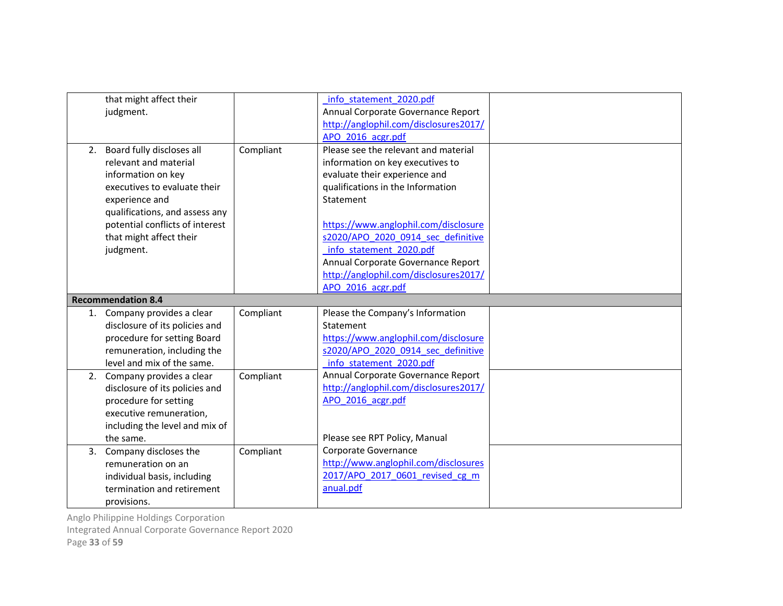|    | that might affect their         |           | info statement 2020.pdf               |  |
|----|---------------------------------|-----------|---------------------------------------|--|
|    | judgment.                       |           | Annual Corporate Governance Report    |  |
|    |                                 |           | http://anglophil.com/disclosures2017/ |  |
|    |                                 |           | APO 2016 acgr.pdf                     |  |
|    | 2. Board fully discloses all    | Compliant | Please see the relevant and material  |  |
|    | relevant and material           |           | information on key executives to      |  |
|    | information on key              |           | evaluate their experience and         |  |
|    | executives to evaluate their    |           | qualifications in the Information     |  |
|    | experience and                  |           | Statement                             |  |
|    | qualifications, and assess any  |           |                                       |  |
|    | potential conflicts of interest |           | https://www.anglophil.com/disclosure  |  |
|    | that might affect their         |           | s2020/APO 2020 0914 sec definitive    |  |
|    | judgment.                       |           | info statement 2020.pdf               |  |
|    |                                 |           | Annual Corporate Governance Report    |  |
|    |                                 |           | http://anglophil.com/disclosures2017/ |  |
|    |                                 |           | APO 2016 acgr.pdf                     |  |
|    |                                 |           |                                       |  |
|    | <b>Recommendation 8.4</b>       |           |                                       |  |
|    | 1. Company provides a clear     | Compliant | Please the Company's Information      |  |
|    | disclosure of its policies and  |           | Statement                             |  |
|    | procedure for setting Board     |           | https://www.anglophil.com/disclosure  |  |
|    | remuneration, including the     |           | s2020/APO 2020 0914 sec definitive    |  |
|    | level and mix of the same.      |           | info statement 2020.pdf               |  |
| 2. | Company provides a clear        | Compliant | Annual Corporate Governance Report    |  |
|    | disclosure of its policies and  |           | http://anglophil.com/disclosures2017/ |  |
|    | procedure for setting           |           | APO 2016 acgr.pdf                     |  |
|    | executive remuneration,         |           |                                       |  |
|    | including the level and mix of  |           |                                       |  |
|    | the same.                       |           | Please see RPT Policy, Manual         |  |
| 3. | Company discloses the           | Compliant | Corporate Governance                  |  |
|    | remuneration on an              |           | http://www.anglophil.com/disclosures  |  |
|    | individual basis, including     |           | 2017/APO 2017 0601 revised cg m       |  |
|    | termination and retirement      |           | anual.pdf                             |  |

Integrated Annual Corporate Governance Report 2020

Page 33 of 59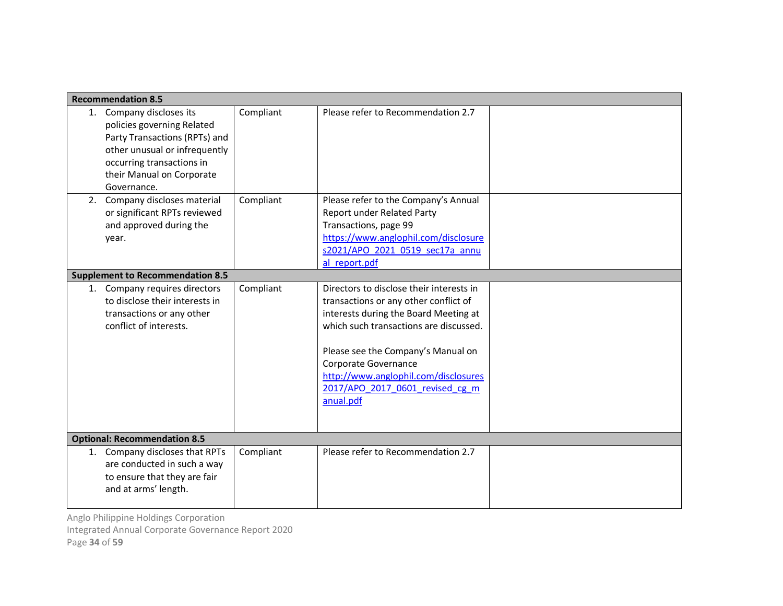|    | <b>Recommendation 8.5</b>                                                                                                                                                                         |           |                                                                                                                                                                                                                                                                                                                            |  |
|----|---------------------------------------------------------------------------------------------------------------------------------------------------------------------------------------------------|-----------|----------------------------------------------------------------------------------------------------------------------------------------------------------------------------------------------------------------------------------------------------------------------------------------------------------------------------|--|
|    | 1. Company discloses its<br>policies governing Related<br>Party Transactions (RPTs) and<br>other unusual or infrequently<br>occurring transactions in<br>their Manual on Corporate<br>Governance. | Compliant | Please refer to Recommendation 2.7                                                                                                                                                                                                                                                                                         |  |
| 2. | Company discloses material<br>or significant RPTs reviewed<br>and approved during the<br>year.                                                                                                    | Compliant | Please refer to the Company's Annual<br>Report under Related Party<br>Transactions, page 99<br>https://www.anglophil.com/disclosure<br>s2021/APO 2021 0519 sec17a annu<br>al report.pdf                                                                                                                                    |  |
|    | <b>Supplement to Recommendation 8.5</b>                                                                                                                                                           |           |                                                                                                                                                                                                                                                                                                                            |  |
|    | 1. Company requires directors<br>to disclose their interests in<br>transactions or any other<br>conflict of interests.                                                                            | Compliant | Directors to disclose their interests in<br>transactions or any other conflict of<br>interests during the Board Meeting at<br>which such transactions are discussed.<br>Please see the Company's Manual on<br>Corporate Governance<br>http://www.anglophil.com/disclosures<br>2017/APO 2017 0601 revised cg m<br>anual.pdf |  |
|    | <b>Optional: Recommendation 8.5</b>                                                                                                                                                               |           |                                                                                                                                                                                                                                                                                                                            |  |
|    | 1. Company discloses that RPTs<br>are conducted in such a way<br>to ensure that they are fair<br>and at arms' length.                                                                             | Compliant | Please refer to Recommendation 2.7                                                                                                                                                                                                                                                                                         |  |

Anglo Philippine Holdings Corporation Integrated Annual Corporate Governance Report 2020

Page 34 of 59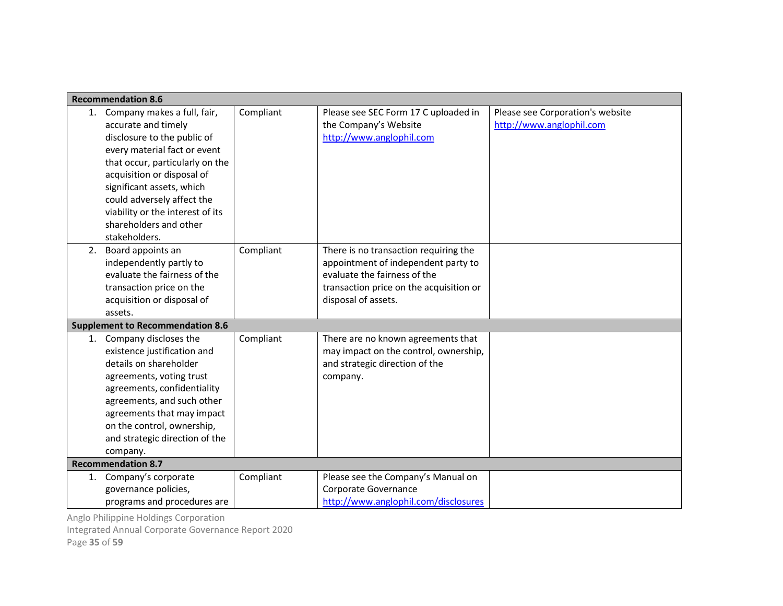|    | <b>Recommendation 8.6</b>                                                                                                                                                                                                                                                                                                       |           |                                                                                                                                                                                |                                                              |  |
|----|---------------------------------------------------------------------------------------------------------------------------------------------------------------------------------------------------------------------------------------------------------------------------------------------------------------------------------|-----------|--------------------------------------------------------------------------------------------------------------------------------------------------------------------------------|--------------------------------------------------------------|--|
|    | 1. Company makes a full, fair,<br>accurate and timely<br>disclosure to the public of<br>every material fact or event<br>that occur, particularly on the<br>acquisition or disposal of<br>significant assets, which<br>could adversely affect the<br>viability or the interest of its<br>shareholders and other<br>stakeholders. | Compliant | Please see SEC Form 17 C uploaded in<br>the Company's Website<br>http://www.anglophil.com                                                                                      | Please see Corporation's website<br>http://www.anglophil.com |  |
| 2. | Board appoints an<br>independently partly to<br>evaluate the fairness of the<br>transaction price on the<br>acquisition or disposal of<br>assets.                                                                                                                                                                               | Compliant | There is no transaction requiring the<br>appointment of independent party to<br>evaluate the fairness of the<br>transaction price on the acquisition or<br>disposal of assets. |                                                              |  |
|    | <b>Supplement to Recommendation 8.6</b>                                                                                                                                                                                                                                                                                         |           |                                                                                                                                                                                |                                                              |  |
| 1. | Company discloses the<br>existence justification and<br>details on shareholder<br>agreements, voting trust<br>agreements, confidentiality<br>agreements, and such other<br>agreements that may impact<br>on the control, ownership,<br>and strategic direction of the<br>company.                                               | Compliant | There are no known agreements that<br>may impact on the control, ownership,<br>and strategic direction of the<br>company.                                                      |                                                              |  |
|    | <b>Recommendation 8.7</b>                                                                                                                                                                                                                                                                                                       |           |                                                                                                                                                                                |                                                              |  |
|    | 1. Company's corporate<br>governance policies,<br>programs and procedures are                                                                                                                                                                                                                                                   | Compliant | Please see the Company's Manual on<br>Corporate Governance<br>http://www.anglophil.com/disclosures                                                                             |                                                              |  |

Integrated Annual Corporate Governance Report 2020

Page 35 of 59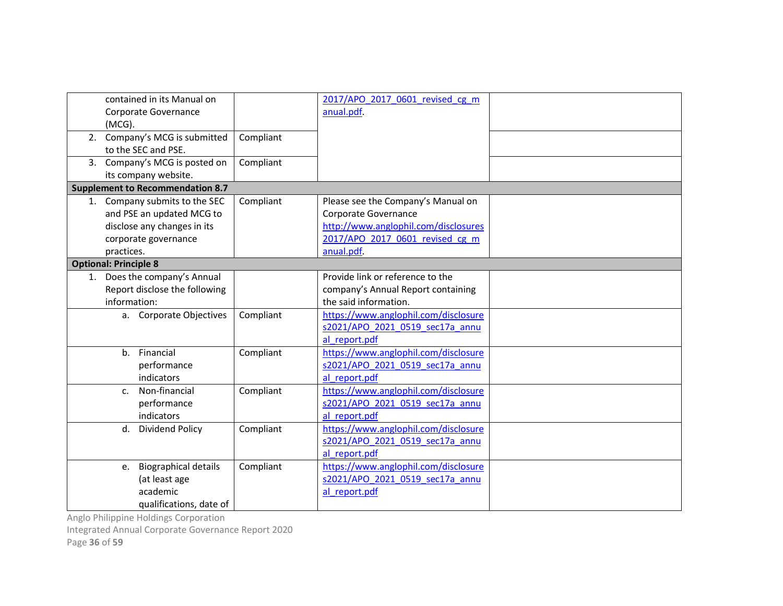| contained in its Manual on<br>Corporate Governance<br>(MCG).<br>2. Company's MCG is submitted<br>to the SEC and PSE.            | Compliant | 2017/APO 2017 0601 revised cg m<br>anual.pdf.                                                                                                       |  |
|---------------------------------------------------------------------------------------------------------------------------------|-----------|-----------------------------------------------------------------------------------------------------------------------------------------------------|--|
| 3. Company's MCG is posted on<br>its company website.                                                                           | Compliant |                                                                                                                                                     |  |
| <b>Supplement to Recommendation 8.7</b>                                                                                         |           |                                                                                                                                                     |  |
| 1. Company submits to the SEC<br>and PSE an updated MCG to<br>disclose any changes in its<br>corporate governance<br>practices. | Compliant | Please see the Company's Manual on<br>Corporate Governance<br>http://www.anglophil.com/disclosures<br>2017/APO 2017 0601 revised cg m<br>anual.pdf. |  |
| <b>Optional: Principle 8</b>                                                                                                    |           |                                                                                                                                                     |  |
| 1. Does the company's Annual<br>Report disclose the following<br>information:                                                   |           | Provide link or reference to the<br>company's Annual Report containing<br>the said information.                                                     |  |
| a. Corporate Objectives                                                                                                         | Compliant | https://www.anglophil.com/disclosure<br>s2021/APO 2021 0519 sec17a annu<br>al report.pdf                                                            |  |
| Financial<br>$h_{-}$<br>performance<br>indicators                                                                               | Compliant | https://www.anglophil.com/disclosure<br>s2021/APO 2021 0519 sec17a annu<br>al report.pdf                                                            |  |
| Non-financial<br>C <sub>1</sub><br>performance<br>indicators                                                                    | Compliant | https://www.anglophil.com/disclosure<br>s2021/APO 2021 0519 sec17a annu<br>al report.pdf                                                            |  |
| d.<br>Dividend Policy                                                                                                           | Compliant | https://www.anglophil.com/disclosure<br>s2021/APO 2021 0519 sec17a annu<br>al report.pdf                                                            |  |
| <b>Biographical details</b><br>е.<br>(at least age<br>academic<br>qualifications, date of                                       | Compliant | https://www.anglophil.com/disclosure<br>s2021/APO 2021 0519 sec17a annu<br>al report.pdf                                                            |  |

Integrated Annual Corporate Governance Report 2020

Page 36 of 59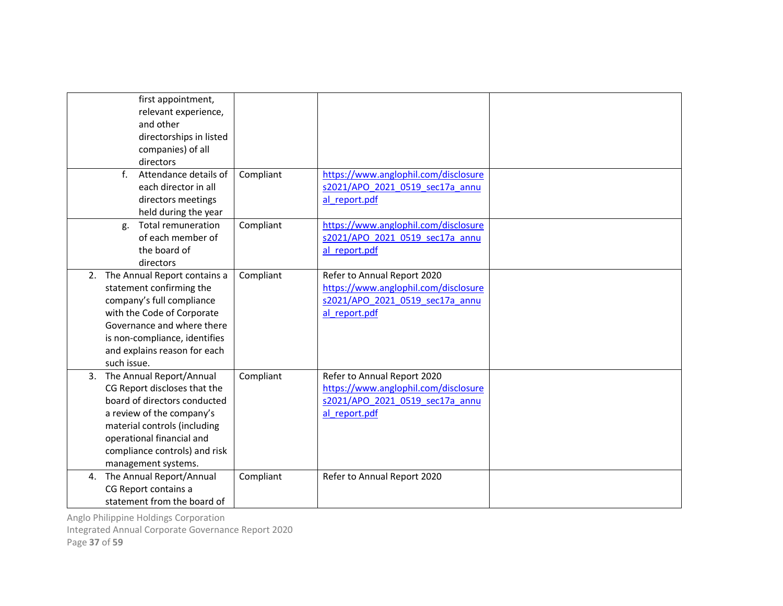| first appointment,<br>relevant experience,<br>and other<br>directorships in listed<br>companies) of all<br>directors<br>$f_{\perp}$<br>Attendance details of<br>each director in all<br>directors meetings                                    | Compliant | https://www.anglophil.com/disclosure<br>s2021/APO 2021 0519 sec17a annu<br>al report.pdf                                |  |
|-----------------------------------------------------------------------------------------------------------------------------------------------------------------------------------------------------------------------------------------------|-----------|-------------------------------------------------------------------------------------------------------------------------|--|
| held during the year<br><b>Total remuneration</b><br>g.<br>of each member of<br>the board of<br>directors                                                                                                                                     | Compliant | https://www.anglophil.com/disclosure<br>s2021/APO 2021 0519 sec17a annu<br>al report.pdf                                |  |
| 2. The Annual Report contains a<br>statement confirming the<br>company's full compliance<br>with the Code of Corporate<br>Governance and where there<br>is non-compliance, identifies<br>and explains reason for each<br>such issue.          | Compliant | Refer to Annual Report 2020<br>https://www.anglophil.com/disclosure<br>s2021/APO 2021 0519 sec17a annu<br>al report.pdf |  |
| 3. The Annual Report/Annual<br>CG Report discloses that the<br>board of directors conducted<br>a review of the company's<br>material controls (including<br>operational financial and<br>compliance controls) and risk<br>management systems. | Compliant | Refer to Annual Report 2020<br>https://www.anglophil.com/disclosure<br>s2021/APO 2021 0519 sec17a annu<br>al report.pdf |  |
| 4. The Annual Report/Annual<br>CG Report contains a<br>statement from the board of                                                                                                                                                            | Compliant | Refer to Annual Report 2020                                                                                             |  |

Integrated Annual Corporate Governance Report 2020

Page 37 of 59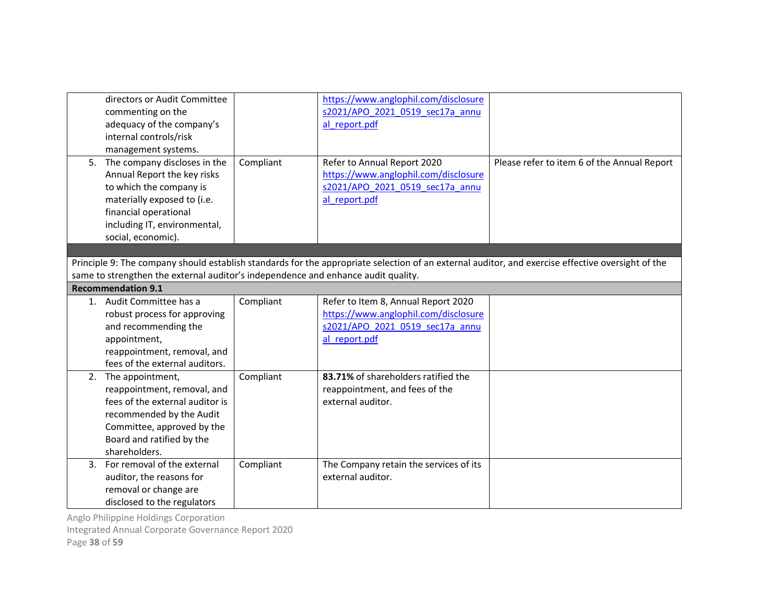| https://www.anglophil.com/disclosure<br>directors or Audit Committee<br>s2021/APO 2021 0519 sec17a annu<br>commenting on the<br>adequacy of the company's<br>al report.pdf<br>internal controls/risk<br>management systems.<br>Compliant<br>5. The company discloses in the<br>Refer to Annual Report 2020<br>Please refer to item 6 of the Annual Report<br>https://www.anglophil.com/disclosure<br>Annual Report the key risks<br>to which the company is<br>s2021/APO 2021 0519 sec17a annu<br>materially exposed to (i.e.<br>al report.pdf<br>financial operational<br>including IT, environmental,<br>social, economic).<br>Principle 9: The company should establish standards for the appropriate selection of an external auditor, and exercise effective oversight of the<br>same to strengthen the external auditor's independence and enhance audit quality.<br><b>Recommendation 9.1</b><br>Refer to Item 8, Annual Report 2020<br>1. Audit Committee has a<br>Compliant<br>https://www.anglophil.com/disclosure<br>robust process for approving<br>and recommending the<br>s2021/APO 2021 0519 sec17a annu<br>al report.pdf<br>appointment,<br>reappointment, removal, and<br>fees of the external auditors.<br>83.71% of shareholders ratified the<br>Compliant<br>2. The appointment,<br>reappointment, removal, and<br>reappointment, and fees of the<br>fees of the external auditor is<br>external auditor.<br>recommended by the Audit<br>Committee, approved by the<br>Board and ratified by the<br>shareholders.<br>3. For removal of the external<br>Compliant<br>The Company retain the services of its<br>auditor, the reasons for<br>external auditor. |                       |  |  |
|---------------------------------------------------------------------------------------------------------------------------------------------------------------------------------------------------------------------------------------------------------------------------------------------------------------------------------------------------------------------------------------------------------------------------------------------------------------------------------------------------------------------------------------------------------------------------------------------------------------------------------------------------------------------------------------------------------------------------------------------------------------------------------------------------------------------------------------------------------------------------------------------------------------------------------------------------------------------------------------------------------------------------------------------------------------------------------------------------------------------------------------------------------------------------------------------------------------------------------------------------------------------------------------------------------------------------------------------------------------------------------------------------------------------------------------------------------------------------------------------------------------------------------------------------------------------------------------------------------------------------------------------------------------------------------|-----------------------|--|--|
|                                                                                                                                                                                                                                                                                                                                                                                                                                                                                                                                                                                                                                                                                                                                                                                                                                                                                                                                                                                                                                                                                                                                                                                                                                                                                                                                                                                                                                                                                                                                                                                                                                                                                 |                       |  |  |
|                                                                                                                                                                                                                                                                                                                                                                                                                                                                                                                                                                                                                                                                                                                                                                                                                                                                                                                                                                                                                                                                                                                                                                                                                                                                                                                                                                                                                                                                                                                                                                                                                                                                                 |                       |  |  |
|                                                                                                                                                                                                                                                                                                                                                                                                                                                                                                                                                                                                                                                                                                                                                                                                                                                                                                                                                                                                                                                                                                                                                                                                                                                                                                                                                                                                                                                                                                                                                                                                                                                                                 |                       |  |  |
|                                                                                                                                                                                                                                                                                                                                                                                                                                                                                                                                                                                                                                                                                                                                                                                                                                                                                                                                                                                                                                                                                                                                                                                                                                                                                                                                                                                                                                                                                                                                                                                                                                                                                 |                       |  |  |
|                                                                                                                                                                                                                                                                                                                                                                                                                                                                                                                                                                                                                                                                                                                                                                                                                                                                                                                                                                                                                                                                                                                                                                                                                                                                                                                                                                                                                                                                                                                                                                                                                                                                                 |                       |  |  |
|                                                                                                                                                                                                                                                                                                                                                                                                                                                                                                                                                                                                                                                                                                                                                                                                                                                                                                                                                                                                                                                                                                                                                                                                                                                                                                                                                                                                                                                                                                                                                                                                                                                                                 |                       |  |  |
|                                                                                                                                                                                                                                                                                                                                                                                                                                                                                                                                                                                                                                                                                                                                                                                                                                                                                                                                                                                                                                                                                                                                                                                                                                                                                                                                                                                                                                                                                                                                                                                                                                                                                 |                       |  |  |
|                                                                                                                                                                                                                                                                                                                                                                                                                                                                                                                                                                                                                                                                                                                                                                                                                                                                                                                                                                                                                                                                                                                                                                                                                                                                                                                                                                                                                                                                                                                                                                                                                                                                                 |                       |  |  |
|                                                                                                                                                                                                                                                                                                                                                                                                                                                                                                                                                                                                                                                                                                                                                                                                                                                                                                                                                                                                                                                                                                                                                                                                                                                                                                                                                                                                                                                                                                                                                                                                                                                                                 |                       |  |  |
|                                                                                                                                                                                                                                                                                                                                                                                                                                                                                                                                                                                                                                                                                                                                                                                                                                                                                                                                                                                                                                                                                                                                                                                                                                                                                                                                                                                                                                                                                                                                                                                                                                                                                 |                       |  |  |
|                                                                                                                                                                                                                                                                                                                                                                                                                                                                                                                                                                                                                                                                                                                                                                                                                                                                                                                                                                                                                                                                                                                                                                                                                                                                                                                                                                                                                                                                                                                                                                                                                                                                                 |                       |  |  |
|                                                                                                                                                                                                                                                                                                                                                                                                                                                                                                                                                                                                                                                                                                                                                                                                                                                                                                                                                                                                                                                                                                                                                                                                                                                                                                                                                                                                                                                                                                                                                                                                                                                                                 |                       |  |  |
|                                                                                                                                                                                                                                                                                                                                                                                                                                                                                                                                                                                                                                                                                                                                                                                                                                                                                                                                                                                                                                                                                                                                                                                                                                                                                                                                                                                                                                                                                                                                                                                                                                                                                 |                       |  |  |
|                                                                                                                                                                                                                                                                                                                                                                                                                                                                                                                                                                                                                                                                                                                                                                                                                                                                                                                                                                                                                                                                                                                                                                                                                                                                                                                                                                                                                                                                                                                                                                                                                                                                                 |                       |  |  |
|                                                                                                                                                                                                                                                                                                                                                                                                                                                                                                                                                                                                                                                                                                                                                                                                                                                                                                                                                                                                                                                                                                                                                                                                                                                                                                                                                                                                                                                                                                                                                                                                                                                                                 |                       |  |  |
|                                                                                                                                                                                                                                                                                                                                                                                                                                                                                                                                                                                                                                                                                                                                                                                                                                                                                                                                                                                                                                                                                                                                                                                                                                                                                                                                                                                                                                                                                                                                                                                                                                                                                 |                       |  |  |
|                                                                                                                                                                                                                                                                                                                                                                                                                                                                                                                                                                                                                                                                                                                                                                                                                                                                                                                                                                                                                                                                                                                                                                                                                                                                                                                                                                                                                                                                                                                                                                                                                                                                                 |                       |  |  |
|                                                                                                                                                                                                                                                                                                                                                                                                                                                                                                                                                                                                                                                                                                                                                                                                                                                                                                                                                                                                                                                                                                                                                                                                                                                                                                                                                                                                                                                                                                                                                                                                                                                                                 |                       |  |  |
|                                                                                                                                                                                                                                                                                                                                                                                                                                                                                                                                                                                                                                                                                                                                                                                                                                                                                                                                                                                                                                                                                                                                                                                                                                                                                                                                                                                                                                                                                                                                                                                                                                                                                 |                       |  |  |
|                                                                                                                                                                                                                                                                                                                                                                                                                                                                                                                                                                                                                                                                                                                                                                                                                                                                                                                                                                                                                                                                                                                                                                                                                                                                                                                                                                                                                                                                                                                                                                                                                                                                                 |                       |  |  |
|                                                                                                                                                                                                                                                                                                                                                                                                                                                                                                                                                                                                                                                                                                                                                                                                                                                                                                                                                                                                                                                                                                                                                                                                                                                                                                                                                                                                                                                                                                                                                                                                                                                                                 |                       |  |  |
|                                                                                                                                                                                                                                                                                                                                                                                                                                                                                                                                                                                                                                                                                                                                                                                                                                                                                                                                                                                                                                                                                                                                                                                                                                                                                                                                                                                                                                                                                                                                                                                                                                                                                 |                       |  |  |
|                                                                                                                                                                                                                                                                                                                                                                                                                                                                                                                                                                                                                                                                                                                                                                                                                                                                                                                                                                                                                                                                                                                                                                                                                                                                                                                                                                                                                                                                                                                                                                                                                                                                                 |                       |  |  |
|                                                                                                                                                                                                                                                                                                                                                                                                                                                                                                                                                                                                                                                                                                                                                                                                                                                                                                                                                                                                                                                                                                                                                                                                                                                                                                                                                                                                                                                                                                                                                                                                                                                                                 |                       |  |  |
|                                                                                                                                                                                                                                                                                                                                                                                                                                                                                                                                                                                                                                                                                                                                                                                                                                                                                                                                                                                                                                                                                                                                                                                                                                                                                                                                                                                                                                                                                                                                                                                                                                                                                 |                       |  |  |
|                                                                                                                                                                                                                                                                                                                                                                                                                                                                                                                                                                                                                                                                                                                                                                                                                                                                                                                                                                                                                                                                                                                                                                                                                                                                                                                                                                                                                                                                                                                                                                                                                                                                                 |                       |  |  |
|                                                                                                                                                                                                                                                                                                                                                                                                                                                                                                                                                                                                                                                                                                                                                                                                                                                                                                                                                                                                                                                                                                                                                                                                                                                                                                                                                                                                                                                                                                                                                                                                                                                                                 |                       |  |  |
|                                                                                                                                                                                                                                                                                                                                                                                                                                                                                                                                                                                                                                                                                                                                                                                                                                                                                                                                                                                                                                                                                                                                                                                                                                                                                                                                                                                                                                                                                                                                                                                                                                                                                 |                       |  |  |
|                                                                                                                                                                                                                                                                                                                                                                                                                                                                                                                                                                                                                                                                                                                                                                                                                                                                                                                                                                                                                                                                                                                                                                                                                                                                                                                                                                                                                                                                                                                                                                                                                                                                                 |                       |  |  |
|                                                                                                                                                                                                                                                                                                                                                                                                                                                                                                                                                                                                                                                                                                                                                                                                                                                                                                                                                                                                                                                                                                                                                                                                                                                                                                                                                                                                                                                                                                                                                                                                                                                                                 |                       |  |  |
|                                                                                                                                                                                                                                                                                                                                                                                                                                                                                                                                                                                                                                                                                                                                                                                                                                                                                                                                                                                                                                                                                                                                                                                                                                                                                                                                                                                                                                                                                                                                                                                                                                                                                 |                       |  |  |
|                                                                                                                                                                                                                                                                                                                                                                                                                                                                                                                                                                                                                                                                                                                                                                                                                                                                                                                                                                                                                                                                                                                                                                                                                                                                                                                                                                                                                                                                                                                                                                                                                                                                                 | removal or change are |  |  |
| disclosed to the regulators                                                                                                                                                                                                                                                                                                                                                                                                                                                                                                                                                                                                                                                                                                                                                                                                                                                                                                                                                                                                                                                                                                                                                                                                                                                                                                                                                                                                                                                                                                                                                                                                                                                     |                       |  |  |

Integrated Annual Corporate Governance Report 2020

Page 38 of 59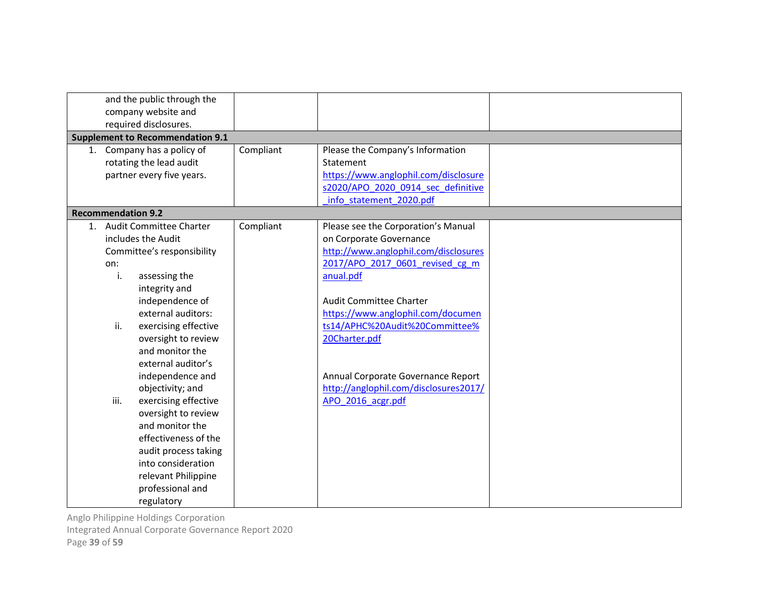| and the public through the              |           |                                       |  |
|-----------------------------------------|-----------|---------------------------------------|--|
| company website and                     |           |                                       |  |
| required disclosures.                   |           |                                       |  |
| <b>Supplement to Recommendation 9.1</b> |           |                                       |  |
| 1. Company has a policy of              | Compliant | Please the Company's Information      |  |
| rotating the lead audit                 |           | Statement                             |  |
| partner every five years.               |           | https://www.anglophil.com/disclosure  |  |
|                                         |           | s2020/APO 2020 0914 sec definitive    |  |
|                                         |           | info statement 2020.pdf               |  |
| <b>Recommendation 9.2</b>               |           |                                       |  |
| 1. Audit Committee Charter              | Compliant | Please see the Corporation's Manual   |  |
| includes the Audit                      |           | on Corporate Governance               |  |
| Committee's responsibility              |           | http://www.anglophil.com/disclosures  |  |
| on:                                     |           | 2017/APO 2017 0601 revised cg m       |  |
| i.<br>assessing the                     |           | anual.pdf                             |  |
| integrity and                           |           |                                       |  |
| independence of                         |           | Audit Committee Charter               |  |
| external auditors:                      |           | https://www.anglophil.com/documen     |  |
| ii.<br>exercising effective             |           | ts14/APHC%20Audit%20Committee%        |  |
| oversight to review                     |           | 20Charter.pdf                         |  |
| and monitor the                         |           |                                       |  |
| external auditor's                      |           |                                       |  |
| independence and                        |           | Annual Corporate Governance Report    |  |
| objectivity; and                        |           | http://anglophil.com/disclosures2017/ |  |
| iii.<br>exercising effective            |           | APO 2016 acgr.pdf                     |  |
| oversight to review                     |           |                                       |  |
| and monitor the                         |           |                                       |  |
| effectiveness of the                    |           |                                       |  |
| audit process taking                    |           |                                       |  |
| into consideration                      |           |                                       |  |
| relevant Philippine                     |           |                                       |  |
| professional and                        |           |                                       |  |
| regulatory                              |           |                                       |  |

Integrated Annual Corporate Governance Report 2020

Page 39 of 59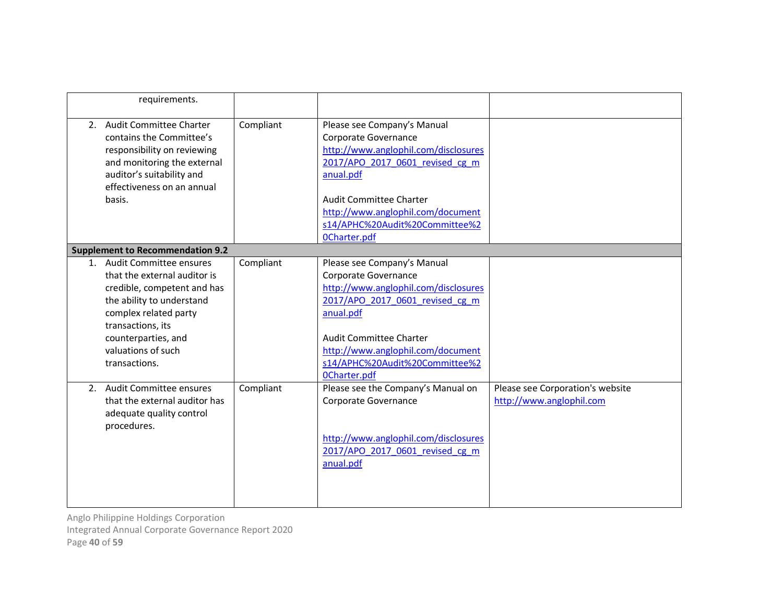| requirements.                                                                                                                                                                                                                      |           |                                                                                                                                                                                                                                                                             |                                                              |
|------------------------------------------------------------------------------------------------------------------------------------------------------------------------------------------------------------------------------------|-----------|-----------------------------------------------------------------------------------------------------------------------------------------------------------------------------------------------------------------------------------------------------------------------------|--------------------------------------------------------------|
| 2. Audit Committee Charter<br>contains the Committee's<br>responsibility on reviewing<br>and monitoring the external<br>auditor's suitability and<br>effectiveness on an annual<br>basis.                                          | Compliant | Please see Company's Manual<br>Corporate Governance<br>http://www.anglophil.com/disclosures<br>2017/APO 2017 0601 revised cg m<br>anual.pdf<br><b>Audit Committee Charter</b><br>http://www.anglophil.com/document<br>s14/APHC%20Audit%20Committee%2<br><b>OCharter.pdf</b> |                                                              |
| <b>Supplement to Recommendation 9.2</b>                                                                                                                                                                                            |           |                                                                                                                                                                                                                                                                             |                                                              |
| 1. Audit Committee ensures<br>that the external auditor is<br>credible, competent and has<br>the ability to understand<br>complex related party<br>transactions, its<br>counterparties, and<br>valuations of such<br>transactions. | Compliant | Please see Company's Manual<br>Corporate Governance<br>http://www.anglophil.com/disclosures<br>2017/APO 2017 0601 revised cg m<br>anual.pdf<br><b>Audit Committee Charter</b><br>http://www.anglophil.com/document<br>s14/APHC%20Audit%20Committee%2<br><b>OCharter.pdf</b> |                                                              |
| 2. Audit Committee ensures<br>that the external auditor has<br>adequate quality control<br>procedures.                                                                                                                             | Compliant | Please see the Company's Manual on<br>Corporate Governance<br>http://www.anglophil.com/disclosures<br>2017/APO 2017 0601 revised cg m<br>anual.pdf                                                                                                                          | Please see Corporation's website<br>http://www.anglophil.com |

Integrated Annual Corporate Governance Report 2020

Page 40 of 59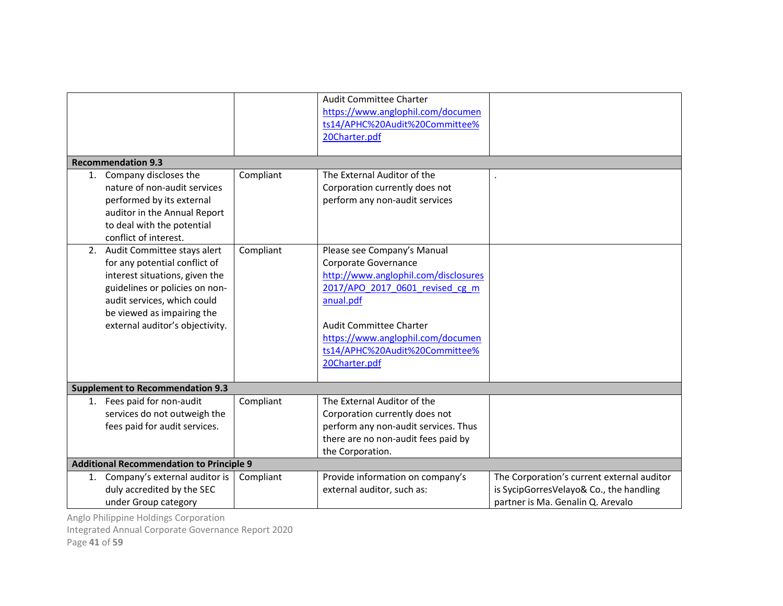| <b>Recommendation 9.3</b>                       |           | <b>Audit Committee Charter</b><br>https://www.anglophil.com/documen<br>ts14/APHC%20Audit%20Committee%<br>20Charter.pdf |                                            |
|-------------------------------------------------|-----------|------------------------------------------------------------------------------------------------------------------------|--------------------------------------------|
| Company discloses the<br>1.                     | Compliant | The External Auditor of the                                                                                            |                                            |
| nature of non-audit services                    |           | Corporation currently does not                                                                                         |                                            |
| performed by its external                       |           | perform any non-audit services                                                                                         |                                            |
| auditor in the Annual Report                    |           |                                                                                                                        |                                            |
| to deal with the potential                      |           |                                                                                                                        |                                            |
| conflict of interest.                           |           |                                                                                                                        |                                            |
| Audit Committee stays alert<br>2.               | Compliant | Please see Company's Manual                                                                                            |                                            |
| for any potential conflict of                   |           | Corporate Governance                                                                                                   |                                            |
| interest situations, given the                  |           | http://www.anglophil.com/disclosures                                                                                   |                                            |
| guidelines or policies on non-                  |           | 2017/APO 2017 0601 revised cg m                                                                                        |                                            |
| audit services, which could                     |           | anual.pdf                                                                                                              |                                            |
| be viewed as impairing the                      |           |                                                                                                                        |                                            |
| external auditor's objectivity.                 |           | <b>Audit Committee Charter</b>                                                                                         |                                            |
|                                                 |           | https://www.anglophil.com/documen                                                                                      |                                            |
|                                                 |           | ts14/APHC%20Audit%20Committee%                                                                                         |                                            |
|                                                 |           | 20Charter.pdf                                                                                                          |                                            |
| <b>Supplement to Recommendation 9.3</b>         |           |                                                                                                                        |                                            |
| 1. Fees paid for non-audit                      | Compliant | The External Auditor of the                                                                                            |                                            |
| services do not outweigh the                    |           | Corporation currently does not                                                                                         |                                            |
| fees paid for audit services.                   |           | perform any non-audit services. Thus                                                                                   |                                            |
|                                                 |           | there are no non-audit fees paid by                                                                                    |                                            |
|                                                 |           | the Corporation.                                                                                                       |                                            |
| <b>Additional Recommendation to Principle 9</b> |           |                                                                                                                        |                                            |
| Company's external auditor is<br>1.             | Compliant | Provide information on company's                                                                                       | The Corporation's current external auditor |
| duly accredited by the SEC                      |           | external auditor, such as:                                                                                             | is SycipGorresVelayo& Co., the handling    |
| under Group category                            |           |                                                                                                                        | partner is Ma. Genalin Q. Arevalo          |

Integrated Annual Corporate Governance Report 2020

Page 41 of 59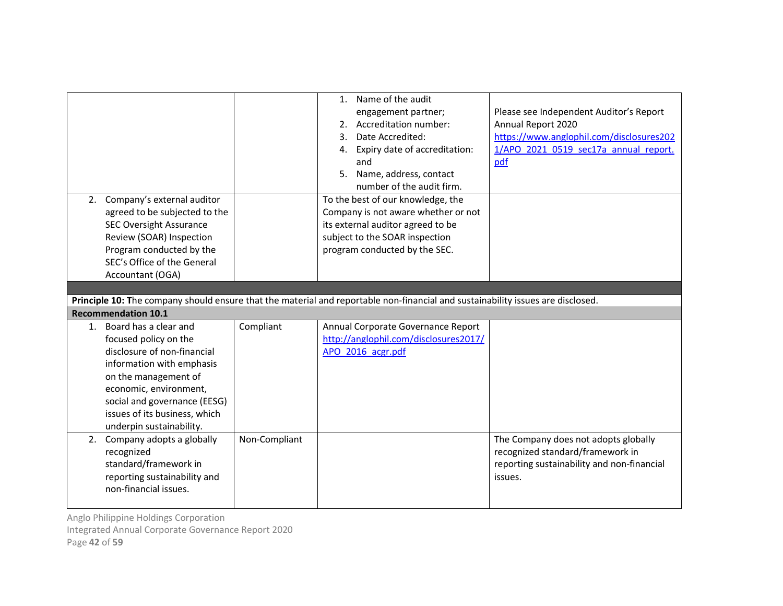|    |                                                                                                                                                                                                          |           | 1. Name of the audit<br>engagement partner;<br>2. Accreditation number:<br>Date Accredited:<br>3.<br>4. Expiry date of accreditation:<br>and<br>Name, address, contact<br>5.<br>number of the audit firm. | Please see Independent Auditor's Report<br>Annual Report 2020<br>https://www.anglophil.com/disclosures202<br>1/APO 2021 0519 sec17a annual report.<br>pdf |
|----|----------------------------------------------------------------------------------------------------------------------------------------------------------------------------------------------------------|-----------|-----------------------------------------------------------------------------------------------------------------------------------------------------------------------------------------------------------|-----------------------------------------------------------------------------------------------------------------------------------------------------------|
| 2. | Company's external auditor<br>agreed to be subjected to the<br><b>SEC Oversight Assurance</b><br>Review (SOAR) Inspection<br>Program conducted by the<br>SEC's Office of the General<br>Accountant (OGA) |           | To the best of our knowledge, the<br>Company is not aware whether or not<br>its external auditor agreed to be<br>subject to the SOAR inspection<br>program conducted by the SEC.                          |                                                                                                                                                           |
|    |                                                                                                                                                                                                          |           |                                                                                                                                                                                                           |                                                                                                                                                           |
|    |                                                                                                                                                                                                          |           | Principle 10: The company should ensure that the material and reportable non-financial and sustainability issues are disclosed.                                                                           |                                                                                                                                                           |
|    | <b>Recommendation 10.1</b>                                                                                                                                                                               |           |                                                                                                                                                                                                           |                                                                                                                                                           |
| 1. | Board has a clear and<br>focused policy on the<br>disclosure of non-financial<br>information with emphasis<br>on the management of                                                                       | Compliant | Annual Corporate Governance Report<br>http://anglophil.com/disclosures2017/<br>APO 2016 acgr.pdf                                                                                                          |                                                                                                                                                           |
|    | economic, environment,<br>social and governance (EESG)<br>issues of its business, which<br>underpin sustainability.                                                                                      |           |                                                                                                                                                                                                           |                                                                                                                                                           |

Integrated Annual Corporate Governance Report 2020

Page 42 of 59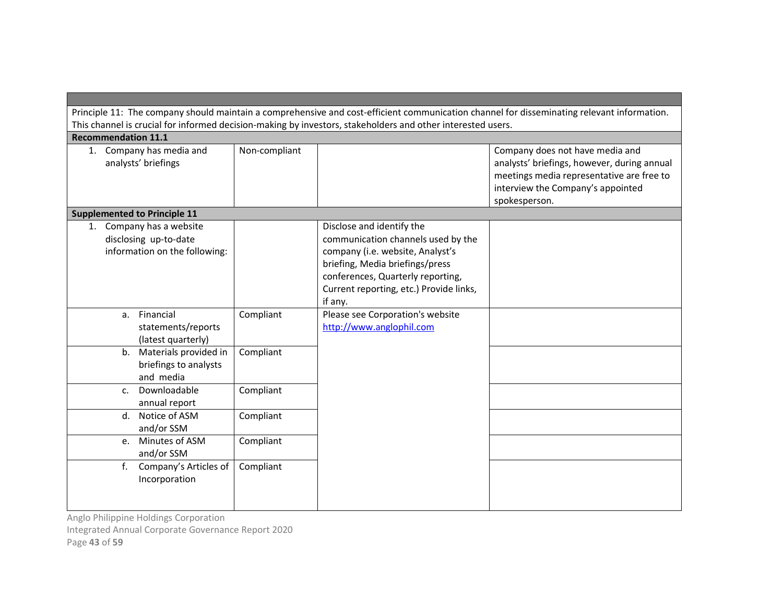|                                                                                    |               | This channel is crucial for informed decision-making by investors, stakeholders and other interested users.                                                                                                                       | Principle 11: The company should maintain a comprehensive and cost-efficient communication channel for disseminating relevant information.                                        |
|------------------------------------------------------------------------------------|---------------|-----------------------------------------------------------------------------------------------------------------------------------------------------------------------------------------------------------------------------------|-----------------------------------------------------------------------------------------------------------------------------------------------------------------------------------|
| <b>Recommendation 11.1</b>                                                         |               |                                                                                                                                                                                                                                   |                                                                                                                                                                                   |
| 1. Company has media and<br>analysts' briefings                                    | Non-compliant |                                                                                                                                                                                                                                   | Company does not have media and<br>analysts' briefings, however, during annual<br>meetings media representative are free to<br>interview the Company's appointed<br>spokesperson. |
| <b>Supplemented to Principle 11</b>                                                |               |                                                                                                                                                                                                                                   |                                                                                                                                                                                   |
| 1. Company has a website<br>disclosing up-to-date<br>information on the following: |               | Disclose and identify the<br>communication channels used by the<br>company (i.e. website, Analyst's<br>briefing, Media briefings/press<br>conferences, Quarterly reporting,<br>Current reporting, etc.) Provide links,<br>if any. |                                                                                                                                                                                   |
| Financial<br>a.<br>statements/reports<br>(latest quarterly)                        | Compliant     | Please see Corporation's website<br>http://www.anglophil.com                                                                                                                                                                      |                                                                                                                                                                                   |
| Materials provided in<br>b.<br>briefings to analysts<br>and media                  | Compliant     |                                                                                                                                                                                                                                   |                                                                                                                                                                                   |
| Downloadable<br>$\mathsf{C}$ .<br>annual report                                    | Compliant     |                                                                                                                                                                                                                                   |                                                                                                                                                                                   |
| d. Notice of ASM<br>and/or SSM                                                     | Compliant     |                                                                                                                                                                                                                                   |                                                                                                                                                                                   |
| e. Minutes of ASM<br>and/or SSM                                                    | Compliant     |                                                                                                                                                                                                                                   |                                                                                                                                                                                   |
| Company's Articles of<br>$f_{\rm{r}}$<br>Incorporation                             | Compliant     |                                                                                                                                                                                                                                   |                                                                                                                                                                                   |

Anglo Philippine Holdings Corporation Integrated Annual Corporate Governance Report 2020

Page 43 of 59

┍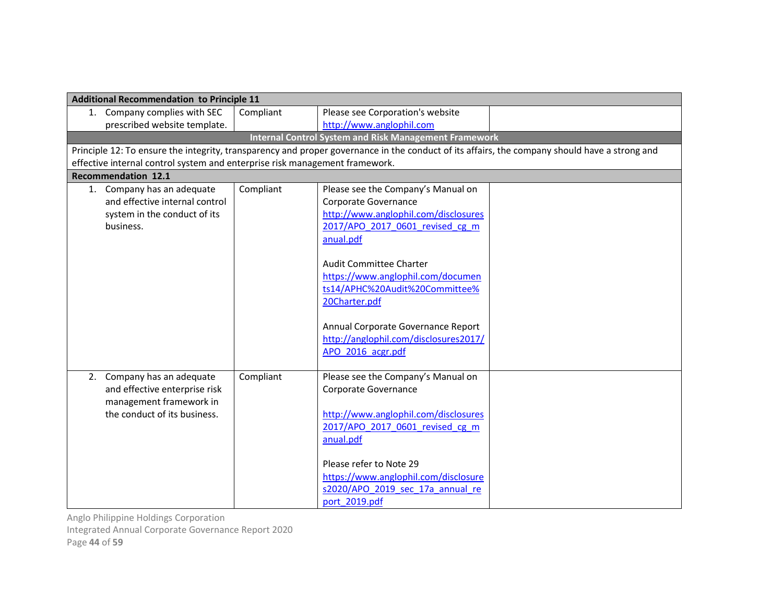|                                                                             | <b>Additional Recommendation to Principle 11</b> |                                                                                                                                               |  |  |
|-----------------------------------------------------------------------------|--------------------------------------------------|-----------------------------------------------------------------------------------------------------------------------------------------------|--|--|
| 1. Company complies with SEC                                                | Compliant                                        | Please see Corporation's website                                                                                                              |  |  |
| prescribed website template.                                                |                                                  | http://www.anglophil.com                                                                                                                      |  |  |
|                                                                             |                                                  | <b>Internal Control System and Risk Management Framework</b>                                                                                  |  |  |
|                                                                             |                                                  | Principle 12: To ensure the integrity, transparency and proper governance in the conduct of its affairs, the company should have a strong and |  |  |
| effective internal control system and enterprise risk management framework. |                                                  |                                                                                                                                               |  |  |
| <b>Recommendation 12.1</b>                                                  |                                                  |                                                                                                                                               |  |  |
| 1. Company has an adequate                                                  | Compliant                                        | Please see the Company's Manual on                                                                                                            |  |  |
| and effective internal control                                              |                                                  | Corporate Governance                                                                                                                          |  |  |
| system in the conduct of its                                                |                                                  | http://www.anglophil.com/disclosures                                                                                                          |  |  |
| business.                                                                   |                                                  | 2017/APO_2017_0601_revised_cg_m                                                                                                               |  |  |
|                                                                             |                                                  | anual.pdf                                                                                                                                     |  |  |
|                                                                             |                                                  |                                                                                                                                               |  |  |
|                                                                             |                                                  | Audit Committee Charter                                                                                                                       |  |  |
|                                                                             |                                                  | https://www.anglophil.com/documen                                                                                                             |  |  |
|                                                                             |                                                  | ts14/APHC%20Audit%20Committee%                                                                                                                |  |  |
|                                                                             |                                                  | 20Charter.pdf                                                                                                                                 |  |  |
|                                                                             |                                                  |                                                                                                                                               |  |  |
|                                                                             |                                                  | Annual Corporate Governance Report<br>http://anglophil.com/disclosures2017/                                                                   |  |  |
|                                                                             |                                                  | APO 2016 acgr.pdf                                                                                                                             |  |  |
|                                                                             |                                                  |                                                                                                                                               |  |  |
| 2. Company has an adequate                                                  | Compliant                                        | Please see the Company's Manual on                                                                                                            |  |  |
| and effective enterprise risk                                               |                                                  | Corporate Governance                                                                                                                          |  |  |
| management framework in                                                     |                                                  |                                                                                                                                               |  |  |
| the conduct of its business.                                                |                                                  | http://www.anglophil.com/disclosures                                                                                                          |  |  |
|                                                                             |                                                  | 2017/APO 2017 0601 revised cg m                                                                                                               |  |  |
|                                                                             |                                                  | anual.pdf                                                                                                                                     |  |  |
|                                                                             |                                                  |                                                                                                                                               |  |  |
|                                                                             |                                                  | Please refer to Note 29                                                                                                                       |  |  |
|                                                                             |                                                  | https://www.anglophil.com/disclosure                                                                                                          |  |  |
|                                                                             |                                                  | s2020/APO 2019 sec 17a annual re                                                                                                              |  |  |
|                                                                             |                                                  | port 2019.pdf                                                                                                                                 |  |  |

Integrated Annual Corporate Governance Report 2020

Page 44 of 59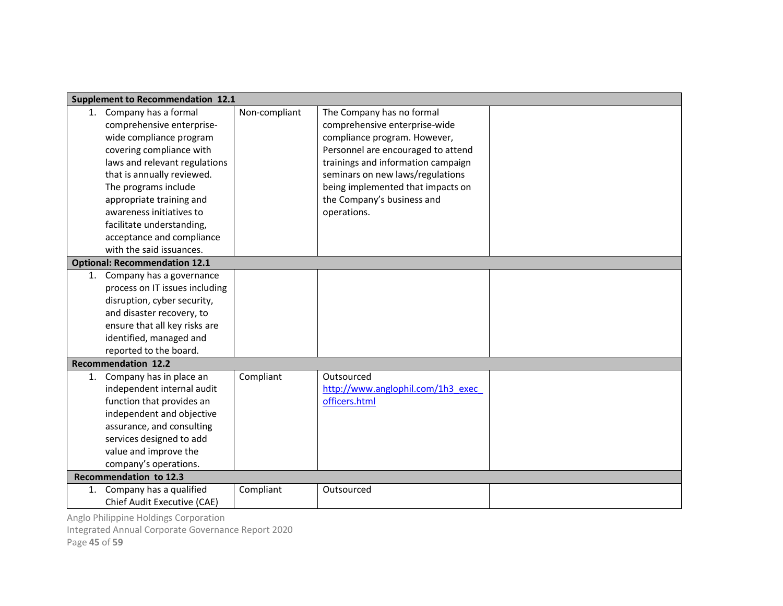|    | <b>Supplement to Recommendation 12.1</b> |               |                                    |  |
|----|------------------------------------------|---------------|------------------------------------|--|
|    | 1. Company has a formal                  | Non-compliant | The Company has no formal          |  |
|    | comprehensive enterprise-                |               | comprehensive enterprise-wide      |  |
|    | wide compliance program                  |               | compliance program. However,       |  |
|    | covering compliance with                 |               | Personnel are encouraged to attend |  |
|    | laws and relevant regulations            |               | trainings and information campaign |  |
|    | that is annually reviewed.               |               | seminars on new laws/regulations   |  |
|    | The programs include                     |               | being implemented that impacts on  |  |
|    | appropriate training and                 |               | the Company's business and         |  |
|    | awareness initiatives to                 |               | operations.                        |  |
|    | facilitate understanding,                |               |                                    |  |
|    | acceptance and compliance                |               |                                    |  |
|    | with the said issuances.                 |               |                                    |  |
|    | <b>Optional: Recommendation 12.1</b>     |               |                                    |  |
|    | 1. Company has a governance              |               |                                    |  |
|    | process on IT issues including           |               |                                    |  |
|    | disruption, cyber security,              |               |                                    |  |
|    | and disaster recovery, to                |               |                                    |  |
|    | ensure that all key risks are            |               |                                    |  |
|    | identified, managed and                  |               |                                    |  |
|    | reported to the board.                   |               |                                    |  |
|    | <b>Recommendation 12.2</b>               |               |                                    |  |
| 1. | Company has in place an                  | Compliant     | Outsourced                         |  |
|    | independent internal audit               |               | http://www.anglophil.com/1h3 exec  |  |
|    | function that provides an                |               | officers.html                      |  |
|    | independent and objective                |               |                                    |  |
|    | assurance, and consulting                |               |                                    |  |
|    | services designed to add                 |               |                                    |  |
|    | value and improve the                    |               |                                    |  |
|    | company's operations.                    |               |                                    |  |
|    | Recommendation to 12.3                   |               |                                    |  |
|    | 1. Company has a qualified               | Compliant     | Outsourced                         |  |
|    | Chief Audit Executive (CAE)              |               |                                    |  |

Integrated Annual Corporate Governance Report 2020

Page 45 of 59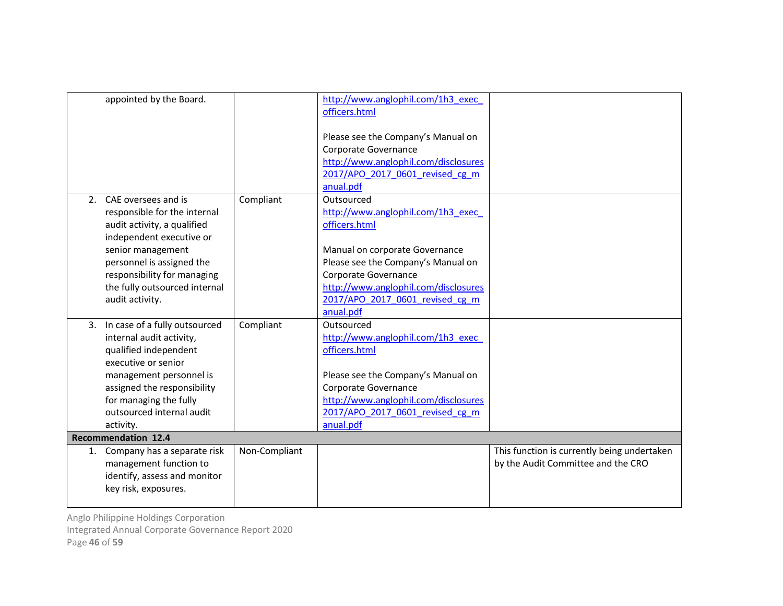| appointed by the Board.          |               | http://www.anglophil.com/1h3 exec    |                                             |
|----------------------------------|---------------|--------------------------------------|---------------------------------------------|
|                                  |               | officers.html                        |                                             |
|                                  |               | Please see the Company's Manual on   |                                             |
|                                  |               | Corporate Governance                 |                                             |
|                                  |               | http://www.anglophil.com/disclosures |                                             |
|                                  |               | 2017/APO 2017 0601 revised cg m      |                                             |
|                                  |               | anual.pdf                            |                                             |
| 2. CAE oversees and is           | Compliant     | Outsourced                           |                                             |
| responsible for the internal     |               | http://www.anglophil.com/1h3 exec    |                                             |
| audit activity, a qualified      |               | officers.html                        |                                             |
| independent executive or         |               |                                      |                                             |
| senior management                |               | Manual on corporate Governance       |                                             |
| personnel is assigned the        |               | Please see the Company's Manual on   |                                             |
| responsibility for managing      |               | Corporate Governance                 |                                             |
| the fully outsourced internal    |               | http://www.anglophil.com/disclosures |                                             |
| audit activity.                  |               | 2017/APO 2017 0601 revised cg m      |                                             |
|                                  |               | anual.pdf                            |                                             |
| 3. In case of a fully outsourced | Compliant     | Outsourced                           |                                             |
| internal audit activity,         |               | http://www.anglophil.com/1h3 exec    |                                             |
| qualified independent            |               | officers.html                        |                                             |
| executive or senior              |               |                                      |                                             |
| management personnel is          |               | Please see the Company's Manual on   |                                             |
| assigned the responsibility      |               | Corporate Governance                 |                                             |
| for managing the fully           |               | http://www.anglophil.com/disclosures |                                             |
| outsourced internal audit        |               | 2017/APO 2017 0601 revised cg m      |                                             |
| activity.                        |               | anual.pdf                            |                                             |
| <b>Recommendation 12.4</b>       |               |                                      |                                             |
| 1. Company has a separate risk   | Non-Compliant |                                      | This function is currently being undertaken |
| management function to           |               |                                      | by the Audit Committee and the CRO          |
| identify, assess and monitor     |               |                                      |                                             |
| key risk, exposures.             |               |                                      |                                             |
|                                  |               |                                      |                                             |

Anglo Philippine Holdings Corporation Integrated Annual Corporate Governance Report 2020

Page 46 of 59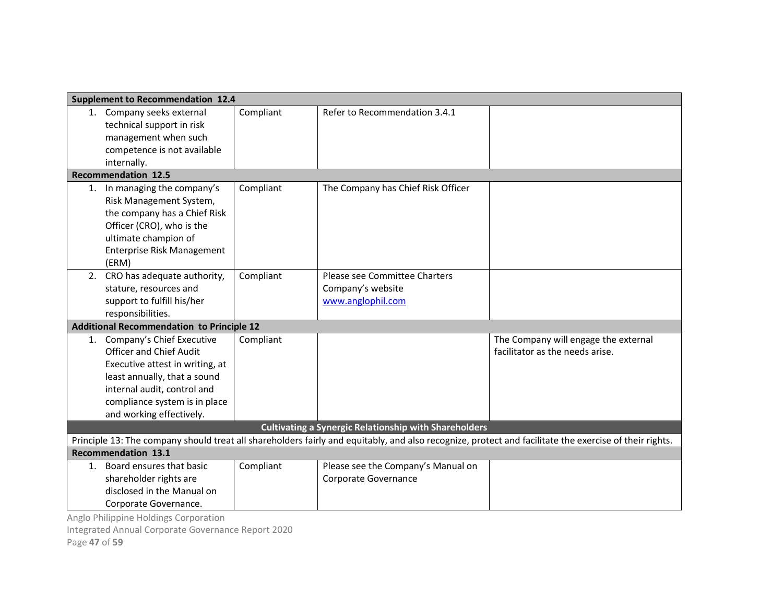|    | <b>Supplement to Recommendation 12.4</b>                                                                                                               |           |                                    |                                      |  |  |
|----|--------------------------------------------------------------------------------------------------------------------------------------------------------|-----------|------------------------------------|--------------------------------------|--|--|
|    | 1. Company seeks external                                                                                                                              | Compliant | Refer to Recommendation 3.4.1      |                                      |  |  |
|    | technical support in risk                                                                                                                              |           |                                    |                                      |  |  |
|    | management when such                                                                                                                                   |           |                                    |                                      |  |  |
|    | competence is not available                                                                                                                            |           |                                    |                                      |  |  |
|    | internally.                                                                                                                                            |           |                                    |                                      |  |  |
|    | <b>Recommendation 12.5</b>                                                                                                                             |           |                                    |                                      |  |  |
| 1. | In managing the company's                                                                                                                              | Compliant | The Company has Chief Risk Officer |                                      |  |  |
|    | Risk Management System,                                                                                                                                |           |                                    |                                      |  |  |
|    | the company has a Chief Risk                                                                                                                           |           |                                    |                                      |  |  |
|    | Officer (CRO), who is the                                                                                                                              |           |                                    |                                      |  |  |
|    | ultimate champion of                                                                                                                                   |           |                                    |                                      |  |  |
|    | <b>Enterprise Risk Management</b>                                                                                                                      |           |                                    |                                      |  |  |
|    | (ERM)                                                                                                                                                  |           |                                    |                                      |  |  |
|    | 2. CRO has adequate authority,                                                                                                                         | Compliant | Please see Committee Charters      |                                      |  |  |
|    | stature, resources and                                                                                                                                 |           | Company's website                  |                                      |  |  |
|    | support to fulfill his/her                                                                                                                             |           | www.anglophil.com                  |                                      |  |  |
|    | responsibilities.                                                                                                                                      |           |                                    |                                      |  |  |
|    | <b>Additional Recommendation to Principle 12</b>                                                                                                       |           |                                    |                                      |  |  |
|    | 1. Company's Chief Executive                                                                                                                           | Compliant |                                    | The Company will engage the external |  |  |
|    | <b>Officer and Chief Audit</b>                                                                                                                         |           |                                    | facilitator as the needs arise.      |  |  |
|    | Executive attest in writing, at                                                                                                                        |           |                                    |                                      |  |  |
|    | least annually, that a sound                                                                                                                           |           |                                    |                                      |  |  |
|    | internal audit, control and                                                                                                                            |           |                                    |                                      |  |  |
|    | compliance system is in place                                                                                                                          |           |                                    |                                      |  |  |
|    | and working effectively.                                                                                                                               |           |                                    |                                      |  |  |
|    | <b>Cultivating a Synergic Relationship with Shareholders</b>                                                                                           |           |                                    |                                      |  |  |
|    | Principle 13: The company should treat all shareholders fairly and equitably, and also recognize, protect and facilitate the exercise of their rights. |           |                                    |                                      |  |  |
|    | <b>Recommendation 13.1</b>                                                                                                                             |           |                                    |                                      |  |  |
| 1. | Board ensures that basic                                                                                                                               | Compliant | Please see the Company's Manual on |                                      |  |  |
|    | shareholder rights are                                                                                                                                 |           | Corporate Governance               |                                      |  |  |
|    | disclosed in the Manual on                                                                                                                             |           |                                    |                                      |  |  |
|    | Corporate Governance.                                                                                                                                  |           |                                    |                                      |  |  |

Integrated Annual Corporate Governance Report 2020

Page 47 of 59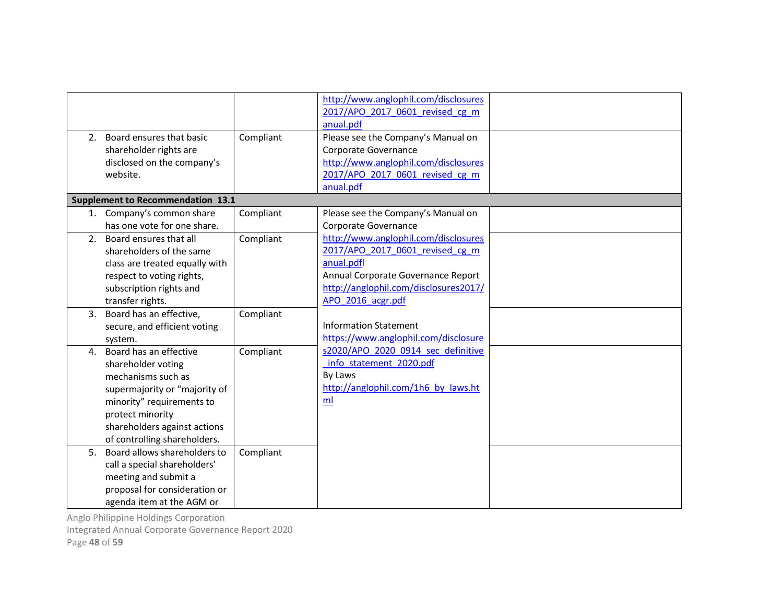| http://www.anglophil.com/disclosures                                                          |  |
|-----------------------------------------------------------------------------------------------|--|
| 2017/APO 2017 0601 revised cg m                                                               |  |
| anual.pdf                                                                                     |  |
| Board ensures that basic<br>Compliant<br>Please see the Company's Manual on<br>2.             |  |
| shareholder rights are<br>Corporate Governance                                                |  |
| http://www.anglophil.com/disclosures<br>disclosed on the company's                            |  |
| website.<br>2017/APO 2017 0601 revised cg m                                                   |  |
| anual.pdf                                                                                     |  |
| <b>Supplement to Recommendation 13.1</b>                                                      |  |
| 1. Company's common share<br>Compliant<br>Please see the Company's Manual on                  |  |
| has one vote for one share.<br>Corporate Governance                                           |  |
| http://www.anglophil.com/disclosures<br>Board ensures that all<br>2 <sup>1</sup><br>Compliant |  |
| 2017/APO 2017 0601 revised cg m<br>shareholders of the same                                   |  |
| anual.pdfl<br>class are treated equally with                                                  |  |
| Annual Corporate Governance Report<br>respect to voting rights,                               |  |
| http://anglophil.com/disclosures2017/<br>subscription rights and                              |  |
| APO 2016 acgr.pdf<br>transfer rights.                                                         |  |
| Board has an effective,<br>Compliant<br>3.                                                    |  |
| <b>Information Statement</b><br>secure, and efficient voting                                  |  |
| https://www.anglophil.com/disclosure<br>system.                                               |  |
| s2020/APO 2020 0914 sec definitive<br>Board has an effective<br>Compliant<br>$\mathbf{4}$ .   |  |
| info statement 2020.pdf<br>shareholder voting                                                 |  |
| By Laws<br>mechanisms such as                                                                 |  |
| http://anglophil.com/1h6 by laws.ht<br>supermajority or "majority of                          |  |
| ml<br>minority" requirements to                                                               |  |
| protect minority                                                                              |  |
| shareholders against actions                                                                  |  |
| of controlling shareholders.                                                                  |  |
| Board allows shareholders to<br>5.<br>Compliant                                               |  |
| call a special shareholders'                                                                  |  |
| meeting and submit a                                                                          |  |
| proposal for consideration or                                                                 |  |
|                                                                                               |  |

Integrated Annual Corporate Governance Report 2020

Page 48 of 59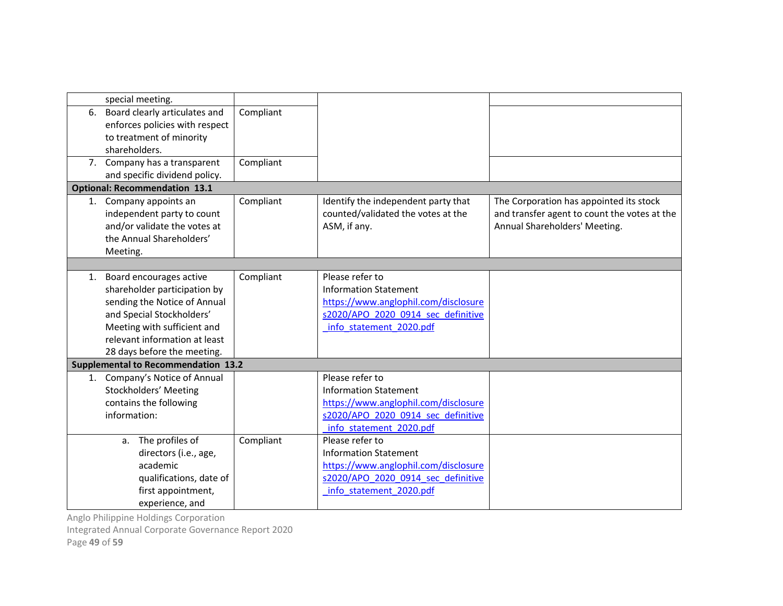| special meeting.                                                                                                                                                                                                       |           |                                                                                                                                                          |                                                                                                                          |
|------------------------------------------------------------------------------------------------------------------------------------------------------------------------------------------------------------------------|-----------|----------------------------------------------------------------------------------------------------------------------------------------------------------|--------------------------------------------------------------------------------------------------------------------------|
| 6. Board clearly articulates and<br>enforces policies with respect<br>to treatment of minority<br>shareholders.                                                                                                        | Compliant |                                                                                                                                                          |                                                                                                                          |
| 7. Company has a transparent<br>and specific dividend policy.                                                                                                                                                          | Compliant |                                                                                                                                                          |                                                                                                                          |
| <b>Optional: Recommendation 13.1</b>                                                                                                                                                                                   |           |                                                                                                                                                          |                                                                                                                          |
| 1. Company appoints an<br>independent party to count<br>and/or validate the votes at<br>the Annual Shareholders'<br>Meeting.                                                                                           | Compliant | Identify the independent party that<br>counted/validated the votes at the<br>ASM, if any.                                                                | The Corporation has appointed its stock<br>and transfer agent to count the votes at the<br>Annual Shareholders' Meeting. |
|                                                                                                                                                                                                                        |           |                                                                                                                                                          |                                                                                                                          |
| 1. Board encourages active<br>shareholder participation by<br>sending the Notice of Annual<br>and Special Stockholders'<br>Meeting with sufficient and<br>relevant information at least<br>28 days before the meeting. | Compliant | Please refer to<br><b>Information Statement</b><br>https://www.anglophil.com/disclosure<br>s2020/APO 2020 0914 sec definitive<br>info statement 2020.pdf |                                                                                                                          |
| <b>Supplemental to Recommendation 13.2</b>                                                                                                                                                                             |           |                                                                                                                                                          |                                                                                                                          |
| 1. Company's Notice of Annual<br>Stockholders' Meeting<br>contains the following<br>information:                                                                                                                       |           | Please refer to<br><b>Information Statement</b><br>https://www.anglophil.com/disclosure<br>s2020/APO 2020 0914 sec definitive<br>info statement 2020.pdf |                                                                                                                          |
| a. The profiles of<br>directors (i.e., age,<br>academic<br>qualifications, date of<br>first appointment,<br>experience, and                                                                                            | Compliant | Please refer to<br><b>Information Statement</b><br>https://www.anglophil.com/disclosure<br>s2020/APO 2020 0914 sec definitive<br>info statement 2020.pdf |                                                                                                                          |

Integrated Annual Corporate Governance Report 2020

Page 49 of 59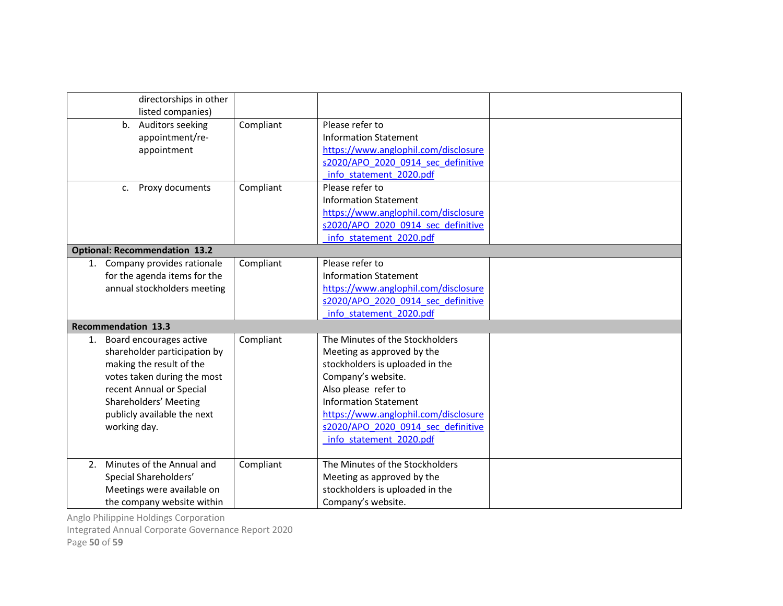| directorships in other<br>listed companies)                                                                                                                                                                                  |           |                                                                                                                                                                                                                                                                                         |  |  |  |
|------------------------------------------------------------------------------------------------------------------------------------------------------------------------------------------------------------------------------|-----------|-----------------------------------------------------------------------------------------------------------------------------------------------------------------------------------------------------------------------------------------------------------------------------------------|--|--|--|
| b. Auditors seeking<br>appointment/re-<br>appointment                                                                                                                                                                        | Compliant | Please refer to<br><b>Information Statement</b><br>https://www.anglophil.com/disclosure<br>s2020/APO 2020 0914 sec definitive<br>info statement 2020.pdf                                                                                                                                |  |  |  |
| Proxy documents<br>C <sub>1</sub>                                                                                                                                                                                            | Compliant | Please refer to<br><b>Information Statement</b><br>https://www.anglophil.com/disclosure<br>s2020/APO 2020 0914 sec definitive<br>info statement 2020.pdf                                                                                                                                |  |  |  |
| <b>Optional: Recommendation 13.2</b>                                                                                                                                                                                         |           |                                                                                                                                                                                                                                                                                         |  |  |  |
| 1. Company provides rationale<br>for the agenda items for the<br>annual stockholders meeting                                                                                                                                 | Compliant | Please refer to<br><b>Information Statement</b><br>https://www.anglophil.com/disclosure<br>s2020/APO 2020 0914 sec definitive<br>info statement 2020.pdf                                                                                                                                |  |  |  |
| <b>Recommendation 13.3</b>                                                                                                                                                                                                   |           |                                                                                                                                                                                                                                                                                         |  |  |  |
| Board encourages active<br>1.<br>shareholder participation by<br>making the result of the<br>votes taken during the most<br>recent Annual or Special<br>Shareholders' Meeting<br>publicly available the next<br>working day. | Compliant | The Minutes of the Stockholders<br>Meeting as approved by the<br>stockholders is uploaded in the<br>Company's website.<br>Also please refer to<br><b>Information Statement</b><br>https://www.anglophil.com/disclosure<br>s2020/APO 2020 0914 sec definitive<br>info statement 2020.pdf |  |  |  |
| Minutes of the Annual and<br>2.<br>Special Shareholders'<br>Meetings were available on<br>the company website within                                                                                                         | Compliant | The Minutes of the Stockholders<br>Meeting as approved by the<br>stockholders is uploaded in the<br>Company's website.                                                                                                                                                                  |  |  |  |

Integrated Annual Corporate Governance Report 2020

Page 50 of 59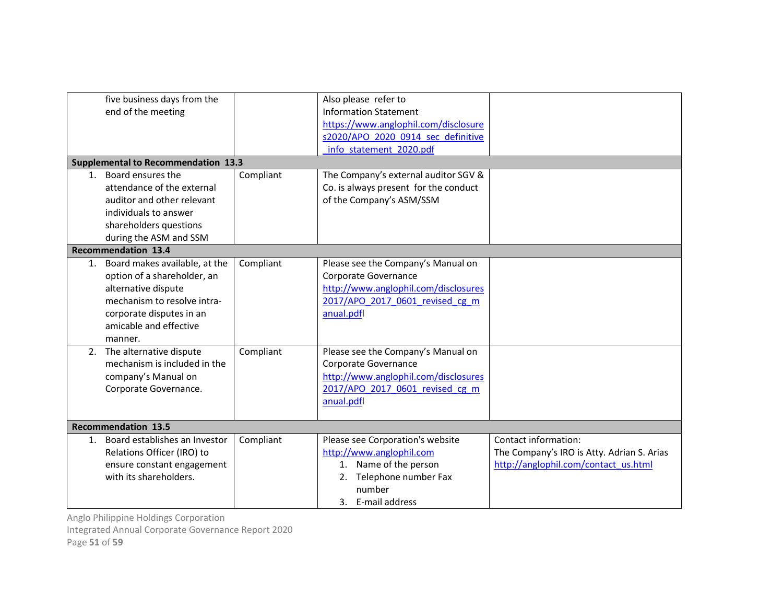|    | five business days from the                |           | Also please refer to                  |                                            |  |
|----|--------------------------------------------|-----------|---------------------------------------|--------------------------------------------|--|
|    | end of the meeting                         |           | <b>Information Statement</b>          |                                            |  |
|    |                                            |           | https://www.anglophil.com/disclosure  |                                            |  |
|    |                                            |           | s2020/APO 2020 0914 sec definitive    |                                            |  |
|    |                                            |           | info statement 2020.pdf               |                                            |  |
|    | <b>Supplemental to Recommendation 13.3</b> |           |                                       |                                            |  |
|    | 1. Board ensures the                       | Compliant | The Company's external auditor SGV &  |                                            |  |
|    | attendance of the external                 |           | Co. is always present for the conduct |                                            |  |
|    | auditor and other relevant                 |           | of the Company's ASM/SSM              |                                            |  |
|    | individuals to answer                      |           |                                       |                                            |  |
|    | shareholders questions                     |           |                                       |                                            |  |
|    | during the ASM and SSM                     |           |                                       |                                            |  |
|    | <b>Recommendation 13.4</b>                 |           |                                       |                                            |  |
|    | 1. Board makes available, at the           | Compliant | Please see the Company's Manual on    |                                            |  |
|    | option of a shareholder, an                |           | Corporate Governance                  |                                            |  |
|    | alternative dispute                        |           | http://www.anglophil.com/disclosures  |                                            |  |
|    | mechanism to resolve intra-                |           | 2017/APO 2017 0601 revised cg m       |                                            |  |
|    | corporate disputes in an                   |           | anual.pdfl                            |                                            |  |
|    | amicable and effective                     |           |                                       |                                            |  |
|    | manner.                                    |           |                                       |                                            |  |
|    | 2. The alternative dispute                 | Compliant | Please see the Company's Manual on    |                                            |  |
|    | mechanism is included in the               |           | Corporate Governance                  |                                            |  |
|    | company's Manual on                        |           | http://www.anglophil.com/disclosures  |                                            |  |
|    | Corporate Governance.                      |           | 2017/APO 2017 0601 revised cg m       |                                            |  |
|    |                                            |           | anual.pdfl                            |                                            |  |
|    |                                            |           |                                       |                                            |  |
|    | <b>Recommendation 13.5</b>                 |           |                                       |                                            |  |
| 1. | Board establishes an Investor              | Compliant | Please see Corporation's website      | Contact information:                       |  |
|    | Relations Officer (IRO) to                 |           | http://www.anglophil.com              | The Company's IRO is Atty. Adrian S. Arias |  |
|    | ensure constant engagement                 |           | 1. Name of the person                 | http://anglophil.com/contact_us.html       |  |
|    | with its shareholders.                     |           | 2. Telephone number Fax               |                                            |  |
|    |                                            |           | number                                |                                            |  |
|    |                                            |           | 3. E-mail address                     |                                            |  |

Integrated Annual Corporate Governance Report 2020

Page 51 of 59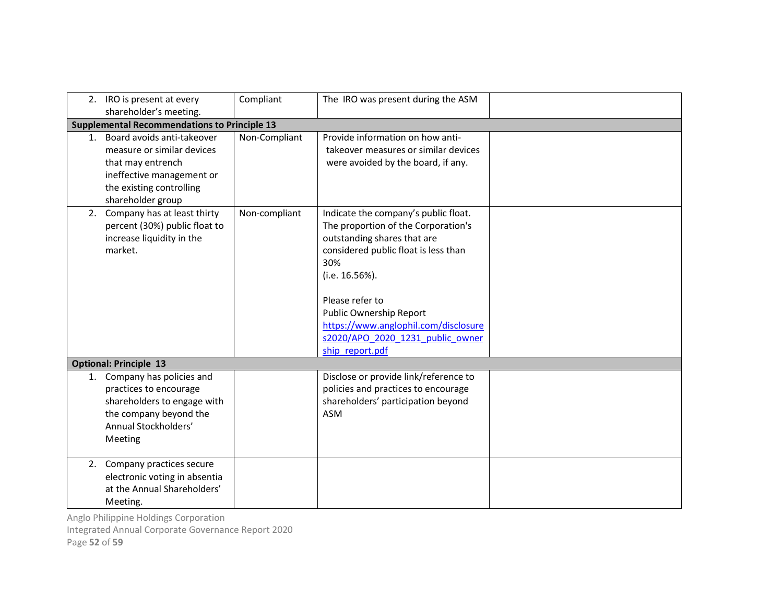|         | 2. IRO is present at every<br>shareholder's meeting.                                                                                                        | Compliant     | The IRO was present during the ASM                                                                                                                                                                                                                                                                                       |  |
|---------|-------------------------------------------------------------------------------------------------------------------------------------------------------------|---------------|--------------------------------------------------------------------------------------------------------------------------------------------------------------------------------------------------------------------------------------------------------------------------------------------------------------------------|--|
|         | <b>Supplemental Recommendations to Principle 13</b>                                                                                                         |               |                                                                                                                                                                                                                                                                                                                          |  |
| $1_{-}$ | Board avoids anti-takeover<br>measure or similar devices<br>that may entrench<br>ineffective management or<br>the existing controlling<br>shareholder group | Non-Compliant | Provide information on how anti-<br>takeover measures or similar devices<br>were avoided by the board, if any.                                                                                                                                                                                                           |  |
|         | 2. Company has at least thirty<br>percent (30%) public float to<br>increase liquidity in the<br>market.                                                     | Non-compliant | Indicate the company's public float.<br>The proportion of the Corporation's<br>outstanding shares that are<br>considered public float is less than<br>30%<br>(i.e. 16.56%).<br>Please refer to<br>Public Ownership Report<br>https://www.anglophil.com/disclosure<br>s2020/APO 2020 1231 public owner<br>ship report.pdf |  |
|         | <b>Optional: Principle 13</b>                                                                                                                               |               |                                                                                                                                                                                                                                                                                                                          |  |
|         | 1. Company has policies and<br>practices to encourage<br>shareholders to engage with<br>the company beyond the<br>Annual Stockholders'<br>Meeting           |               | Disclose or provide link/reference to<br>policies and practices to encourage<br>shareholders' participation beyond<br>ASM                                                                                                                                                                                                |  |
|         | 2. Company practices secure<br>electronic voting in absentia<br>at the Annual Shareholders'<br>Meeting.                                                     |               |                                                                                                                                                                                                                                                                                                                          |  |

Integrated Annual Corporate Governance Report 2020

Page 52 of 59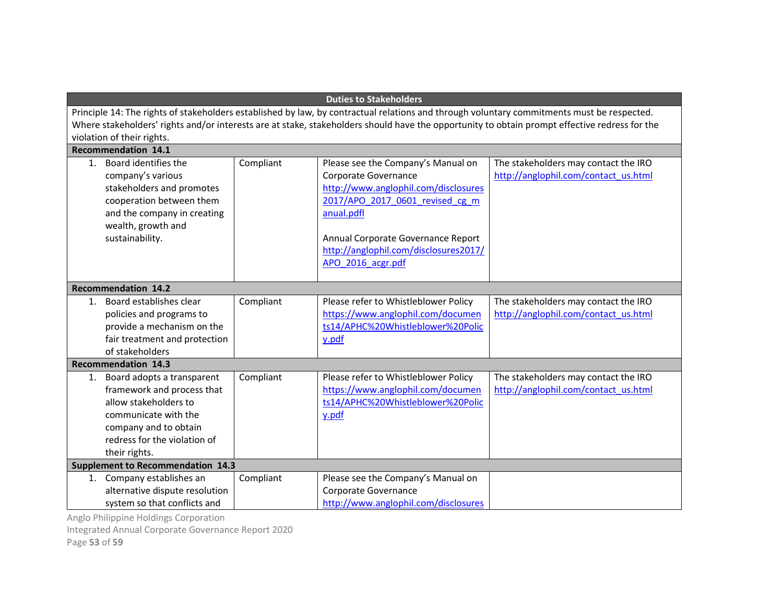|         | <b>Duties to Stakeholders</b>                                                                                                                                                                                                                                                                                             |           |                                                                                                                                                                                                                                                         |                                                                              |
|---------|---------------------------------------------------------------------------------------------------------------------------------------------------------------------------------------------------------------------------------------------------------------------------------------------------------------------------|-----------|---------------------------------------------------------------------------------------------------------------------------------------------------------------------------------------------------------------------------------------------------------|------------------------------------------------------------------------------|
|         | Principle 14: The rights of stakeholders established by law, by contractual relations and through voluntary commitments must be respected.<br>Where stakeholders' rights and/or interests are at stake, stakeholders should have the opportunity to obtain prompt effective redress for the<br>violation of their rights. |           |                                                                                                                                                                                                                                                         |                                                                              |
|         | <b>Recommendation 14.1</b>                                                                                                                                                                                                                                                                                                |           |                                                                                                                                                                                                                                                         |                                                                              |
| $1_{-}$ | Board identifies the<br>company's various<br>stakeholders and promotes<br>cooperation between them<br>and the company in creating<br>wealth, growth and<br>sustainability.                                                                                                                                                | Compliant | Please see the Company's Manual on<br>Corporate Governance<br>http://www.anglophil.com/disclosures<br>2017/APO 2017 0601 revised cg m<br>anual.pdfl<br>Annual Corporate Governance Report<br>http://anglophil.com/disclosures2017/<br>APO 2016 acgr.pdf | The stakeholders may contact the IRO<br>http://anglophil.com/contact_us.html |
|         | <b>Recommendation 14.2</b>                                                                                                                                                                                                                                                                                                |           |                                                                                                                                                                                                                                                         |                                                                              |
| $1_{-}$ | Board establishes clear<br>policies and programs to<br>provide a mechanism on the<br>fair treatment and protection<br>of stakeholders                                                                                                                                                                                     | Compliant | Please refer to Whistleblower Policy<br>https://www.anglophil.com/documen<br>ts14/APHC%20Whistleblower%20Polic<br>y.pdf                                                                                                                                 | The stakeholders may contact the IRO<br>http://anglophil.com/contact_us.html |
|         | <b>Recommendation 14.3</b>                                                                                                                                                                                                                                                                                                |           |                                                                                                                                                                                                                                                         |                                                                              |
|         | 1. Board adopts a transparent<br>framework and process that<br>allow stakeholders to<br>communicate with the<br>company and to obtain<br>redress for the violation of<br>their rights.                                                                                                                                    | Compliant | Please refer to Whistleblower Policy<br>https://www.anglophil.com/documen<br>ts14/APHC%20Whistleblower%20Polic<br>y.pdf                                                                                                                                 | The stakeholders may contact the IRO<br>http://anglophil.com/contact_us.html |
|         | <b>Supplement to Recommendation 14.3</b>                                                                                                                                                                                                                                                                                  |           |                                                                                                                                                                                                                                                         |                                                                              |
|         | 1. Company establishes an<br>alternative dispute resolution<br>system so that conflicts and                                                                                                                                                                                                                               | Compliant | Please see the Company's Manual on<br>Corporate Governance<br>http://www.anglophil.com/disclosures                                                                                                                                                      |                                                                              |

Integrated Annual Corporate Governance Report 2020

Page 53 of 59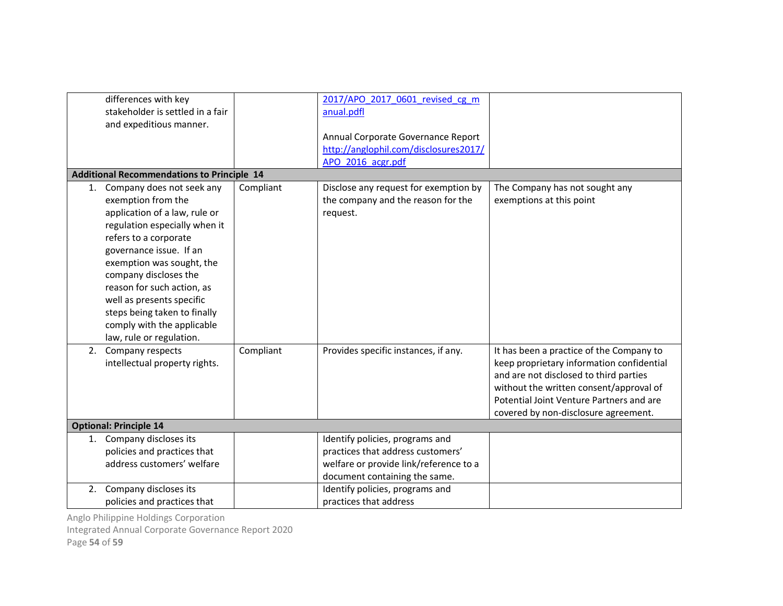| differences with key<br>stakeholder is settled in a fair<br>and expeditious manner.                                                                                                                                                                                                                                                                                                    |           | 2017/APO 2017 0601 revised cg m<br>anual.pdfl<br>Annual Corporate Governance Report<br>http://anglophil.com/disclosures2017/<br>APO 2016 acgr.pdf |                                                                                                                                                                                                                                                                |
|----------------------------------------------------------------------------------------------------------------------------------------------------------------------------------------------------------------------------------------------------------------------------------------------------------------------------------------------------------------------------------------|-----------|---------------------------------------------------------------------------------------------------------------------------------------------------|----------------------------------------------------------------------------------------------------------------------------------------------------------------------------------------------------------------------------------------------------------------|
| <b>Additional Recommendations to Principle 14</b>                                                                                                                                                                                                                                                                                                                                      |           |                                                                                                                                                   |                                                                                                                                                                                                                                                                |
| Company does not seek any<br>1.<br>exemption from the<br>application of a law, rule or<br>regulation especially when it<br>refers to a corporate<br>governance issue. If an<br>exemption was sought, the<br>company discloses the<br>reason for such action, as<br>well as presents specific<br>steps being taken to finally<br>comply with the applicable<br>law, rule or regulation. | Compliant | Disclose any request for exemption by<br>the company and the reason for the<br>request.                                                           | The Company has not sought any<br>exemptions at this point                                                                                                                                                                                                     |
| Company respects<br>2.<br>intellectual property rights.                                                                                                                                                                                                                                                                                                                                | Compliant | Provides specific instances, if any.                                                                                                              | It has been a practice of the Company to<br>keep proprietary information confidential<br>and are not disclosed to third parties<br>without the written consent/approval of<br>Potential Joint Venture Partners and are<br>covered by non-disclosure agreement. |
| <b>Optional: Principle 14</b>                                                                                                                                                                                                                                                                                                                                                          |           |                                                                                                                                                   |                                                                                                                                                                                                                                                                |
| Company discloses its<br>1.<br>policies and practices that<br>address customers' welfare                                                                                                                                                                                                                                                                                               |           | Identify policies, programs and<br>practices that address customers'<br>welfare or provide link/reference to a<br>document containing the same.   |                                                                                                                                                                                                                                                                |
| Company discloses its<br>2.<br>policies and practices that                                                                                                                                                                                                                                                                                                                             |           | Identify policies, programs and<br>practices that address                                                                                         |                                                                                                                                                                                                                                                                |

Integrated Annual Corporate Governance Report 2020

Page 54 of 59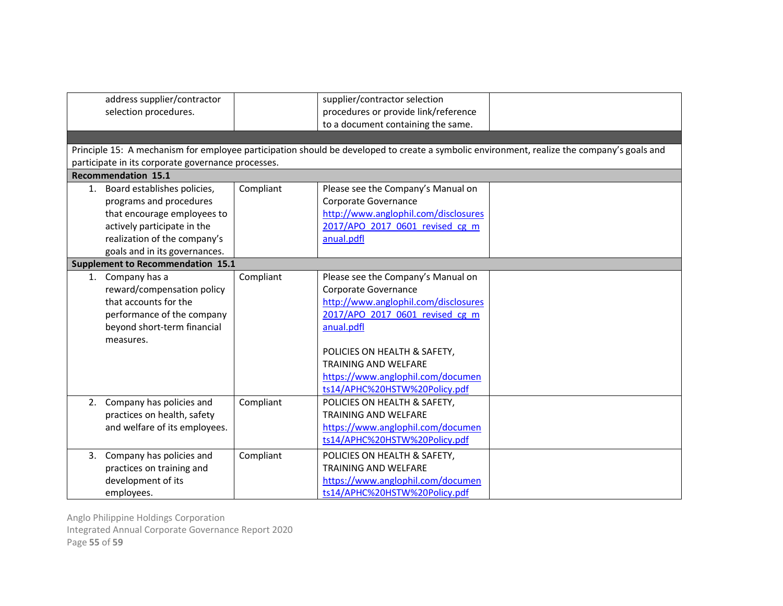|    | address supplier/contractor<br>supplier/contractor selection<br>procedures or provide link/reference<br>selection procedures.<br>to a document containing the same.<br>Principle 15: A mechanism for employee participation should be developed to create a symbolic environment, realize the company's goals and<br>participate in its corporate governance processes.<br><b>Recommendation 15.1</b> |           |                                      |  |  |
|----|-------------------------------------------------------------------------------------------------------------------------------------------------------------------------------------------------------------------------------------------------------------------------------------------------------------------------------------------------------------------------------------------------------|-----------|--------------------------------------|--|--|
|    | 1. Board establishes policies,                                                                                                                                                                                                                                                                                                                                                                        | Compliant | Please see the Company's Manual on   |  |  |
|    | programs and procedures                                                                                                                                                                                                                                                                                                                                                                               |           | Corporate Governance                 |  |  |
|    | that encourage employees to                                                                                                                                                                                                                                                                                                                                                                           |           | http://www.anglophil.com/disclosures |  |  |
|    | actively participate in the                                                                                                                                                                                                                                                                                                                                                                           |           | 2017/APO 2017 0601 revised cg m      |  |  |
|    | realization of the company's                                                                                                                                                                                                                                                                                                                                                                          |           | anual.pdfl                           |  |  |
|    | goals and in its governances.                                                                                                                                                                                                                                                                                                                                                                         |           |                                      |  |  |
|    | <b>Supplement to Recommendation 15.1</b>                                                                                                                                                                                                                                                                                                                                                              |           |                                      |  |  |
|    | 1. Company has a                                                                                                                                                                                                                                                                                                                                                                                      | Compliant | Please see the Company's Manual on   |  |  |
|    | reward/compensation policy                                                                                                                                                                                                                                                                                                                                                                            |           | Corporate Governance                 |  |  |
|    | that accounts for the                                                                                                                                                                                                                                                                                                                                                                                 |           | http://www.anglophil.com/disclosures |  |  |
|    | performance of the company                                                                                                                                                                                                                                                                                                                                                                            |           | 2017/APO 2017 0601 revised cg m      |  |  |
|    | beyond short-term financial                                                                                                                                                                                                                                                                                                                                                                           |           | anual.pdfl                           |  |  |
|    | measures.                                                                                                                                                                                                                                                                                                                                                                                             |           |                                      |  |  |
|    |                                                                                                                                                                                                                                                                                                                                                                                                       |           | POLICIES ON HEALTH & SAFETY,         |  |  |
|    |                                                                                                                                                                                                                                                                                                                                                                                                       |           | <b>TRAINING AND WELFARE</b>          |  |  |
|    |                                                                                                                                                                                                                                                                                                                                                                                                       |           | https://www.anglophil.com/documen    |  |  |
|    |                                                                                                                                                                                                                                                                                                                                                                                                       |           | ts14/APHC%20HSTW%20Policy.pdf        |  |  |
|    | 2. Company has policies and                                                                                                                                                                                                                                                                                                                                                                           | Compliant | POLICIES ON HEALTH & SAFETY,         |  |  |
|    | practices on health, safety                                                                                                                                                                                                                                                                                                                                                                           |           | <b>TRAINING AND WELFARE</b>          |  |  |
|    | and welfare of its employees.                                                                                                                                                                                                                                                                                                                                                                         |           | https://www.anglophil.com/documen    |  |  |
|    |                                                                                                                                                                                                                                                                                                                                                                                                       |           | ts14/APHC%20HSTW%20Policy.pdf        |  |  |
| 3. | Company has policies and                                                                                                                                                                                                                                                                                                                                                                              | Compliant | POLICIES ON HEALTH & SAFETY,         |  |  |
|    | practices on training and                                                                                                                                                                                                                                                                                                                                                                             |           | <b>TRAINING AND WELFARE</b>          |  |  |
|    | development of its                                                                                                                                                                                                                                                                                                                                                                                    |           | https://www.anglophil.com/documen    |  |  |
|    | employees.                                                                                                                                                                                                                                                                                                                                                                                            |           | ts14/APHC%20HSTW%20Policy.pdf        |  |  |

Anglo Philippine Holdings Corporation Integrated Annual Corporate Governance Report 2020 Page 55 of 59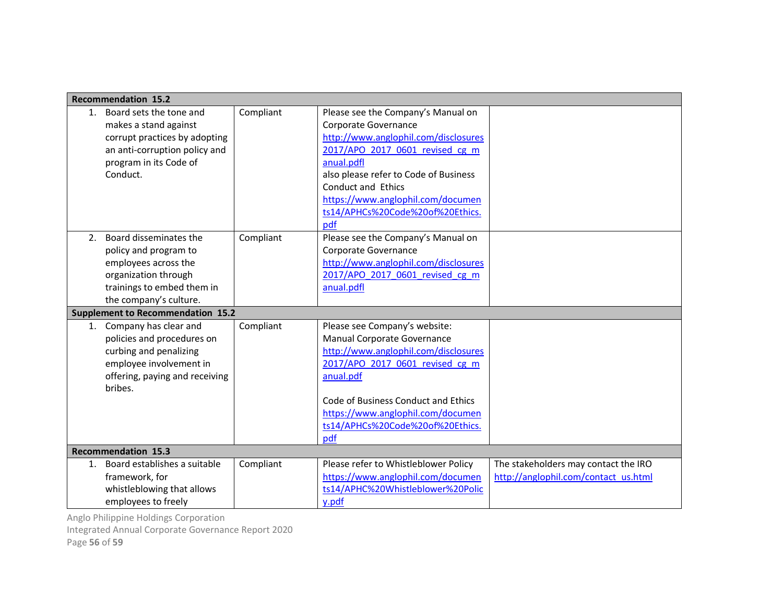|    | <b>Recommendation 15.2</b>               |           |                                       |                                      |
|----|------------------------------------------|-----------|---------------------------------------|--------------------------------------|
| 1. | Board sets the tone and                  | Compliant | Please see the Company's Manual on    |                                      |
|    | makes a stand against                    |           | Corporate Governance                  |                                      |
|    | corrupt practices by adopting            |           | http://www.anglophil.com/disclosures  |                                      |
|    | an anti-corruption policy and            |           | 2017/APO 2017 0601 revised cg m       |                                      |
|    | program in its Code of                   |           | anual.pdfl                            |                                      |
|    | Conduct.                                 |           | also please refer to Code of Business |                                      |
|    |                                          |           | Conduct and Ethics                    |                                      |
|    |                                          |           | https://www.anglophil.com/documen     |                                      |
|    |                                          |           | ts14/APHCs%20Code%20of%20Ethics.      |                                      |
|    |                                          |           | pdf                                   |                                      |
| 2. | Board disseminates the                   | Compliant | Please see the Company's Manual on    |                                      |
|    | policy and program to                    |           | Corporate Governance                  |                                      |
|    | employees across the                     |           | http://www.anglophil.com/disclosures  |                                      |
|    | organization through                     |           | 2017/APO 2017 0601 revised cg m       |                                      |
|    | trainings to embed them in               |           | anual.pdfl                            |                                      |
|    | the company's culture.                   |           |                                       |                                      |
|    | <b>Supplement to Recommendation 15.2</b> |           |                                       |                                      |
|    | 1. Company has clear and                 | Compliant | Please see Company's website:         |                                      |
|    | policies and procedures on               |           | Manual Corporate Governance           |                                      |
|    | curbing and penalizing                   |           | http://www.anglophil.com/disclosures  |                                      |
|    | employee involvement in                  |           | 2017/APO 2017 0601 revised cg m       |                                      |
|    | offering, paying and receiving           |           | anual.pdf                             |                                      |
|    | bribes.                                  |           |                                       |                                      |
|    |                                          |           | Code of Business Conduct and Ethics   |                                      |
|    |                                          |           | https://www.anglophil.com/documen     |                                      |
|    |                                          |           | ts14/APHCs%20Code%20of%20Ethics.      |                                      |
|    |                                          |           | pdf                                   |                                      |
|    | Recommendation 15.3                      |           |                                       |                                      |
| 1. | Board establishes a suitable             | Compliant | Please refer to Whistleblower Policy  | The stakeholders may contact the IRO |
|    | framework, for                           |           | https://www.anglophil.com/documen     | http://anglophil.com/contact_us.html |
|    | whistleblowing that allows               |           | ts14/APHC%20Whistleblower%20Polic     |                                      |
|    | employees to freely                      |           | y.pdf                                 |                                      |

Integrated Annual Corporate Governance Report 2020

Page 56 of 59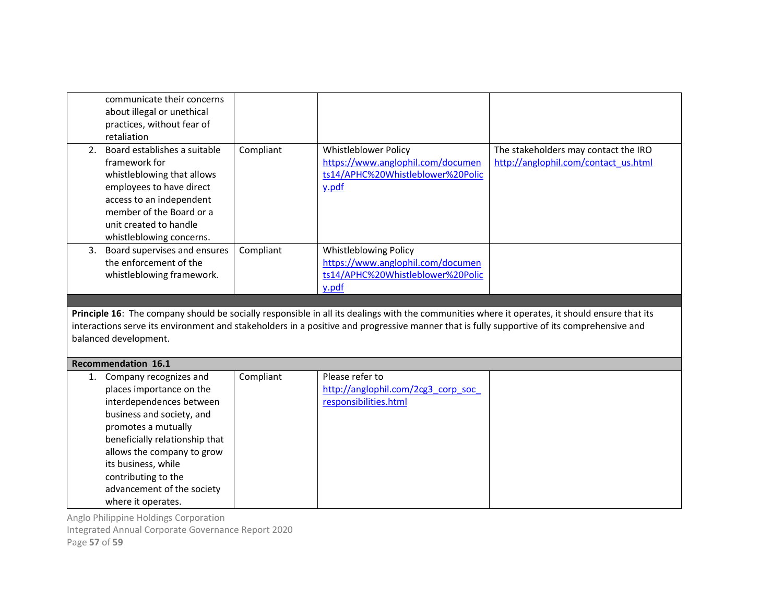|    | communicate their concerns<br>about illegal or unethical<br>practices, without fear of                                                                                                                                                                                                                                |           |                                                                                                                 |                                                                              |  |  |
|----|-----------------------------------------------------------------------------------------------------------------------------------------------------------------------------------------------------------------------------------------------------------------------------------------------------------------------|-----------|-----------------------------------------------------------------------------------------------------------------|------------------------------------------------------------------------------|--|--|
|    | retaliation                                                                                                                                                                                                                                                                                                           |           |                                                                                                                 |                                                                              |  |  |
| 2. | Board establishes a suitable<br>framework for<br>whistleblowing that allows<br>employees to have direct<br>access to an independent<br>member of the Board or a<br>unit created to handle<br>whistleblowing concerns.                                                                                                 | Compliant | Whistleblower Policy<br>https://www.anglophil.com/documen<br>ts14/APHC%20Whistleblower%20Polic<br>y.pdf         | The stakeholders may contact the IRO<br>http://anglophil.com/contact_us.html |  |  |
| 3. | Board supervises and ensures<br>the enforcement of the<br>whistleblowing framework.                                                                                                                                                                                                                                   | Compliant | <b>Whistleblowing Policy</b><br>https://www.anglophil.com/documen<br>ts14/APHC%20Whistleblower%20Polic<br>y.pdf |                                                                              |  |  |
|    |                                                                                                                                                                                                                                                                                                                       |           |                                                                                                                 |                                                                              |  |  |
|    | Principle 16: The company should be socially responsible in all its dealings with the communities where it operates, it should ensure that its<br>interactions serve its environment and stakeholders in a positive and progressive manner that is fully supportive of its comprehensive and<br>balanced development. |           |                                                                                                                 |                                                                              |  |  |
|    | Recommendation 16.1                                                                                                                                                                                                                                                                                                   |           |                                                                                                                 |                                                                              |  |  |
|    | 1. Company recognizes and<br>places importance on the                                                                                                                                                                                                                                                                 | Compliant | Please refer to<br>http://anglophil.com/2cg3 corp soc                                                           |                                                                              |  |  |

Integrated Annual Corporate Governance Report 2020

Page 57 of 59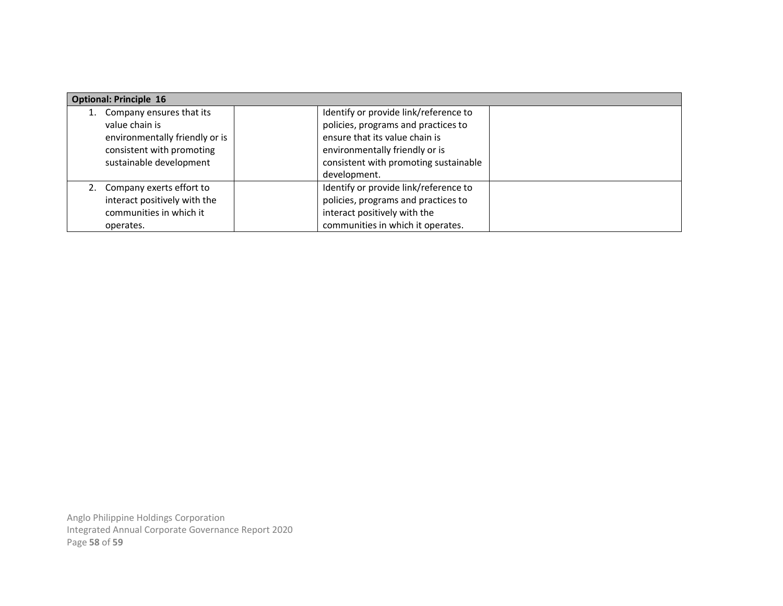| <b>Optional: Principle 16</b>                        |                                                                                         |  |  |
|------------------------------------------------------|-----------------------------------------------------------------------------------------|--|--|
| Company ensures that its                             | Identify or provide link/reference to                                                   |  |  |
| value chain is                                       | policies, programs and practices to                                                     |  |  |
| environmentally friendly or is                       | ensure that its value chain is                                                          |  |  |
| consistent with promoting<br>sustainable development | environmentally friendly or is<br>consistent with promoting sustainable<br>development. |  |  |
| 2. Company exerts effort to                          | Identify or provide link/reference to                                                   |  |  |
| interact positively with the                         | policies, programs and practices to                                                     |  |  |
| communities in which it                              | interact positively with the                                                            |  |  |
| operates.                                            | communities in which it operates.                                                       |  |  |